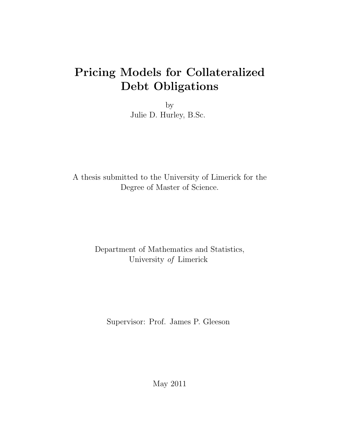## Pricing Models for Collateralized Debt Obligations

by Julie D. Hurley, B.Sc.

A thesis submitted to the University of Limerick for the Degree of Master of Science.

## Department of Mathematics and Statistics, University of Limerick

Supervisor: Prof. James P. Gleeson

May 2011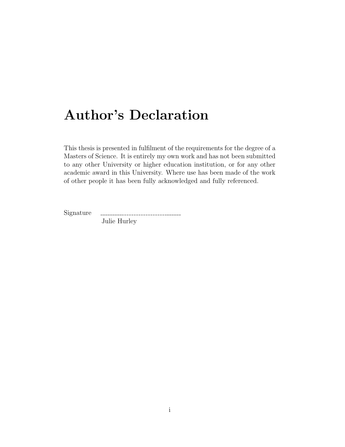## Author's Declaration

This thesis is presented in fulfilment of the requirements for the degree of a Masters of Science. It is entirely my own work and has not been submitted to any other University or higher education institution, or for any other academic award in this University. Where use has been made of the work of other people it has been fully acknowledged and fully referenced.

Signature

------------------------------Julie Hurley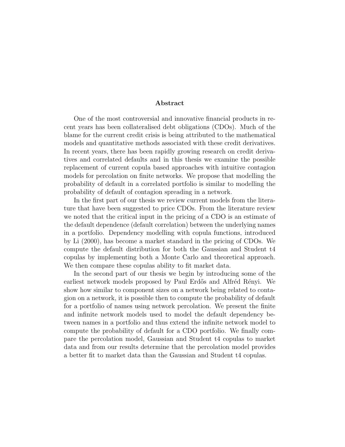#### Abstract

One of the most controversial and innovative financial products in recent years has been collateralised debt obligations (CDOs). Much of the blame for the current credit crisis is being attributed to the mathematical models and quantitative methods associated with these credit derivatives. In recent years, there has been rapidly growing research on credit derivatives and correlated defaults and in this thesis we examine the possible replacement of current copula based approaches with intuitive contagion models for percolation on finite networks. We propose that modelling the probability of default in a correlated portfolio is similar to modelling the probability of default of contagion spreading in a network.

In the first part of our thesis we review current models from the literature that have been suggested to price CDOs. From the literature review we noted that the critical input in the pricing of a CDO is an estimate of the default dependence (default correlation) between the underlying names in a portfolio. Dependency modelling with copula functions, introduced by Li (2000), has become a market standard in the pricing of CDOs. We compute the default distribution for both the Gaussian and Student t4 copulas by implementing both a Monte Carlo and theoretical approach. We then compare these copulas ability to fit market data.

In the second part of our thesis we begin by introducing some of the earliest network models proposed by Paul Erdős and Alfréd Rényi. We show how similar to component sizes on a network being related to contagion on a network, it is possible then to compute the probability of default for a portfolio of names using network percolation. We present the finite and infinite network models used to model the default dependency between names in a portfolio and thus extend the infinite network model to compute the probability of default for a CDO portfolio. We finally compare the percolation model, Gaussian and Student t4 copulas to market data and from our results determine that the percolation model provides a better fit to market data than the Gaussian and Student t4 copulas.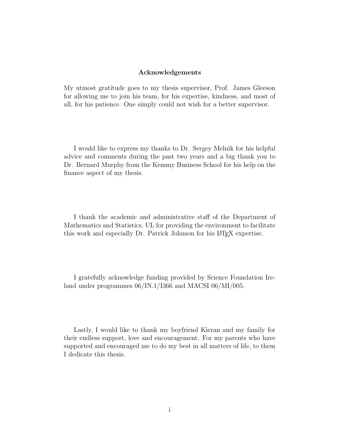#### Acknowledgements

My utmost gratitude goes to my thesis supervisor, Prof. James Gleeson for allowing me to join his team, for his expertise, kindness, and most of all, for his patience. One simply could not wish for a better supervisor.

I would like to express my thanks to Dr. Sergey Melnik for his helpful advice and comments during the past two years and a big thank you to Dr. Bernard Murphy from the Kemmy Business School for his help on the finance aspect of my thesis.

I thank the academic and administrative staff of the Department of Mathematics and Statistics, UL for providing the environment to facilitate this work and especially Dr. Patrick Johnson for his LAT<sub>E</sub>X expertise.

I gratefully acknowledge funding provided by Science Foundation Ireland under programmes 06/IN.1/I366 and MACSI 06/MI/005.

Lastly, I would like to thank my boyfriend Kieran and my family for their endless support, love and encouragement. For my parents who have supported and encouraged me to do my best in all matters of life, to them I dedicate this thesis.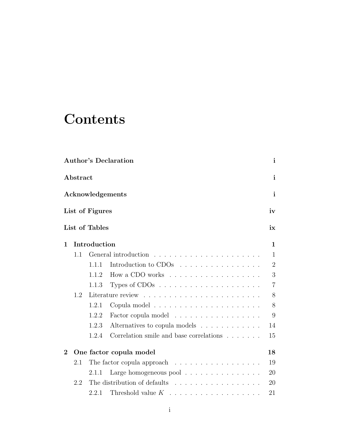# **Contents**

|          |          |                 | <b>Author's Declaration</b>                                     | $\mathbf{i}$   |
|----------|----------|-----------------|-----------------------------------------------------------------|----------------|
|          | Abstract |                 |                                                                 | $\mathbf{i}$   |
|          |          |                 | Acknowledgements                                                | $\mathbf{i}$   |
|          |          | List of Figures |                                                                 | iv             |
|          |          | List of Tables  |                                                                 | ix             |
| 1        |          | Introduction    |                                                                 | $\mathbf{1}$   |
|          | 1.1      |                 |                                                                 | $\mathbf{1}$   |
|          |          | 1.1.1           | Introduction to CDOs                                            | $\overline{2}$ |
|          |          | 1.1.2           | How a CDO works                                                 | 3              |
|          |          | 1.1.3           |                                                                 | $\overline{7}$ |
|          | 1.2      |                 |                                                                 | 8              |
|          |          | 1.2.1           |                                                                 | 8              |
|          |          | 1.2.2           | Factor copula model                                             | 9              |
|          |          | 1.2.3           | Alternatives to copula models                                   | 14             |
|          |          | 1.2.4           | Correlation smile and base correlations $\ldots \ldots$         | 15             |
| $\bf{2}$ |          |                 | One factor copula model                                         | 18             |
|          | 2.1      |                 | The factor copula approach $\ldots \ldots \ldots \ldots \ldots$ | 19             |
|          |          | 2.1.1           | Large homogeneous pool $\ldots \ldots \ldots \ldots \ldots$     | 20             |
|          | 2.2      |                 | The distribution of defaults                                    | 20             |
|          |          | 2.2.1           | Threshold value $K$                                             | 21             |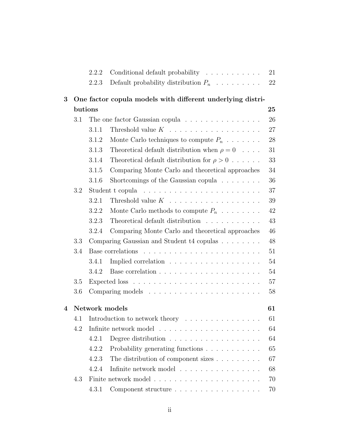|   |     | 2.2.2   | Conditional default probability                                     | 21     |
|---|-----|---------|---------------------------------------------------------------------|--------|
|   |     | 2.2.3   | Default probability distribution $P_n$                              | 22     |
| 3 |     |         | One factor copula models with different underlying distri-          |        |
|   |     | butions |                                                                     | 25     |
|   | 3.1 |         | The one factor Gaussian copula $\ldots \ldots \ldots \ldots \ldots$ | $26\,$ |
|   |     | 3.1.1   | Threshold value $K$                                                 | 27     |
|   |     | 3.1.2   | Monte Carlo techniques to compute $P_n$                             | 28     |
|   |     | 3.1.3   | Theoretical default distribution when $\rho = 0$                    | 31     |
|   |     | 3.1.4   | Theoretical default distribution for $\rho > 0$                     | 33     |
|   |     | 3.1.5   | Comparing Monte Carlo and theoretical approaches                    | 34     |
|   |     | 3.1.6   | Shortcomings of the Gaussian copula $\ldots \ldots$                 | 36     |
|   | 3.2 |         |                                                                     | 37     |
|   |     | 3.2.1   |                                                                     | 39     |
|   |     | 3.2.2   | Monte Carlo methods to compute $P_n$                                | 42     |
|   |     | 3.2.3   | Theoretical default distribution                                    | 43     |
|   |     | 3.2.4   | Comparing Monte Carlo and theoretical approaches                    | 46     |
|   | 3.3 |         | Comparing Gaussian and Student t4 copulas                           | 48     |
|   | 3.4 |         | Base correlations                                                   | 51     |
|   |     | 3.4.1   | Implied correlation                                                 | $54\,$ |
|   |     | 3.4.2   |                                                                     | 54     |
|   | 3.5 |         |                                                                     | 57     |
|   | 3.6 |         |                                                                     | 58     |
| 4 |     |         | Network models                                                      | 61     |
|   | 4.1 |         | Introduction to network theory                                      | 61     |
|   | 4.2 |         |                                                                     | 64     |
|   |     | 4.2.1   | Degree distribution $\ldots \ldots \ldots \ldots \ldots \ldots$     | 64     |
|   |     | 4.2.2   | Probability generating functions                                    | 65     |
|   |     | 4.2.3   | The distribution of component sizes $\ldots \ldots \ldots$          | 67     |
|   |     | 4.2.4   | Infinite network model                                              | 68     |
|   | 4.3 |         |                                                                     | 70     |
|   |     | 4.3.1   | Component structure                                                 | 70     |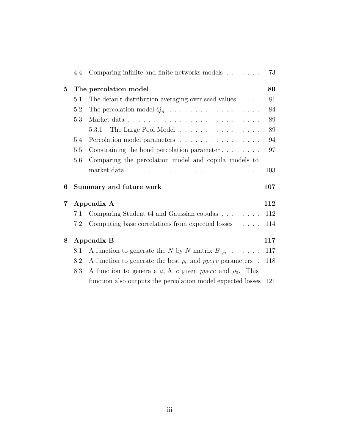|          | 4.4 | Comparing infinite and finite networks models                  | 73  |
|----------|-----|----------------------------------------------------------------|-----|
| $\bf{5}$ |     | The percolation model                                          | 80  |
|          | 5.1 | The default distribution averaging over seed values            | 81  |
|          | 5.2 | The percolation model $Q_n$                                    | 84  |
|          | 5.3 |                                                                | 89  |
|          |     | The Large Pool Model<br>5.3.1                                  | 89  |
|          | 5.4 | Percolation model parameters                                   | 94  |
|          | 5.5 | Constraining the bond percolation parameter $\dots \dots$      | 97  |
|          | 5.6 | Comparing the percolation model and copula models to           |     |
|          |     |                                                                | 103 |
| 6        |     | Summary and future work                                        | 107 |
|          |     |                                                                |     |
| 7        |     | Appendix A                                                     | 112 |
|          | 7.1 | Comparing Student t4 and Gaussian copulas                      | 112 |
|          | 7.2 | Computing base correlations from expected losses $\dots$ .     | 114 |
| 8        |     | Appendix B                                                     | 117 |
|          | 8.1 | A function to generate the N by N matrix $B_{1,n}$             | 117 |
|          | 8.2 | A function to generate the best $\rho_0$ and pperc parameters. | 118 |
|          | 8.3 | A function to generate a, b, c given pperc and $\rho_0$ . This |     |
|          |     | function also outputs the percolation model expected losses    | 121 |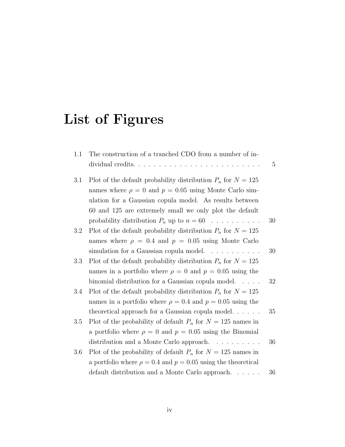# List of Figures

| 1.1     | The construction of a tranched CDO from a number of in-             |                 |
|---------|---------------------------------------------------------------------|-----------------|
|         |                                                                     | $5\overline{)}$ |
| 3.1     | Plot of the default probability distribution $P_n$ for $N = 125$    |                 |
|         | names where $\rho = 0$ and $p = 0.05$ using Monte Carlo sim-        |                 |
|         | ulation for a Gaussian copula model. As results between             |                 |
|         | 60 and 125 are extremely small we only plot the default             |                 |
|         | probability distribution $P_n$ up to $n = 60$                       | 30              |
| 3.2     | Plot of the default probability distribution $P_n$ for $N = 125$    |                 |
|         | names where $\rho = 0.4$ and $p = 0.05$ using Monte Carlo           |                 |
|         | simulation for a Gaussian copula model.                             | 30              |
| 3.3     | Plot of the default probability distribution $P_n$ for $N = 125$    |                 |
|         | names in a portfolio where $\rho = 0$ and $p = 0.05$ using the      |                 |
|         | binomial distribution for a Gaussian copula model. $\ldots$ .       | 32              |
| 3.4     | Plot of the default probability distribution $P_n$ for $N = 125$    |                 |
|         | names in a portfolio where $\rho = 0.4$ and $p = 0.05$ using the    |                 |
|         | theoretical approach for a Gaussian copula model. $\ldots$          | 35              |
| $3.5\,$ | Plot of the probability of default $P_n$ for $N = 125$ names in     |                 |
|         | a portfolio where $\rho = 0$ and $p = 0.05$ using the Binomial      |                 |
|         | distribution and a Monte Carlo approach.                            | 36              |
| 3.6     | Plot of the probability of default $P_n$ for $N = 125$ names in     |                 |
|         | a portfolio where $\rho = 0.4$ and $p = 0.05$ using the theoretical |                 |
|         | default distribution and a Monte Carlo approach                     | 36              |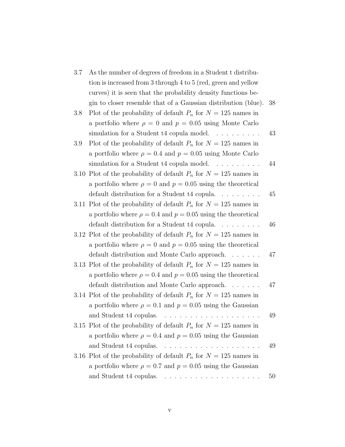| 3.7 | As the number of degrees of freedom in a Student t distribu-         |    |
|-----|----------------------------------------------------------------------|----|
|     | tion is increased from 3 through 4 to 5 (red, green and yellow       |    |
|     | curves) it is seen that the probability density functions be-        |    |
|     | gin to closer resemble that of a Gaussian distribution (blue).       | 38 |
| 3.8 | Plot of the probability of default $P_n$ for $N = 125$ names in      |    |
|     | a portfolio where $\rho = 0$ and $p = 0.05$ using Monte Carlo        |    |
|     | simulation for a Student $t4$ copula model. $\ldots \ldots \ldots$   | 43 |
| 3.9 | Plot of the probability of default $P_n$ for $N = 125$ names in      |    |
|     | a portfolio where $\rho = 0.4$ and $p = 0.05$ using Monte Carlo      |    |
|     | simulation for a Student $t4$ copula model. $\ldots \ldots \ldots$   | 44 |
|     | 3.10 Plot of the probability of default $P_n$ for $N = 125$ names in |    |
|     | a portfolio where $\rho = 0$ and $p = 0.05$ using the theoretical    |    |
|     | default distribution for a Student t4 copula                         | 45 |
|     | 3.11 Plot of the probability of default $P_n$ for $N = 125$ names in |    |
|     | a portfolio where $\rho = 0.4$ and $p = 0.05$ using the theoretical  |    |
|     | default distribution for a Student $t4$ copula                       | 46 |
|     | 3.12 Plot of the probability of default $P_n$ for $N = 125$ names in |    |
|     | a portfolio where $\rho = 0$ and $p = 0.05$ using the theoretical    |    |
|     | default distribution and Monte Carlo approach.                       | 47 |
|     | 3.13 Plot of the probability of default $P_n$ for $N = 125$ names in |    |
|     | a portfolio where $\rho = 0.4$ and $p = 0.05$ using the theoretical  |    |
|     | default distribution and Monte Carlo approach                        | 47 |
|     | 3.14 Plot of the probability of default $P_n$ for $N = 125$ names in |    |
|     | a portfolio where $\rho = 0.1$ and $p = 0.05$ using the Gaussian     |    |
|     | .<br>and Student t4 copulas.                                         | 49 |
|     | 3.15 Plot of the probability of default $P_n$ for $N = 125$ names in |    |
|     | a portfolio where $\rho = 0.4$ and $p = 0.05$ using the Gaussian     |    |
|     |                                                                      | 49 |
|     | 3.16 Plot of the probability of default $P_n$ for $N = 125$ names in |    |
|     | a portfolio where $\rho = 0.7$ and $p = 0.05$ using the Gaussian     |    |
|     |                                                                      | 50 |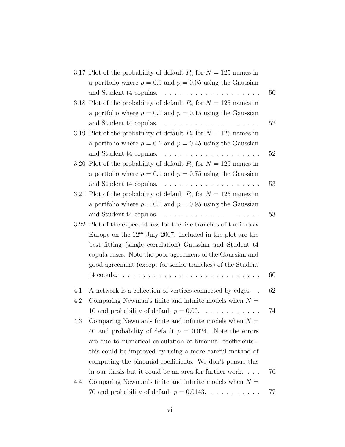|     | 3.17 Plot of the probability of default $P_n$ for $N = 125$ names in        |    |
|-----|-----------------------------------------------------------------------------|----|
|     | a portfolio where $\rho = 0.9$ and $p = 0.05$ using the Gaussian            |    |
|     |                                                                             | 50 |
|     | 3.18 Plot of the probability of default $P_n$ for $N = 125$ names in        |    |
|     | a portfolio where $\rho = 0.1$ and $p = 0.15$ using the Gaussian            |    |
|     |                                                                             | 52 |
|     | 3.19 Plot of the probability of default $P_n$ for $N = 125$ names in        |    |
|     | a portfolio where $\rho = 0.1$ and $p = 0.45$ using the Gaussian            |    |
|     |                                                                             | 52 |
|     | 3.20 Plot of the probability of default $P_n$ for $N = 125$ names in        |    |
|     | a portfolio where $\rho = 0.1$ and $p = 0.75$ using the Gaussian            |    |
|     |                                                                             | 53 |
|     | 3.21 Plot of the probability of default $P_n$ for $N = 125$ names in        |    |
|     | a portfolio where $\rho = 0.1$ and $p = 0.95$ using the Gaussian            |    |
|     |                                                                             | 53 |
|     | 3.22 Plot of the expected loss for the five tranches of the iTraxx          |    |
|     | Europe on the $12^{th}$ July 2007. Included in the plot are the             |    |
|     | best fitting (single correlation) Gaussian and Student t4                   |    |
|     | copula cases. Note the poor agreement of the Gaussian and                   |    |
|     | good agreement (except for senior tranches) of the Student                  |    |
|     | t4 copula. $\ldots \ldots \ldots \ldots \ldots \ldots \ldots \ldots \ldots$ | 60 |
|     |                                                                             |    |
| 4.1 | A network is a collection of vertices connected by edges.                   | 62 |
| 4.2 | Comparing Newman's finite and infinite models when $N =$                    |    |
|     | 10 and probability of default $p = 0.09$ .<br><u>.</u>                      | 74 |
| 4.3 | Comparing Newman's finite and infinite models when $N =$                    |    |
|     | 40 and probability of default $p = 0.024$ . Note the errors                 |    |
|     | are due to numerical calculation of binomial coefficients -                 |    |
|     | this could be improved by using a more careful method of                    |    |
|     | computing the binomial coefficients. We don't pursue this                   |    |
|     | in our thesis but it could be an area for further work                      | 76 |
| 4.4 | Comparing Newman's finite and infinite models when $N =$                    |    |
|     | 70 and probability of default $p = 0.0143$ .                                | 77 |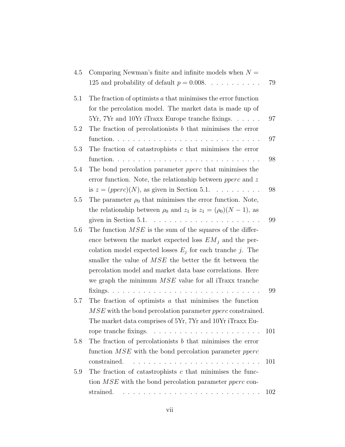| 4.5 | Comparing Newman's finite and infinite models when $N =$                              |     |
|-----|---------------------------------------------------------------------------------------|-----|
|     | 125 and probability of default $p = 0.008$                                            | 79  |
| 5.1 | The fraction of optimists $a$ that minimises the error function                       |     |
|     | for the percolation model. The market data is made up of                              |     |
|     | 5Yr, 7Yr and 10Yr iTraxx Europe tranche fixings                                       | 97  |
| 5.2 | The fraction of percolationists $b$ that minimises the error                          |     |
|     |                                                                                       | 97  |
| 5.3 | The fraction of catastrophists $c$ that minimises the error                           |     |
|     |                                                                                       | 98  |
| 5.4 | The bond percolation parameter <i>pperc</i> that minimises the                        |     |
|     | error function. Note, the relationship between <i>pperc</i> and $z$                   |     |
|     | is $z = (pperc)(N)$ , as given in Section 5.1.                                        | 98  |
| 5.5 | The parameter $\rho_0$ that minimises the error function. Note,                       |     |
|     | the relationship between $\rho_0$ and $z_1$ is $z_1 = (\rho_0)(N-1)$ , as             |     |
|     |                                                                                       | 99  |
| 5.6 | The function $MSE$ is the sum of the squares of the differ-                           |     |
|     | ence between the market expected loss $EM_i$ and the per-                             |     |
|     | colation model expected losses $E_j$ for each tranche j. The                          |     |
|     | smaller the value of <i>MSE</i> the better the fit between the                        |     |
|     | percolation model and market data base correlations. Here                             |     |
|     | we graph the minimum $MSE$ value for all iTraxx tranches                              |     |
|     |                                                                                       | 99  |
| 5.7 | The fraction of optimists $a$ that minimises the function                             |     |
|     | $MSE$ with the bond percolation parameter $pperc$ constrained.                        |     |
|     | The market data comprises of 5Yr, 7Yr and 10Yr iTraxx Eu-                             |     |
|     |                                                                                       | 101 |
| 5.8 | The fraction of percolationists $b$ that minimises the error                          |     |
|     | function $MSE$ with the bond percolation parameter <i>pperc</i>                       |     |
|     | constrained.                                                                          | 101 |
| 5.9 | The fraction of catastrophists $c$ that minimises the func-                           |     |
|     | tion $MSE$ with the bond percolation parameter <i>pperc</i> con-                      |     |
|     | strained.<br>والمتواط والمتواط والمتواط والمتواط والمتواط والمتواط والمتواط والمتواطئ | 102 |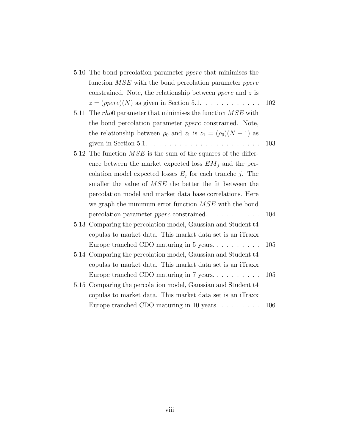|      | 5.10 The bond percolation parameter <i>pperc</i> that minimises the      |     |
|------|--------------------------------------------------------------------------|-----|
|      | function $MSE$ with the bond percolation parameter <i>pperc</i>          |     |
|      | constrained. Note, the relationship between <i>pperc</i> and $z$ is      |     |
|      | $z = (pperc)(N)$ as given in Section 5.1.                                | 102 |
| 5.11 | The $rho0$ parameter that minimises the function $MSE$ with              |     |
|      | the bond percolation parameter <i>pperc</i> constrained. Note,           |     |
|      | the relationship between $\rho_0$ and $z_1$ is $z_1 = (\rho_0)(N-1)$ as  |     |
|      | given in Section 5.1. $\ldots \ldots \ldots \ldots \ldots \ldots \ldots$ | 103 |
|      | 5.12 The function $MSE$ is the sum of the squares of the differ-         |     |
|      | ence between the market expected loss $EM_j$ and the per-                |     |
|      | colation model expected losses $E_j$ for each tranche j. The             |     |
|      | smaller the value of <i>MSE</i> the better the fit between the           |     |
|      | percolation model and market data base correlations. Here                |     |
|      | we graph the minimum error function $MSE$ with the bond                  |     |
|      | percolation parameter <i>pperc</i> constrained. $\ldots \ldots \ldots$   | 104 |
|      | 5.13 Comparing the percolation model, Gaussian and Student t4            |     |
|      | copulas to market data. This market data set is an iTraxx                |     |
|      | Europe tranched CDO maturing in $5$ years                                | 105 |
|      | 5.14 Comparing the percolation model, Gaussian and Student t4            |     |
|      | copulas to market data. This market data set is an iTraxx                |     |
|      | Europe tranched CDO maturing in 7 years                                  | 105 |
|      | 5.15 Comparing the percolation model, Gaussian and Student t4            |     |
|      | copulas to market data. This market data set is an iTraxx                |     |
|      | Europe tranched CDO maturing in 10 years                                 | 106 |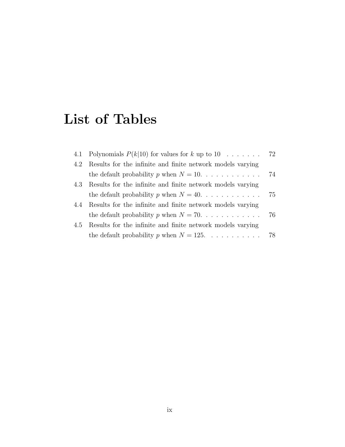# List of Tables

|     | 4.1 Polynomials $P(k 10)$ for values for k up to 10 72         |    |
|-----|----------------------------------------------------------------|----|
|     | 4.2 Results for the infinite and finite network models varying |    |
|     |                                                                |    |
|     | 4.3 Results for the infinite and finite network models varying |    |
|     |                                                                |    |
|     | 4.4 Results for the infinite and finite network models varying |    |
|     | the default probability p when $N = 70$                        | 76 |
| 4.5 | Results for the infinite and finite network models varying     |    |
|     | the default probability p when $N = 125$                       | 78 |
|     |                                                                |    |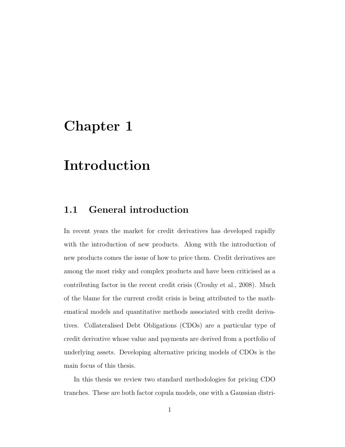## Chapter 1

## Introduction

## 1.1 General introduction

In recent years the market for credit derivatives has developed rapidly with the introduction of new products. Along with the introduction of new products comes the issue of how to price them. Credit derivatives are among the most risky and complex products and have been criticised as a contributing factor in the recent credit crisis (Crouhy et al., 2008). Much of the blame for the current credit crisis is being attributed to the mathematical models and quantitative methods associated with credit derivatives. Collateralised Debt Obligations (CDOs) are a particular type of credit derivative whose value and payments are derived from a portfolio of underlying assets. Developing alternative pricing models of CDOs is the main focus of this thesis.

In this thesis we review two standard methodologies for pricing CDO tranches. These are both factor copula models, one with a Gaussian distri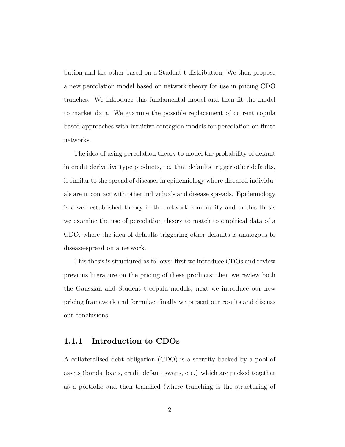bution and the other based on a Student t distribution. We then propose a new percolation model based on network theory for use in pricing CDO tranches. We introduce this fundamental model and then fit the model to market data. We examine the possible replacement of current copula based approaches with intuitive contagion models for percolation on finite networks.

The idea of using percolation theory to model the probability of default in credit derivative type products, i.e. that defaults trigger other defaults, is similar to the spread of diseases in epidemiology where diseased individuals are in contact with other individuals and disease spreads. Epidemiology is a well established theory in the network community and in this thesis we examine the use of percolation theory to match to empirical data of a CDO, where the idea of defaults triggering other defaults is analogous to disease-spread on a network.

This thesis is structured as follows: first we introduce CDOs and review previous literature on the pricing of these products; then we review both the Gaussian and Student t copula models; next we introduce our new pricing framework and formulae; finally we present our results and discuss our conclusions.

### 1.1.1 Introduction to CDOs

A collateralised debt obligation (CDO) is a security backed by a pool of assets (bonds, loans, credit default swaps, etc.) which are packed together as a portfolio and then tranched (where tranching is the structuring of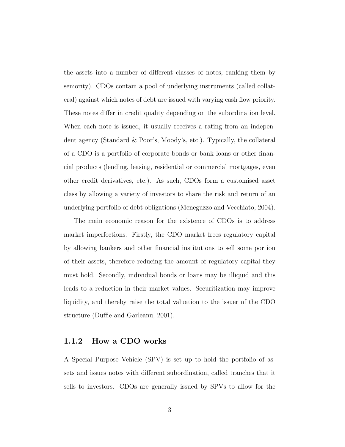the assets into a number of different classes of notes, ranking them by seniority). CDOs contain a pool of underlying instruments (called collateral) against which notes of debt are issued with varying cash flow priority. These notes differ in credit quality depending on the subordination level. When each note is issued, it usually receives a rating from an independent agency (Standard & Poor's, Moody's, etc.). Typically, the collateral of a CDO is a portfolio of corporate bonds or bank loans or other financial products (lending, leasing, residential or commercial mortgages, even other credit derivatives, etc.). As such, CDOs form a customised asset class by allowing a variety of investors to share the risk and return of an underlying portfolio of debt obligations (Meneguzzo and Vecchiato, 2004).

The main economic reason for the existence of CDOs is to address market imperfections. Firstly, the CDO market frees regulatory capital by allowing bankers and other financial institutions to sell some portion of their assets, therefore reducing the amount of regulatory capital they must hold. Secondly, individual bonds or loans may be illiquid and this leads to a reduction in their market values. Securitization may improve liquidity, and thereby raise the total valuation to the issuer of the CDO structure (Duffie and Garleanu, 2001).

#### 1.1.2 How a CDO works

A Special Purpose Vehicle (SPV) is set up to hold the portfolio of assets and issues notes with different subordination, called tranches that it sells to investors. CDOs are generally issued by SPVs to allow for the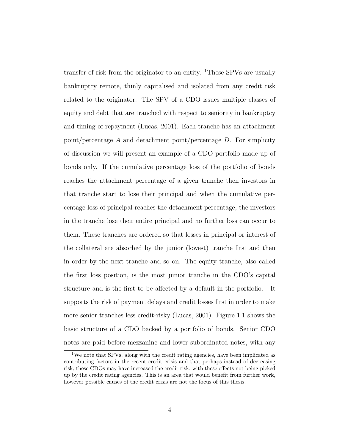transfer of risk from the originator to an entity. <sup>1</sup>These SPVs are usually bankruptcy remote, thinly capitalised and isolated from any credit risk related to the originator. The SPV of a CDO issues multiple classes of equity and debt that are tranched with respect to seniority in bankruptcy and timing of repayment (Lucas, 2001). Each tranche has an attachment point/percentage A and detachment point/percentage  $D$ . For simplicity of discussion we will present an example of a CDO portfolio made up of bonds only. If the cumulative percentage loss of the portfolio of bonds reaches the attachment percentage of a given tranche then investors in that tranche start to lose their principal and when the cumulative percentage loss of principal reaches the detachment percentage, the investors in the tranche lose their entire principal and no further loss can occur to them. These tranches are ordered so that losses in principal or interest of the collateral are absorbed by the junior (lowest) tranche first and then in order by the next tranche and so on. The equity tranche, also called the first loss position, is the most junior tranche in the CDO's capital structure and is the first to be affected by a default in the portfolio. It supports the risk of payment delays and credit losses first in order to make more senior tranches less credit-risky (Lucas, 2001). Figure 1.1 shows the basic structure of a CDO backed by a portfolio of bonds. Senior CDO notes are paid before mezzanine and lower subordinated notes, with any

<sup>1</sup>We note that SPVs, along with the credit rating agencies, have been implicated as contributing factors in the recent credit crisis and that perhaps instead of decreasing risk, these CDOs may have increased the credit risk, with these effects not being picked up by the credit rating agencies. This is an area that would benefit from further work, however possible causes of the credit crisis are not the focus of this thesis.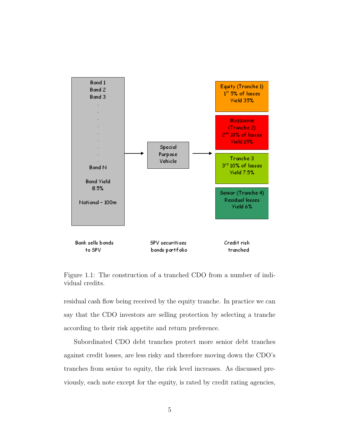

Figure 1.1: The construction of a tranched CDO from a number of individual credits.

residual cash flow being received by the equity tranche. In practice we can say that the CDO investors are selling protection by selecting a tranche according to their risk appetite and return preference.

Subordinated CDO debt tranches protect more senior debt tranches against credit losses, are less risky and therefore moving down the CDO's tranches from senior to equity, the risk level increases. As discussed previously, each note except for the equity, is rated by credit rating agencies,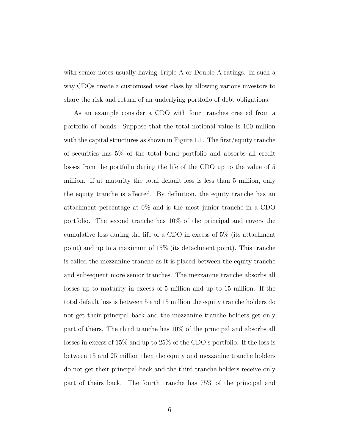with senior notes usually having Triple-A or Double-A ratings. In such a way CDOs create a customised asset class by allowing various investors to share the risk and return of an underlying portfolio of debt obligations.

As an example consider a CDO with four tranches created from a portfolio of bonds. Suppose that the total notional value is 100 million with the capital structures as shown in Figure 1.1. The first/equity tranche of securities has 5% of the total bond portfolio and absorbs all credit losses from the portfolio during the life of the CDO up to the value of 5 million. If at maturity the total default loss is less than 5 million, only the equity tranche is affected. By definition, the equity tranche has an attachment percentage at 0% and is the most junior tranche in a CDO portfolio. The second tranche has 10% of the principal and covers the cumulative loss during the life of a CDO in excess of 5% (its attachment point) and up to a maximum of 15% (its detachment point). This tranche is called the mezzanine tranche as it is placed between the equity tranche and subsequent more senior tranches. The mezzanine tranche absorbs all losses up to maturity in excess of 5 million and up to 15 million. If the total default loss is between 5 and 15 million the equity tranche holders do not get their principal back and the mezzanine tranche holders get only part of theirs. The third tranche has 10% of the principal and absorbs all losses in excess of 15% and up to 25% of the CDO's portfolio. If the loss is between 15 and 25 million then the equity and mezzanine tranche holders do not get their principal back and the third tranche holders receive only part of theirs back. The fourth tranche has 75% of the principal and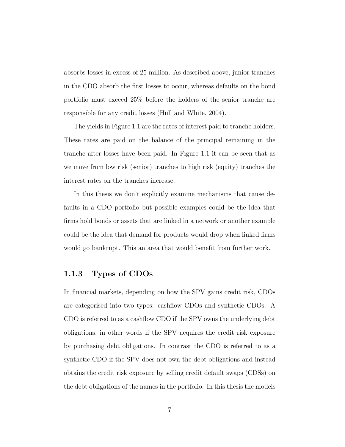absorbs losses in excess of 25 million. As described above, junior tranches in the CDO absorb the first losses to occur, whereas defaults on the bond portfolio must exceed 25% before the holders of the senior tranche are responsible for any credit losses (Hull and White, 2004).

The yields in Figure 1.1 are the rates of interest paid to tranche holders. These rates are paid on the balance of the principal remaining in the tranche after losses have been paid. In Figure 1.1 it can be seen that as we move from low risk (senior) tranches to high risk (equity) tranches the interest rates on the tranches increase.

In this thesis we don't explicitly examine mechanisms that cause defaults in a CDO portfolio but possible examples could be the idea that firms hold bonds or assets that are linked in a network or another example could be the idea that demand for products would drop when linked firms would go bankrupt. This an area that would benefit from further work.

### 1.1.3 Types of CDOs

In financial markets, depending on how the SPV gains credit risk, CDOs are categorised into two types: cashflow CDOs and synthetic CDOs. A CDO is referred to as a cashflow CDO if the SPV owns the underlying debt obligations, in other words if the SPV acquires the credit risk exposure by purchasing debt obligations. In contrast the CDO is referred to as a synthetic CDO if the SPV does not own the debt obligations and instead obtains the credit risk exposure by selling credit default swaps (CDSs) on the debt obligations of the names in the portfolio. In this thesis the models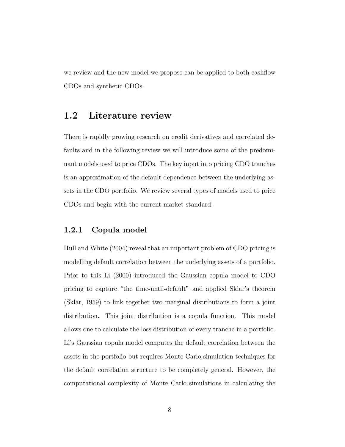we review and the new model we propose can be applied to both cashflow CDOs and synthetic CDOs.

## 1.2 Literature review

There is rapidly growing research on credit derivatives and correlated defaults and in the following review we will introduce some of the predominant models used to price CDOs. The key input into pricing CDO tranches is an approximation of the default dependence between the underlying assets in the CDO portfolio. We review several types of models used to price CDOs and begin with the current market standard.

#### 1.2.1 Copula model

Hull and White (2004) reveal that an important problem of CDO pricing is modelling default correlation between the underlying assets of a portfolio. Prior to this Li (2000) introduced the Gaussian copula model to CDO pricing to capture "the time-until-default" and applied Sklar's theorem (Sklar, 1959) to link together two marginal distributions to form a joint distribution. This joint distribution is a copula function. This model allows one to calculate the loss distribution of every tranche in a portfolio. Li's Gaussian copula model computes the default correlation between the assets in the portfolio but requires Monte Carlo simulation techniques for the default correlation structure to be completely general. However, the computational complexity of Monte Carlo simulations in calculating the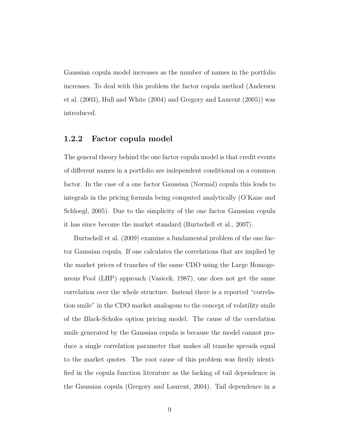Gaussian copula model increases as the number of names in the portfolio increases. To deal with this problem the factor copula method (Andersen et al. (2003), Hull and White (2004) and Gregory and Laurent (2005)) was introduced.

### 1.2.2 Factor copula model

The general theory behind the one factor copula model is that credit events of different names in a portfolio are independent conditional on a common factor. In the case of a one factor Gaussian (Normal) copula this leads to integrals in the pricing formula being computed analytically (O'Kane and Schloegl, 2005). Due to the simplicity of the one factor Gaussian copula it has since become the market standard (Burtschell et al., 2007).

Burtschell et al. (2009) examine a fundamental problem of the one factor Gaussian copula. If one calculates the correlations that are implied by the market prices of tranches of the same CDO using the Large Homogeneous Pool (LHP) approach (Vasicek, 1987), one does not get the same correlation over the whole structure. Instead there is a reported "correlation smile" in the CDO market analogous to the concept of volatility smile of the Black-Scholes option pricing model. The cause of the correlation smile generated by the Gaussian copula is because the model cannot produce a single correlation parameter that makes all tranche spreads equal to the market quotes. The root cause of this problem was firstly identified in the copula function literature as the lacking of tail dependence in the Gaussian copula (Gregory and Laurent, 2004). Tail dependence in a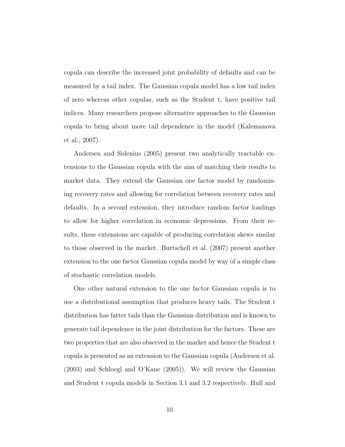copula can describe the increased joint probability of defaults and can be measured by a tail index. The Gaussian copula model has a low tail index of zero whereas other copulas, such as the Student t, have positive tail indices. Many researchers propose alternative approaches to the Gaussian copula to bring about more tail dependence in the model (Kalemanova et al., 2007).

Andersen and Sidenius (2005) present two analytically tractable extensions to the Gaussian copula with the aim of matching their results to market data. They extend the Gaussian one factor model by randomising recovery rates and allowing for correlation between recovery rates and defaults. In a second extension, they introduce random factor loadings to allow for higher correlation in economic depressions. From their results, these extensions are capable of producing correlation skews similar to those observed in the market. Burtschell et al. (2007) present another extension to the one factor Gaussian copula model by way of a simple class of stochastic correlation models.

One other natural extension to the one factor Gaussian copula is to use a distributional assumption that produces heavy tails. The Student t distribution has fatter tails than the Gaussian distribution and is known to generate tail dependence in the joint distribution for the factors. These are two properties that are also observed in the market and hence the Student t copula is presented as an extension to the Gaussian copula (Andersen et al. (2003) and Schloegl and O'Kane (2005)). We will review the Gaussian and Student t copula models in Section 3.1 and 3.2 respectively. Hull and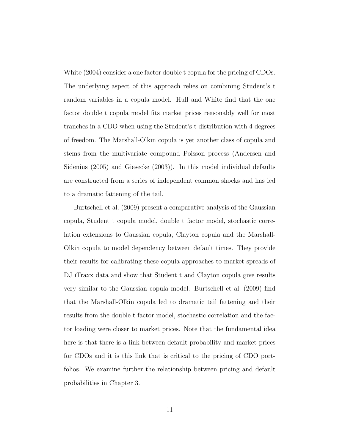White (2004) consider a one factor double t copula for the pricing of CDOs. The underlying aspect of this approach relies on combining Student's t random variables in a copula model. Hull and White find that the one factor double t copula model fits market prices reasonably well for most tranches in a CDO when using the Student's t distribution with 4 degrees of freedom. The Marshall-Olkin copula is yet another class of copula and stems from the multivariate compound Poisson process (Andersen and Sidenius (2005) and Giesecke (2003)). In this model individual defaults are constructed from a series of independent common shocks and has led to a dramatic fattening of the tail.

Burtschell et al. (2009) present a comparative analysis of the Gaussian copula, Student t copula model, double t factor model, stochastic correlation extensions to Gaussian copula, Clayton copula and the Marshall-Olkin copula to model dependency between default times. They provide their results for calibrating these copula approaches to market spreads of DJ iTraxx data and show that Student t and Clayton copula give results very similar to the Gaussian copula model. Burtschell et al. (2009) find that the Marshall-Olkin copula led to dramatic tail fattening and their results from the double t factor model, stochastic correlation and the factor loading were closer to market prices. Note that the fundamental idea here is that there is a link between default probability and market prices for CDOs and it is this link that is critical to the pricing of CDO portfolios. We examine further the relationship between pricing and default probabilities in Chapter 3.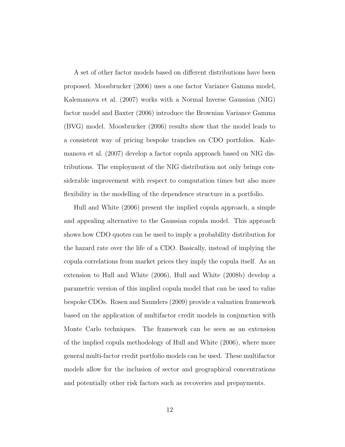A set of other factor models based on different distributions have been proposed. Moosbrucker (2006) uses a one factor Variance Gamma model, Kalemanova et al. (2007) works with a Normal Inverse Gaussian (NIG) factor model and Baxter (2006) introduce the Brownian Variance Gamma (BVG) model. Moosbrucker (2006) results show that the model leads to a consistent way of pricing bespoke tranches on CDO portfolios. Kalemanova et al. (2007) develop a factor copula approach based on NIG distributions. The employment of the NIG distribution not only brings considerable improvement with respect to computation times but also more flexibility in the modelling of the dependence structure in a portfolio.

Hull and White (2006) present the implied copula approach, a simple and appealing alternative to the Gaussian copula model. This approach shows how CDO quotes can be used to imply a probability distribution for the hazard rate over the life of a CDO. Basically, instead of implying the copula correlations from market prices they imply the copula itself. As an extension to Hull and White (2006), Hull and White (2008b) develop a parametric version of this implied copula model that can be used to value bespoke CDOs. Rosen and Saunders (2009) provide a valuation framework based on the application of multifactor credit models in conjunction with Monte Carlo techniques. The framework can be seen as an extension of the implied copula methodology of Hull and White (2006), where more general multi-factor credit portfolio models can be used. These multifactor models allow for the inclusion of sector and geographical concentrations and potentially other risk factors such as recoveries and prepayments.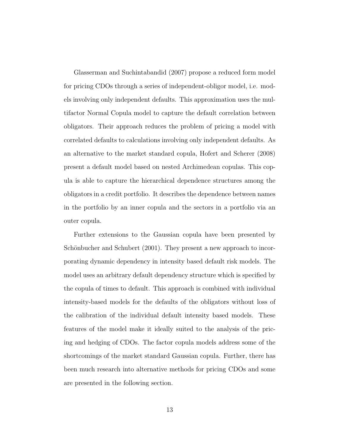Glasserman and Suchintabandid (2007) propose a reduced form model for pricing CDOs through a series of independent-obligor model, i.e. models involving only independent defaults. This approximation uses the multifactor Normal Copula model to capture the default correlation between obligators. Their approach reduces the problem of pricing a model with correlated defaults to calculations involving only independent defaults. As an alternative to the market standard copula, Hofert and Scherer (2008) present a default model based on nested Archimedean copulas. This copula is able to capture the hierarchical dependence structures among the obligators in a credit portfolio. It describes the dependence between names in the portfolio by an inner copula and the sectors in a portfolio via an outer copula.

Further extensions to the Gaussian copula have been presented by Schönbucher and Schubert (2001). They present a new approach to incorporating dynamic dependency in intensity based default risk models. The model uses an arbitrary default dependency structure which is specified by the copula of times to default. This approach is combined with individual intensity-based models for the defaults of the obligators without loss of the calibration of the individual default intensity based models. These features of the model make it ideally suited to the analysis of the pricing and hedging of CDOs. The factor copula models address some of the shortcomings of the market standard Gaussian copula. Further, there has been much research into alternative methods for pricing CDOs and some are presented in the following section.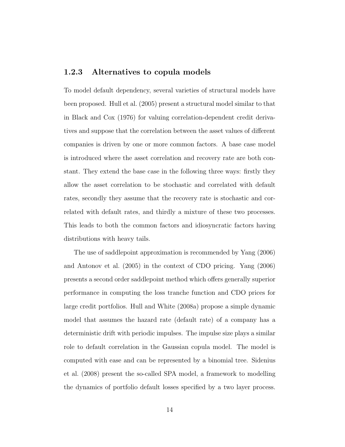### 1.2.3 Alternatives to copula models

To model default dependency, several varieties of structural models have been proposed. Hull et al. (2005) present a structural model similar to that in Black and Cox (1976) for valuing correlation-dependent credit derivatives and suppose that the correlation between the asset values of different companies is driven by one or more common factors. A base case model is introduced where the asset correlation and recovery rate are both constant. They extend the base case in the following three ways: firstly they allow the asset correlation to be stochastic and correlated with default rates, secondly they assume that the recovery rate is stochastic and correlated with default rates, and thirdly a mixture of these two processes. This leads to both the common factors and idiosyncratic factors having distributions with heavy tails.

The use of saddlepoint approximation is recommended by Yang (2006) and Antonov et al. (2005) in the context of CDO pricing. Yang (2006) presents a second order saddlepoint method which offers generally superior performance in computing the loss tranche function and CDO prices for large credit portfolios. Hull and White (2008a) propose a simple dynamic model that assumes the hazard rate (default rate) of a company has a deterministic drift with periodic impulses. The impulse size plays a similar role to default correlation in the Gaussian copula model. The model is computed with ease and can be represented by a binomial tree. Sidenius et al. (2008) present the so-called SPA model, a framework to modelling the dynamics of portfolio default losses specified by a two layer process.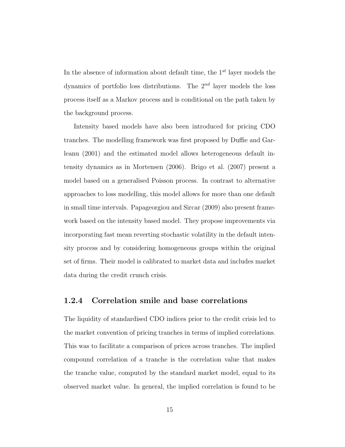In the absence of information about default time, the  $1^{st}$  layer models the dynamics of portfolio loss distributions. The  $2^{nd}$  layer models the loss process itself as a Markov process and is conditional on the path taken by the background process.

Intensity based models have also been introduced for pricing CDO tranches. The modelling framework was first proposed by Duffie and Garleanu (2001) and the estimated model allows heterogeneous default intensity dynamics as in Mortensen (2006). Brigo et al. (2007) present a model based on a generalised Poisson process. In contrast to alternative approaches to loss modelling, this model allows for more than one default in small time intervals. Papageorgiou and Sircar (2009) also present framework based on the intensity based model. They propose improvements via incorporating fast mean reverting stochastic volatility in the default intensity process and by considering homogeneous groups within the original set of firms. Their model is calibrated to market data and includes market data during the credit crunch crisis.

### 1.2.4 Correlation smile and base correlations

The liquidity of standardised CDO indices prior to the credit crisis led to the market convention of pricing tranches in terms of implied correlations. This was to facilitate a comparison of prices across tranches. The implied compound correlation of a tranche is the correlation value that makes the tranche value, computed by the standard market model, equal to its observed market value. In general, the implied correlation is found to be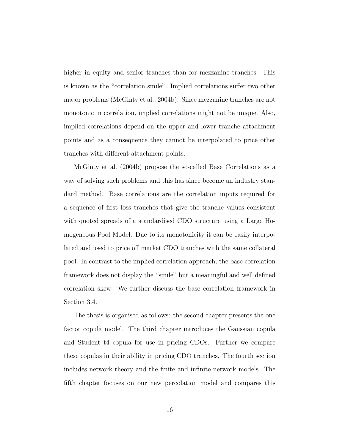higher in equity and senior tranches than for mezzanine tranches. This is known as the "correlation smile". Implied correlations suffer two other major problems (McGinty et al., 2004b). Since mezzanine tranches are not monotonic in correlation, implied correlations might not be unique. Also, implied correlations depend on the upper and lower tranche attachment points and as a consequence they cannot be interpolated to price other tranches with different attachment points.

McGinty et al. (2004b) propose the so-called Base Correlations as a way of solving such problems and this has since become an industry standard method. Base correlations are the correlation inputs required for a sequence of first loss tranches that give the tranche values consistent with quoted spreads of a standardised CDO structure using a Large Homogeneous Pool Model. Due to its monotonicity it can be easily interpolated and used to price off market CDO tranches with the same collateral pool. In contrast to the implied correlation approach, the base correlation framework does not display the "smile" but a meaningful and well defined correlation skew. We further discuss the base correlation framework in Section 3.4.

The thesis is organised as follows: the second chapter presents the one factor copula model. The third chapter introduces the Gaussian copula and Student t4 copula for use in pricing CDOs. Further we compare these copulas in their ability in pricing CDO tranches. The fourth section includes network theory and the finite and infinite network models. The fifth chapter focuses on our new percolation model and compares this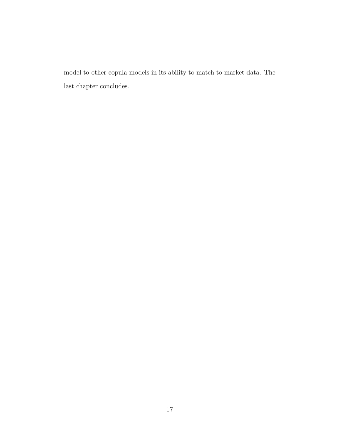model to other copula models in its ability to match to market data. The last chapter concludes.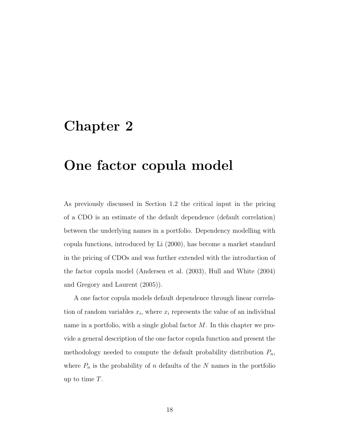## Chapter 2

## One factor copula model

As previously discussed in Section 1.2 the critical input in the pricing of a CDO is an estimate of the default dependence (default correlation) between the underlying names in a portfolio. Dependency modelling with copula functions, introduced by Li (2000), has become a market standard in the pricing of CDOs and was further extended with the introduction of the factor copula model (Andersen et al. (2003), Hull and White (2004) and Gregory and Laurent (2005)).

A one factor copula models default dependence through linear correlation of random variables  $x_i$ , where  $x_i$  represents the value of an individual name in a portfolio, with a single global factor M. In this chapter we provide a general description of the one factor copula function and present the methodology needed to compute the default probability distribution  $P_n$ , where  $P_n$  is the probability of n defaults of the N names in the portfolio up to time T.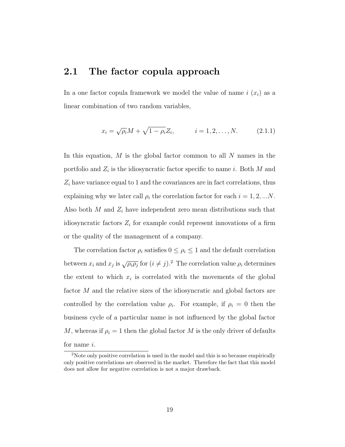## 2.1 The factor copula approach

In a one factor copula framework we model the value of name  $i(x_i)$  as a linear combination of two random variables,

$$
x_i = \sqrt{\rho_i} M + \sqrt{1 - \rho_i} Z_i, \qquad i = 1, 2, ..., N. \qquad (2.1.1)
$$

In this equation,  $M$  is the global factor common to all  $N$  names in the portfolio and  $Z_i$  is the idiosyncratic factor specific to name i. Both M and  $Z_i$  have variance equal to 1 and the covariances are in fact correlations, thus explaining why we later call  $\rho_i$  the correlation factor for each  $i = 1, 2, ...N$ . Also both  $M$  and  $Z_i$  have independent zero mean distributions such that idiosyncratic factors  $Z_i$  for example could represent innovations of a firm or the quality of the management of a company.

The correlation factor  $\rho_i$  satisfies  $0 \leq \rho_i \leq 1$  and the default correlation between  $x_i$  and  $x_j$  is  $\sqrt{\rho_i \rho_j}$  for  $(i \neq j)$ .<sup>2</sup> The correlation value  $\rho_i$  determines the extent to which  $x_i$  is correlated with the movements of the global factor M and the relative sizes of the idiosyncratic and global factors are controlled by the correlation value  $\rho_i$ . For example, if  $\rho_i = 0$  then the business cycle of a particular name is not influenced by the global factor M, whereas if  $\rho_i = 1$  then the global factor M is the only driver of defaults for name i.

<sup>&</sup>lt;sup>2</sup>Note only positive correlation is used in the model and this is so because empirically only positive correlations are observed in the market. Therefore the fact that this model does not allow for negative correlation is not a major drawback.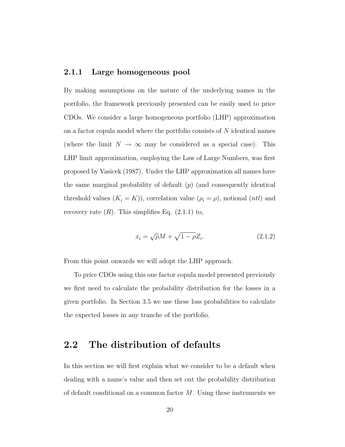### 2.1.1 Large homogeneous pool

By making assumptions on the nature of the underlying names in the portfolio, the framework previously presented can be easily used to price CDOs. We consider a large homogeneous portfolio (LHP) approximation on a factor copula model where the portfolio consists of N identical names (where the limit  $N \to \infty$  may be considered as a special case). This LHP limit approximation, employing the Law of Large Numbers, was first proposed by Vasicek (1987). Under the LHP approximation all names have the same marginal probability of default  $(p)$  (and consequently identical threshold values  $(K_i = K)$ ), correlation value  $(\rho_i = \rho)$ , notional  $(ntl)$  and recovery rate  $(R)$ . This simplifies Eq.  $(2.1.1)$  to,

$$
x_i = \sqrt{\rho}M + \sqrt{1 - \rho}Z_i.
$$
\n(2.1.2)

From this point onwards we will adopt the LHP approach.

To price CDOs using this one factor copula model presented previously we first need to calculate the probability distribution for the losses in a given portfolio. In Section 3.5 we use these loss probabilities to calculate the expected losses in any tranche of the portfolio.

## 2.2 The distribution of defaults

In this section we will first explain what we consider to be a default when dealing with a name's value and then set out the probability distribution of default conditional on a common factor  $M$ . Using these instruments we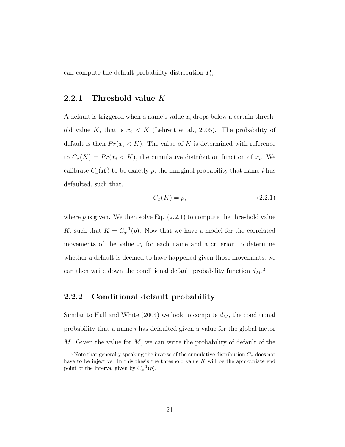can compute the default probability distribution  $P_n$ .

#### 2.2.1 Threshold value K

A default is triggered when a name's value  $x_i$  drops below a certain threshold value K, that is  $x_i < K$  (Lehrert et al., 2005). The probability of default is then  $Pr(x_i \leq K)$ . The value of K is determined with reference to  $C_x(K) = Pr(x_i < K)$ , the cumulative distribution function of  $x_i$ . We calibrate  $C_x(K)$  to be exactly p, the marginal probability that name i has defaulted, such that,

$$
C_x(K) = p,\t\t(2.2.1)
$$

where  $p$  is given. We then solve Eq.  $(2.2.1)$  to compute the threshold value K, such that  $K = C_x^{-1}(p)$ . Now that we have a model for the correlated movements of the value  $x_i$  for each name and a criterion to determine whether a default is deemed to have happened given those movements, we can then write down the conditional default probability function  $d_M$ <sup>3</sup>

#### 2.2.2 Conditional default probability

Similar to Hull and White (2004) we look to compute  $d_M$ , the conditional probability that a name i has defaulted given a value for the global factor M. Given the value for  $M$ , we can write the probability of default of the

<sup>&</sup>lt;sup>3</sup>Note that generally speaking the inverse of the cumulative distribution  $C_x$  does not have to be injective. In this thesis the threshold value  $K$  will be the appropriate end point of the interval given by  $C_x^{-1}(p)$ .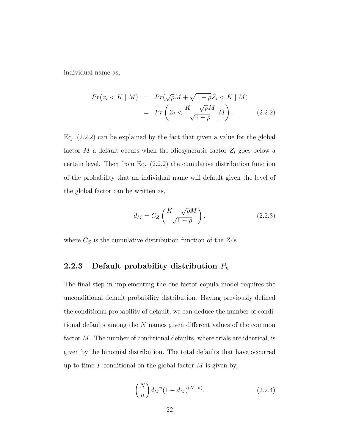individual name as,

$$
Pr(x_i < K \mid M) = Pr(\sqrt{\rho}M + \sqrt{1 - \rho}Z_i < K \mid M) \\
= Pr\left(Z_i < \frac{K - \sqrt{\rho}M}{\sqrt{1 - \rho}} \middle| M\right). \tag{2.2.2}
$$

Eq. (2.2.2) can be explained by the fact that given a value for the global factor M a default occurs when the idiosyncratic factor  $Z_i$  goes below a certain level. Then from Eq. (2.2.2) the cumulative distribution function of the probability that an individual name will default given the level of the global factor can be written as,

$$
d_M = C_Z \left( \frac{K - \sqrt{\rho}M}{\sqrt{1 - \rho}} \right),\tag{2.2.3}
$$

where  $C_Z$  is the cumulative distribution function of the  $Z_i$ 's.

### 2.2.3 Default probability distribution  $P_n$

The final step in implementing the one factor copula model requires the unconditional default probability distribution. Having previously defined the conditional probability of default, we can deduce the number of conditional defaults among the N names given different values of the common factor M. The number of conditional defaults, where trials are identical, is given by the binomial distribution. The total defaults that have occurred up to time  $T$  conditional on the global factor  $M$  is given by,

$$
\binom{N}{n} d_{M}^{n} (1 - d_{M})^{(N-n)}.
$$
\n(2.2.4)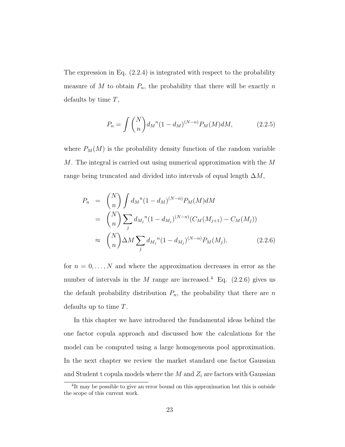The expression in Eq. (2.2.4) is integrated with respect to the probability measure of  $M$  to obtain  $P_n$ , the probability that there will be exactly  $n$ defaults by time  $T$ ,

$$
P_n = \int {N \choose n} d_M^{n} (1 - d_M)^{(N-n)} P_M(M) dM, \qquad (2.2.5)
$$

where  $P_M(M)$  is the probability density function of the random variable M. The integral is carried out using numerical approximation with the M range being truncated and divided into intervals of equal length  $\Delta M$ ,

$$
P_n = {N \choose n} \int d_M^{n} (1 - d_M)^{(N-n)} P_M(M) dM
$$
  
\n
$$
= {N \choose n} \sum_j d_{M_j}^{n} (1 - d_{M_j})^{(N-n)} (C_M(M_{j+1}) - C_M(M_j))
$$
  
\n
$$
\approx {N \choose n} \Delta M \sum_j d_{M_j}^{n} (1 - d_{M_j})^{(N-n)} P_M(M_j).
$$
 (2.2.6)

for  $n = 0, \ldots, N$  and where the approximation decreases in error as the number of intervals in the  $M$  range are increased.<sup>4</sup> Eq. (2.2.6) gives us the default probability distribution  $P_n$ , the probability that there are n defaults up to time T.

In this chapter we have introduced the fundamental ideas behind the one factor copula approach and discussed how the calculations for the model can be computed using a large homogeneous pool approximation. In the next chapter we review the market standard one factor Gaussian and Student t copula models where the  $M$  and  $Z_i$  are factors with Gaussian

<sup>&</sup>lt;sup>4</sup>It may be possible to give an error bound on this approximation but this is outside the scope of this current work.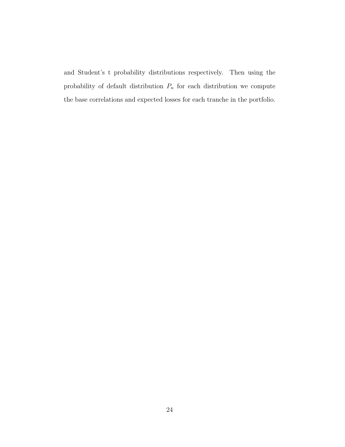and Student's t probability distributions respectively. Then using the probability of default distribution  $P_n$  for each distribution we compute the base correlations and expected losses for each tranche in the portfolio.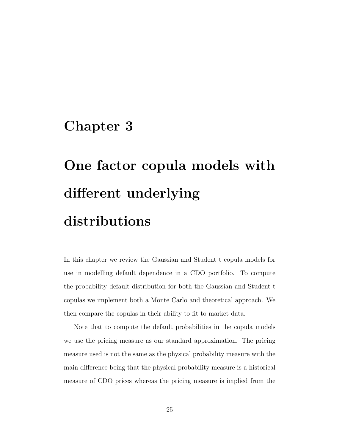# Chapter 3

# One factor copula models with different underlying distributions

In this chapter we review the Gaussian and Student t copula models for use in modelling default dependence in a CDO portfolio. To compute the probability default distribution for both the Gaussian and Student t copulas we implement both a Monte Carlo and theoretical approach. We then compare the copulas in their ability to fit to market data.

Note that to compute the default probabilities in the copula models we use the pricing measure as our standard approximation. The pricing measure used is not the same as the physical probability measure with the main difference being that the physical probability measure is a historical measure of CDO prices whereas the pricing measure is implied from the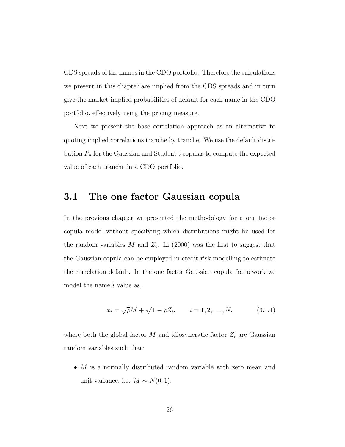CDS spreads of the names in the CDO portfolio. Therefore the calculations we present in this chapter are implied from the CDS spreads and in turn give the market-implied probabilities of default for each name in the CDO portfolio, effectively using the pricing measure.

Next we present the base correlation approach as an alternative to quoting implied correlations tranche by tranche. We use the default distribution  $P_n$  for the Gaussian and Student t copulas to compute the expected value of each tranche in a CDO portfolio.

## 3.1 The one factor Gaussian copula

In the previous chapter we presented the methodology for a one factor copula model without specifying which distributions might be used for the random variables M and  $Z_i$ . Li (2000) was the first to suggest that the Gaussian copula can be employed in credit risk modelling to estimate the correlation default. In the one factor Gaussian copula framework we model the name  $i$  value as,

$$
x_i = \sqrt{\rho}M + \sqrt{1 - \rho}Z_i, \qquad i = 1, 2, ..., N,
$$
 (3.1.1)

where both the global factor  $M$  and idiosyncratic factor  $Z_i$  are Gaussian random variables such that:

•  $M$  is a normally distributed random variable with zero mean and unit variance, i.e.  $M \sim N(0, 1)$ .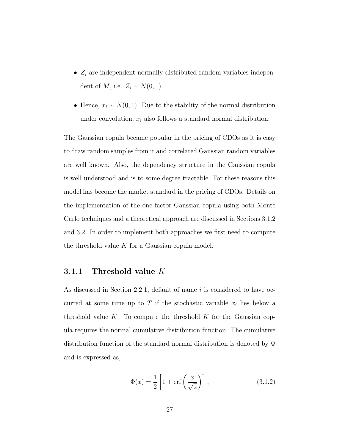- $Z_i$  are independent normally distributed random variables independent of  $M$ , i.e.  $Z_i \sim N(0, 1)$ .
- Hence,  $x_i \sim N(0, 1)$ . Due to the stability of the normal distribution under convolution,  $x_i$  also follows a standard normal distribution.

The Gaussian copula became popular in the pricing of CDOs as it is easy to draw random samples from it and correlated Gaussian random variables are well known. Also, the dependency structure in the Gaussian copula is well understood and is to some degree tractable. For these reasons this model has become the market standard in the pricing of CDOs. Details on the implementation of the one factor Gaussian copula using both Monte Carlo techniques and a theoretical approach are discussed in Sections 3.1.2 and 3.2. In order to implement both approaches we first need to compute the threshold value  $K$  for a Gaussian copula model.

#### 3.1.1 Threshold value  $K$

As discussed in Section 2.2.1, default of name i is considered to have occurred at some time up to T if the stochastic variable  $x_i$  lies below a threshold value  $K$ . To compute the threshold  $K$  for the Gaussian copula requires the normal cumulative distribution function. The cumulative distribution function of the standard normal distribution is denoted by Φ and is expressed as,

$$
\Phi(x) = \frac{1}{2} \left[ 1 + \text{erf}\left(\frac{x}{\sqrt{2}}\right) \right],\tag{3.1.2}
$$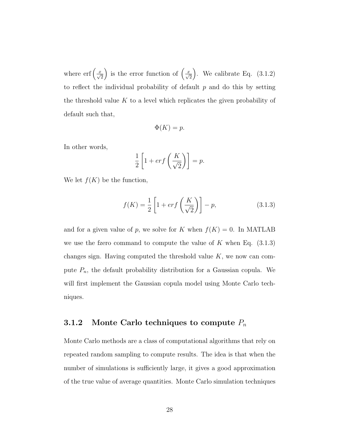where  $\text{erf}\left(\frac{x}{\sqrt{2}}\right)$ ) is the error function of  $\left(\frac{x}{\sqrt{2}}\right)$ ). We calibrate Eq.  $(3.1.2)$ to reflect the individual probability of default  $p$  and do this by setting the threshold value  $K$  to a level which replicates the given probability of default such that,

$$
\Phi(K) = p.
$$

In other words,

$$
\frac{1}{2}\left[1+erf\left(\frac{K}{\sqrt{2}}\right)\right] = p.
$$

We let  $f(K)$  be the function,

$$
f(K) = \frac{1}{2} \left[ 1 + erf\left(\frac{K}{\sqrt{2}}\right) \right] - p,\tag{3.1.3}
$$

and for a given value of p, we solve for K when  $f(K) = 0$ . In MATLAB we use the fzero command to compute the value of  $K$  when Eq.  $(3.1.3)$ changes sign. Having computed the threshold value  $K$ , we now can compute  $P_n$ , the default probability distribution for a Gaussian copula. We will first implement the Gaussian copula model using Monte Carlo techniques.

## 3.1.2 Monte Carlo techniques to compute  $P_n$

Monte Carlo methods are a class of computational algorithms that rely on repeated random sampling to compute results. The idea is that when the number of simulations is sufficiently large, it gives a good approximation of the true value of average quantities. Monte Carlo simulation techniques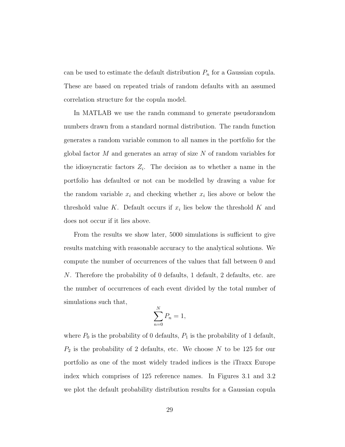can be used to estimate the default distribution  $P_n$  for a Gaussian copula. These are based on repeated trials of random defaults with an assumed correlation structure for the copula model.

In MATLAB we use the randn command to generate pseudorandom numbers drawn from a standard normal distribution. The randn function generates a random variable common to all names in the portfolio for the global factor M and generates an array of size N of random variables for the idiosyncratic factors  $Z_i$ . The decision as to whether a name in the portfolio has defaulted or not can be modelled by drawing a value for the random variable  $x_i$  and checking whether  $x_i$  lies above or below the threshold value K. Default occurs if  $x_i$  lies below the threshold K and does not occur if it lies above.

From the results we show later, 5000 simulations is sufficient to give results matching with reasonable accuracy to the analytical solutions. We compute the number of occurrences of the values that fall between 0 and N. Therefore the probability of 0 defaults, 1 default, 2 defaults, etc. are the number of occurrences of each event divided by the total number of simulations such that,

$$
\sum_{n=0}^{N} P_n = 1,
$$

where  $P_0$  is the probability of 0 defaults,  $P_1$  is the probability of 1 default,  $P_2$  is the probability of 2 defaults, etc. We choose N to be 125 for our portfolio as one of the most widely traded indices is the iTraxx Europe index which comprises of 125 reference names. In Figures 3.1 and 3.2 we plot the default probability distribution results for a Gaussian copula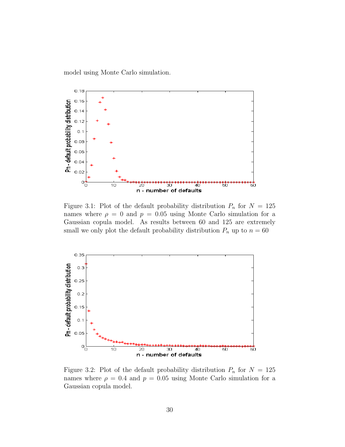model using Monte Carlo simulation.



Figure 3.1: Plot of the default probability distribution  $P_n$  for  $N = 125$ names where  $\rho = 0$  and  $p = 0.05$  using Monte Carlo simulation for a Gaussian copula model. As results between 60 and 125 are extremely small we only plot the default probability distribution  $P_n$  up to  $n = 60$ 



Figure 3.2: Plot of the default probability distribution  $P_n$  for  $N = 125$ names where  $\rho = 0.4$  and  $p = 0.05$  using Monte Carlo simulation for a Gaussian copula model.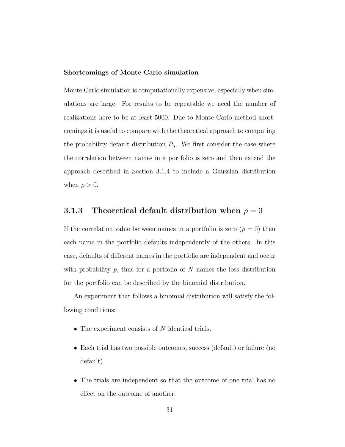#### Shortcomings of Monte Carlo simulation

Monte Carlo simulation is computationally expensive, especially when simulations are large. For results to be repeatable we need the number of realizations here to be at least 5000. Due to Monte Carlo method shortcomings it is useful to compare with the theoretical approach to computing the probability default distribution  $P_n$ . We first consider the case where the correlation between names in a portfolio is zero and then extend the approach described in Section 3.1.4 to include a Gaussian distribution when  $\rho > 0$ .

#### 3.1.3 Theoretical default distribution when  $\rho = 0$

If the correlation value between names in a portfolio is zero  $(\rho = 0)$  then each name in the portfolio defaults independently of the others. In this case, defaults of different names in the portfolio are independent and occur with probability  $p$ , thus for a portfolio of  $N$  names the loss distribution for the portfolio can be described by the binomial distribution.

An experiment that follows a binomial distribution will satisfy the following conditions:

- The experiment consists of  $N$  identical trials.
- Each trial has two possible outcomes, success (default) or failure (no default).
- The trials are independent so that the outcome of one trial has no effect on the outcome of another.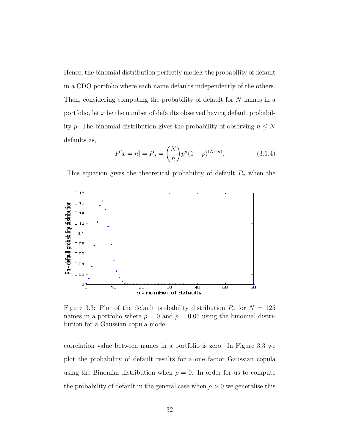Hence, the binomial distribution perfectly models the probability of default in a CDO portfolio where each name defaults independently of the others. Then, considering computing the probability of default for N names in a portfolio, let  $x$  be the number of defaults observed having default probability p. The binomial distribution gives the probability of observing  $n \leq N$ defaults as,

$$
P[x = n] = P_n = \binom{N}{n} p^n (1 - p)^{(N - n)}.
$$
 (3.1.4)

This equation gives the theoretical probability of default  $P_n$  when the



Figure 3.3: Plot of the default probability distribution  $P_n$  for  $N = 125$ names in a portfolio where  $\rho = 0$  and  $p = 0.05$  using the binomial distribution for a Gaussian copula model.

correlation value between names in a portfolio is zero. In Figure 3.3 we plot the probability of default results for a one factor Gaussian copula using the Binomial distribution when  $\rho = 0$ . In order for us to compute the probability of default in the general case when  $\rho > 0$  we generalise this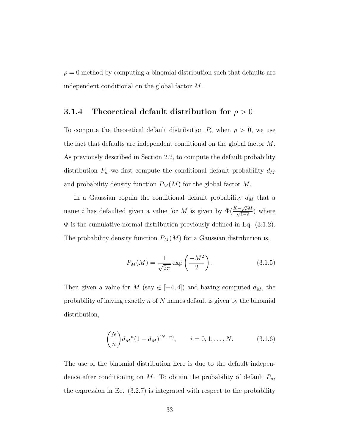$\rho = 0$  method by computing a binomial distribution such that defaults are independent conditional on the global factor M.

#### 3.1.4 Theoretical default distribution for  $\rho > 0$

To compute the theoretical default distribution  $P_n$  when  $\rho > 0$ , we use the fact that defaults are independent conditional on the global factor M. As previously described in Section 2.2, to compute the default probability distribution  $P_n$  we first compute the conditional default probability  $d_M$ and probability density function  $P_M(M)$  for the global factor  $M$ .

In a Gaussian copula the conditional default probability  $d_M$  that a name *i* has defaulted given a value for M is given by  $\Phi(\frac{K-\sqrt{\rho}M}{\sqrt{1-\rho}})$  where  $\Phi$  is the cumulative normal distribution previously defined in Eq. (3.1.2). The probability density function  $P_M(M)$  for a Gaussian distribution is,

$$
P_M(M) = \frac{1}{\sqrt{2\pi}} \exp\left(\frac{-M^2}{2}\right). \tag{3.1.5}
$$

Then given a value for  $M$  (say  $\in$  [-4,4]) and having computed  $d_M$ , the probability of having exactly  $n$  of  $N$  names default is given by the binomial distribution,

$$
\binom{N}{n} d_{M}^{n} (1 - d_{M})^{(N-n)}, \qquad i = 0, 1, \dots, N. \tag{3.1.6}
$$

The use of the binomial distribution here is due to the default independence after conditioning on  $M$ . To obtain the probability of default  $P_n$ , the expression in Eq. (3.2.7) is integrated with respect to the probability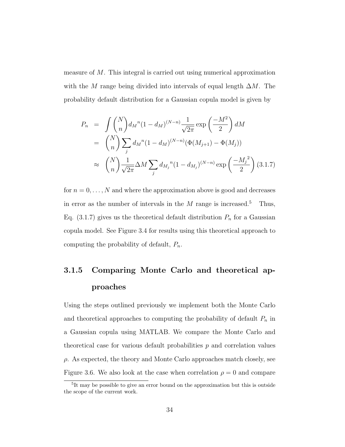measure of M. This integral is carried out using numerical approximation with the M range being divided into intervals of equal length  $\Delta M$ . The probability default distribution for a Gaussian copula model is given by

$$
P_n = \int {N \choose n} d_M^{n} (1 - d_M)^{(N-n)} \frac{1}{\sqrt{2\pi}} \exp\left(\frac{-M^2}{2}\right) dM
$$
  
=  ${N \choose n} \sum_j d_M^{n} (1 - d_M)^{(N-n)} (\Phi(M_{j+1}) - \Phi(M_j))$   

$$
\approx {N \choose n} \frac{1}{\sqrt{2\pi}} \Delta M \sum_j d_{M_j}^{n} (1 - d_{M_j})^{(N-n)} \exp\left(\frac{-M_j^2}{2}\right) (3.1.7)
$$

for  $n = 0, \ldots, N$  and where the approximation above is good and decreases in error as the number of intervals in the  $M$  range is increased.<sup>5</sup> Thus, Eq. (3.1.7) gives us the theoretical default distribution  $P_n$  for a Gaussian copula model. See Figure 3.4 for results using this theoretical approach to computing the probability of default,  $P_n$ .

# 3.1.5 Comparing Monte Carlo and theoretical approaches

Using the steps outlined previously we implement both the Monte Carlo and theoretical approaches to computing the probability of default  $P_n$  in a Gaussian copula using MATLAB. We compare the Monte Carlo and theoretical case for various default probabilities  $p$  and correlation values  $\rho$ . As expected, the theory and Monte Carlo approaches match closely, see Figure 3.6. We also look at the case when correlation  $\rho = 0$  and compare

<sup>&</sup>lt;sup>5</sup>It may be possible to give an error bound on the approximation but this is outside the scope of the current work.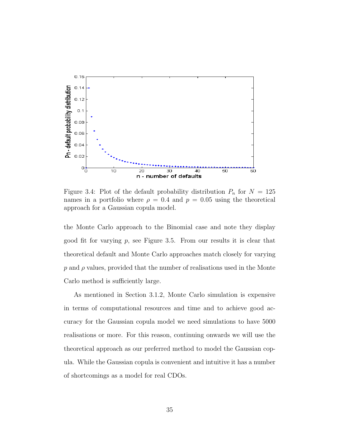

Figure 3.4: Plot of the default probability distribution  $P_n$  for  $N = 125$ names in a portfolio where  $\rho = 0.4$  and  $p = 0.05$  using the theoretical approach for a Gaussian copula model.

the Monte Carlo approach to the Binomial case and note they display good fit for varying  $p$ , see Figure 3.5. From our results it is clear that theoretical default and Monte Carlo approaches match closely for varying  $p$  and  $\rho$  values, provided that the number of realisations used in the Monte Carlo method is sufficiently large.

As mentioned in Section 3.1.2, Monte Carlo simulation is expensive in terms of computational resources and time and to achieve good accuracy for the Gaussian copula model we need simulations to have 5000 realisations or more. For this reason, continuing onwards we will use the theoretical approach as our preferred method to model the Gaussian copula. While the Gaussian copula is convenient and intuitive it has a number of shortcomings as a model for real CDOs.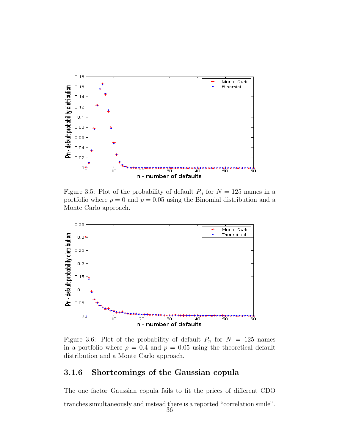

Figure 3.5: Plot of the probability of default  $P_n$  for  $N = 125$  names in a portfolio where  $\rho = 0$  and  $p = 0.05$  using the Binomial distribution and a Monte Carlo approach.



Figure 3.6: Plot of the probability of default  $P_n$  for  $N = 125$  names in a portfolio where  $\rho = 0.4$  and  $p = 0.05$  using the theoretical default distribution and a Monte Carlo approach.

#### 3.1.6 Shortcomings of the Gaussian copula

The one factor Gaussian copula fails to fit the prices of different CDO tranches simultaneously and instead there is a reported "correlation smile".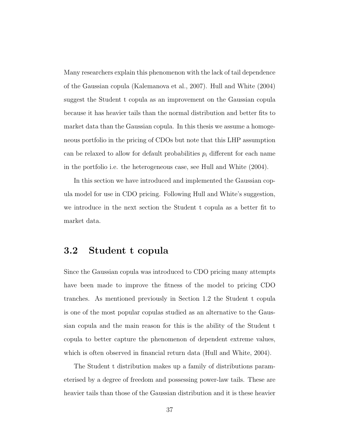Many researchers explain this phenomenon with the lack of tail dependence of the Gaussian copula (Kalemanova et al., 2007). Hull and White (2004) suggest the Student t copula as an improvement on the Gaussian copula because it has heavier tails than the normal distribution and better fits to market data than the Gaussian copula. In this thesis we assume a homogeneous portfolio in the pricing of CDOs but note that this LHP assumption can be relaxed to allow for default probabilities  $p_i$  different for each name in the portfolio i.e. the heterogeneous case, see Hull and White (2004).

In this section we have introduced and implemented the Gaussian copula model for use in CDO pricing. Following Hull and White's suggestion, we introduce in the next section the Student t copula as a better fit to market data.

## 3.2 Student t copula

Since the Gaussian copula was introduced to CDO pricing many attempts have been made to improve the fitness of the model to pricing CDO tranches. As mentioned previously in Section 1.2 the Student t copula is one of the most popular copulas studied as an alternative to the Gaussian copula and the main reason for this is the ability of the Student t copula to better capture the phenomenon of dependent extreme values, which is often observed in financial return data (Hull and White, 2004).

The Student t distribution makes up a family of distributions parameterised by a degree of freedom and possessing power-law tails. These are heavier tails than those of the Gaussian distribution and it is these heavier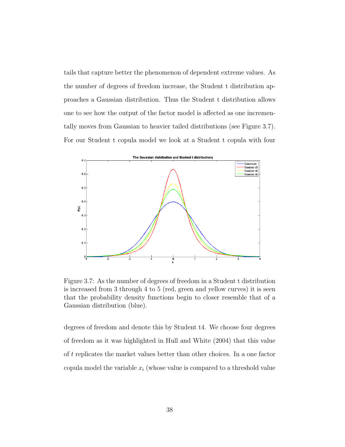tails that capture better the phenomenon of dependent extreme values. As the number of degrees of freedom increase, the Student t distribution approaches a Gaussian distribution. Thus the Student t distribution allows one to see how the output of the factor model is affected as one incrementally moves from Gaussian to heavier tailed distributions (see Figure 3.7). For our Student t copula model we look at a Student t copula with four



Figure 3.7: As the number of degrees of freedom in a Student t distribution is increased from 3 through 4 to 5 (red, green and yellow curves) it is seen that the probability density functions begin to closer resemble that of a Gaussian distribution (blue).

degrees of freedom and denote this by Student t4. We choose four degrees of freedom as it was highlighted in Hull and White (2004) that this value of t replicates the market values better than other choices. In a one factor copula model the variable  $x_i$  (whose value is compared to a threshold value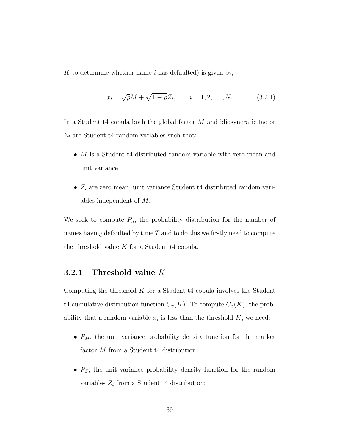K to determine whether name  $i$  has defaulted) is given by,

$$
x_i = \sqrt{\rho}M + \sqrt{1 - \rho}Z_i, \qquad i = 1, 2, ..., N.
$$
 (3.2.1)

In a Student t4 copula both the global factor  $M$  and idiosyncratic factor  $Z_i$  are Student t4 random variables such that:

- $M$  is a Student t4 distributed random variable with zero mean and unit variance.
- $Z_i$  are zero mean, unit variance Student t4 distributed random variables independent of M.

We seek to compute  $P_n$ , the probability distribution for the number of names having defaulted by time  $T$  and to do this we firstly need to compute the threshold value  $K$  for a Student t4 copula.

#### 3.2.1 Threshold value K

Computing the threshold  $K$  for a Student t4 copula involves the Student t4 cumulative distribution function  $C_x(K)$ . To compute  $C_x(K)$ , the probability that a random variable  $x_i$  is less than the threshold  $K$ , we need:

- $P_M$ , the unit variance probability density function for the market factor  $M$  from a Student t4 distribution;
- $P_Z$ , the unit variance probability density function for the random variables  $Z_i$  from a Student t4 distribution;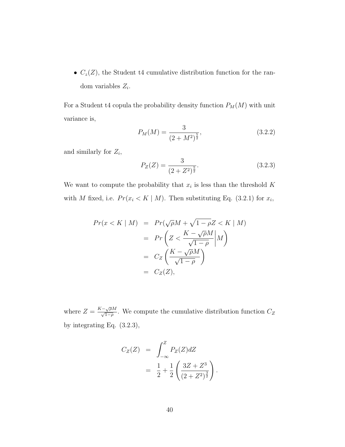•  $C_z(Z)$ , the Student t4 cumulative distribution function for the random variables  $Z_i$ .

For a Student t4 copula the probability density function  $P_M(M)$  with unit variance is,

$$
P_M(M) = \frac{3}{(2+M^2)^{\frac{5}{2}}},\tag{3.2.2}
$$

and similarly for  $Z_i$ ,

$$
P_Z(Z) = \frac{3}{(2+Z^2)^{\frac{5}{2}}}.
$$
\n(3.2.3)

We want to compute the probability that  $x_i$  is less than the threshold K with M fixed, i.e.  $Pr(x_i \le K \mid M)$ . Then substituting Eq. (3.2.1) for  $x_i$ ,

$$
Pr(x < K \mid M) = Pr(\sqrt{\rho}M + \sqrt{1 - \rho}Z < K \mid M)
$$
\n
$$
= Pr\left(Z < \frac{K - \sqrt{\rho}M}{\sqrt{1 - \rho}} \middle| M\right)
$$
\n
$$
= C_Z\left(\frac{K - \sqrt{\rho}M}{\sqrt{1 - \rho}}\right)
$$
\n
$$
= C_Z(Z),
$$

where  $Z = \frac{K - \sqrt{\rho}M}{\sqrt{1-\rho}}$ . We compute the cumulative distribution function  $C_Z$ by integrating Eq. (3.2.3),

$$
C_Z(Z) = \int_{-\infty}^{Z} P_Z(Z) dZ
$$
  
=  $\frac{1}{2} + \frac{1}{2} \left( \frac{3Z + Z^3}{(2 + Z^2)^{\frac{3}{2}}} \right).$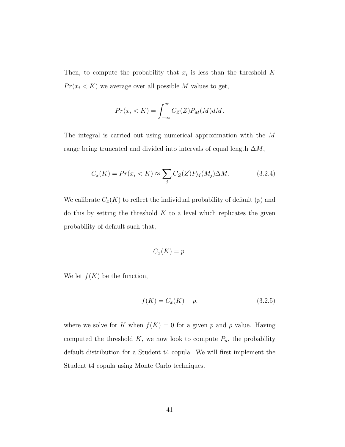Then, to compute the probability that  $x_i$  is less than the threshold K  $Pr(x_i \le K)$  we average over all possible M values to get,

$$
Pr(x_i < K) = \int_{-\infty}^{\infty} C_Z(Z) P_M(M) dM.
$$

The integral is carried out using numerical approximation with the M range being truncated and divided into intervals of equal length  $\Delta M$ ,

$$
C_x(K) = Pr(x_i < K) \approx \sum_j C_Z(Z) P_M(M_j) \Delta M. \tag{3.2.4}
$$

We calibrate  $C_x(K)$  to reflect the individual probability of default  $(p)$  and do this by setting the threshold  $K$  to a level which replicates the given probability of default such that,

$$
C_x(K) = p.
$$

We let  $f(K)$  be the function,

$$
f(K) = C_x(K) - p,\t\t(3.2.5)
$$

where we solve for K when  $f(K) = 0$  for a given p and  $\rho$  value. Having computed the threshold  $K$ , we now look to compute  $P_n$ , the probability default distribution for a Student t4 copula. We will first implement the Student t4 copula using Monte Carlo techniques.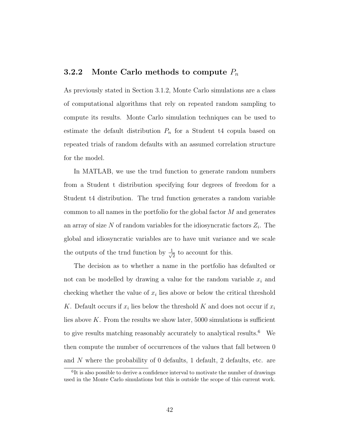#### **3.2.2** Monte Carlo methods to compute  $P_n$

As previously stated in Section 3.1.2, Monte Carlo simulations are a class of computational algorithms that rely on repeated random sampling to compute its results. Monte Carlo simulation techniques can be used to estimate the default distribution  $P_n$  for a Student t4 copula based on repeated trials of random defaults with an assumed correlation structure for the model.

In MATLAB, we use the trnd function to generate random numbers from a Student t distribution specifying four degrees of freedom for a Student t4 distribution. The trnd function generates a random variable common to all names in the portfolio for the global factor  $M$  and generates an array of size  $N$  of random variables for the idiosyncratic factors  $Z_i$ . The global and idiosyncratic variables are to have unit variance and we scale the outputs of the trnd function by  $\frac{1}{\sqrt{2}}$  $\frac{1}{2}$  to account for this.

The decision as to whether a name in the portfolio has defaulted or not can be modelled by drawing a value for the random variable  $x_i$  and checking whether the value of  $x_i$  lies above or below the critical threshold K. Default occurs if  $x_i$  lies below the threshold K and does not occur if  $x_i$ lies above  $K$ . From the results we show later, 5000 simulations is sufficient to give results matching reasonably accurately to analytical results.<sup>6</sup> We then compute the number of occurrences of the values that fall between 0 and N where the probability of 0 defaults, 1 default, 2 defaults, etc. are

<sup>&</sup>lt;sup>6</sup>It is also possible to derive a confidence interval to motivate the number of drawings used in the Monte Carlo simulations but this is outside the scope of this current work.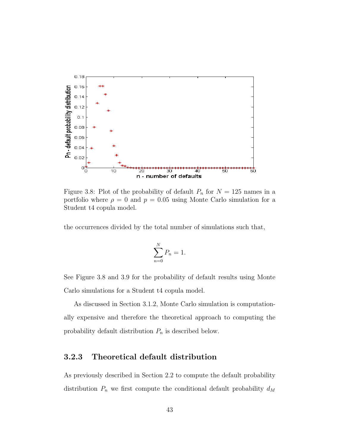

Figure 3.8: Plot of the probability of default  $P_n$  for  $N = 125$  names in a portfolio where  $\rho = 0$  and  $p = 0.05$  using Monte Carlo simulation for a Student t4 copula model.

the occurrences divided by the total number of simulations such that,

$$
\sum_{n=0}^{N} P_n = 1.
$$

See Figure 3.8 and 3.9 for the probability of default results using Monte Carlo simulations for a Student t4 copula model.

As discussed in Section 3.1.2, Monte Carlo simulation is computationally expensive and therefore the theoretical approach to computing the probability default distribution  $P_n$  is described below.

#### 3.2.3 Theoretical default distribution

As previously described in Section 2.2 to compute the default probability distribution  $P_n$  we first compute the conditional default probability  $d_M$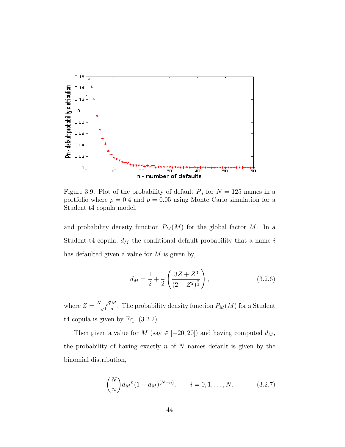

Figure 3.9: Plot of the probability of default  $P_n$  for  $N = 125$  names in a portfolio where  $\rho = 0.4$  and  $p = 0.05$  using Monte Carlo simulation for a Student t4 copula model.

and probability density function  $P_M(M)$  for the global factor M. In a Student t4 copula,  $d_M$  the conditional default probability that a name i has defaulted given a value for  $M$  is given by,

$$
d_M = \frac{1}{2} + \frac{1}{2} \left( \frac{3Z + Z^3}{\left(2 + Z^2\right)^{\frac{3}{2}}} \right),\tag{3.2.6}
$$

where  $Z = \frac{K - \sqrt{\rho}M}{\sqrt{1-\rho}}$ . The probability density function  $P_M(M)$  for a Student t4 copula is given by Eq. (3.2.2).

Then given a value for  $M$  (say  $\in [-20, 20]$ ) and having computed  $d_M$ , the probability of having exactly  $n$  of  $N$  names default is given by the binomial distribution,

$$
\binom{N}{n} d_{M}^{n} (1 - d_{M})^{(N-n)}, \qquad i = 0, 1, ..., N. \tag{3.2.7}
$$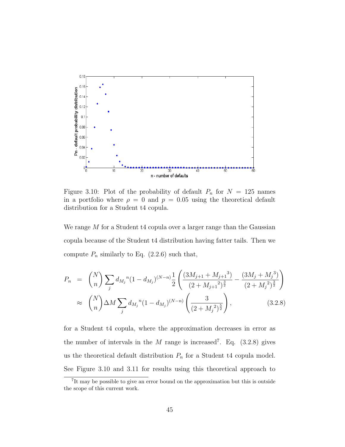

Figure 3.10: Plot of the probability of default  $P_n$  for  $N = 125$  names in a portfolio where  $\rho = 0$  and  $p = 0.05$  using the theoretical default distribution for a Student t4 copula.

We range M for a Student t4 copula over a larger range than the Gaussian copula because of the Student t4 distribution having fatter tails. Then we compute  $P_n$  similarly to Eq. (2.2.6) such that,

$$
P_n = {N \choose n} \sum_j d_{M_j}{}^n (1 - d_{M_j})^{(N-n)} \frac{1}{2} \left( \frac{(3M_{j+1} + M_{j+1}{}^3)}{(2 + M_{j+1}{}^2)^{\frac{3}{2}}} - \frac{(3M_j + M_j{}^3)}{(2 + M_j{}^2)^{\frac{3}{2}}} \right)
$$
  

$$
\approx {N \choose n} \Delta M \sum_j d_{M_j}{}^n (1 - d_{M_j})^{(N-n)} \left( \frac{3}{(2 + M_j{}^2)^{\frac{5}{2}}} \right),
$$
 (3.2.8)

for a Student t4 copula, where the approximation decreases in error as the number of intervals in the M range is increased<sup>7</sup>. Eq.  $(3.2.8)$  gives us the theoretical default distribution  $P_n$  for a Student t4 copula model. See Figure 3.10 and 3.11 for results using this theoretical approach to

<sup>7</sup> It may be possible to give an error bound on the approximation but this is outside the scope of this current work.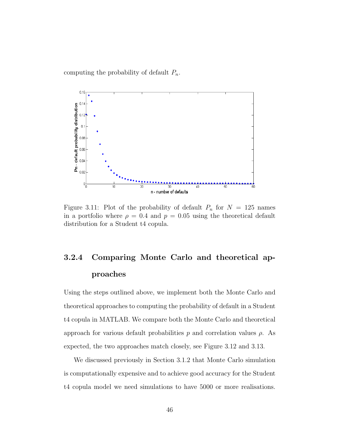computing the probability of default  $P_n$ .



Figure 3.11: Plot of the probability of default  $P_n$  for  $N = 125$  names in a portfolio where  $\rho = 0.4$  and  $p = 0.05$  using the theoretical default distribution for a Student t4 copula.

# 3.2.4 Comparing Monte Carlo and theoretical approaches

Using the steps outlined above, we implement both the Monte Carlo and theoretical approaches to computing the probability of default in a Student t4 copula in MATLAB. We compare both the Monte Carlo and theoretical approach for various default probabilities p and correlation values  $\rho$ . As expected, the two approaches match closely, see Figure 3.12 and 3.13.

We discussed previously in Section 3.1.2 that Monte Carlo simulation is computationally expensive and to achieve good accuracy for the Student t4 copula model we need simulations to have 5000 or more realisations.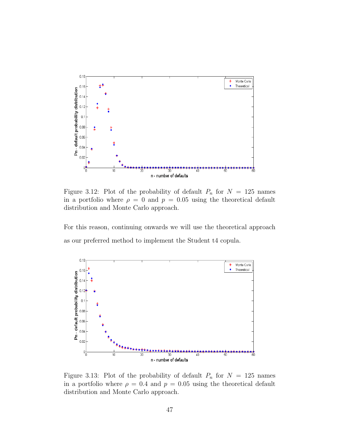

Figure 3.12: Plot of the probability of default  $P_n$  for  $N = 125$  names in a portfolio where  $\rho = 0$  and  $p = 0.05$  using the theoretical default distribution and Monte Carlo approach.

For this reason, continuing onwards we will use the theoretical approach as our preferred method to implement the Student t4 copula.



Figure 3.13: Plot of the probability of default  $P_n$  for  $N = 125$  names in a portfolio where  $\rho = 0.4$  and  $p = 0.05$  using the theoretical default distribution and Monte Carlo approach.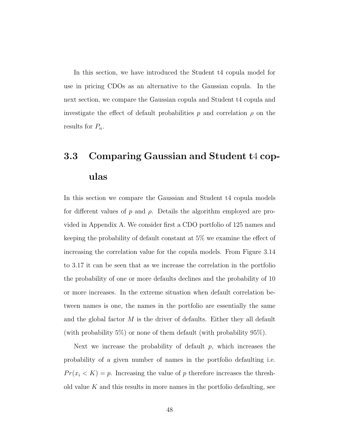In this section, we have introduced the Student t4 copula model for use in pricing CDOs as an alternative to the Gaussian copula. In the next section, we compare the Gaussian copula and Student t4 copula and investigate the effect of default probabilities p and correlation  $\rho$  on the results for  $P_n$ .

# 3.3 Comparing Gaussian and Student t4 copulas

In this section we compare the Gaussian and Student t4 copula models for different values of p and  $\rho$ . Details the algorithm employed are provided in Appendix A. We consider first a CDO portfolio of 125 names and keeping the probability of default constant at 5% we examine the effect of increasing the correlation value for the copula models. From Figure 3.14 to 3.17 it can be seen that as we increase the correlation in the portfolio the probability of one or more defaults declines and the probability of 10 or more increases. In the extreme situation when default correlation between names is one, the names in the portfolio are essentially the same and the global factor  $M$  is the driver of defaults. Either they all default (with probability  $5\%$ ) or none of them default (with probability  $95\%$ ).

Next we increase the probability of default  $p$ , which increases the probability of a given number of names in the portfolio defaulting i.e.  $Pr(x_i < K) = p$ . Increasing the value of p therefore increases the threshold value  $K$  and this results in more names in the portfolio defaulting, see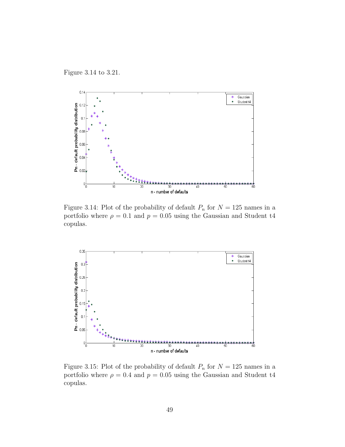Figure 3.14 to 3.21.



Figure 3.14: Plot of the probability of default  $P_n$  for  $N = 125$  names in a portfolio where  $\rho = 0.1$  and  $p = 0.05$  using the Gaussian and Student t4 copulas.



Figure 3.15: Plot of the probability of default  $P_n$  for  $N = 125$  names in a portfolio where  $\rho = 0.4$  and  $p = 0.05$  using the Gaussian and Student t4 copulas.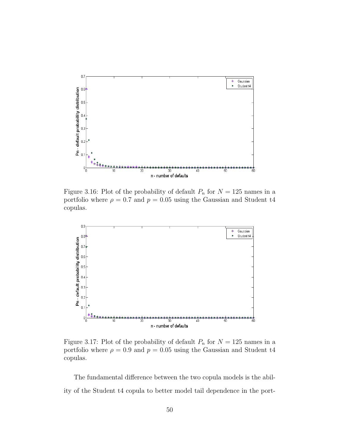

Figure 3.16: Plot of the probability of default  $P_n$  for  $N = 125$  names in a portfolio where  $\rho = 0.7$  and  $p = 0.05$  using the Gaussian and Student t4 copulas.



Figure 3.17: Plot of the probability of default  $P_n$  for  $N = 125$  names in a portfolio where  $\rho = 0.9$  and  $p = 0.05$  using the Gaussian and Student t4 copulas.

The fundamental difference between the two copula models is the ability of the Student t4 copula to better model tail dependence in the port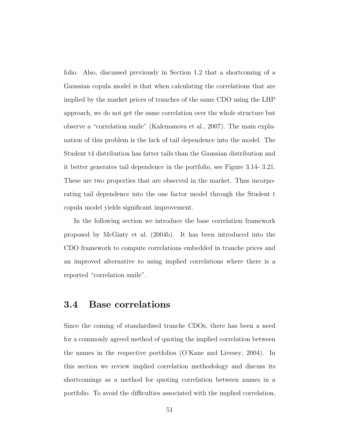folio. Also, discussed previously in Section 1.2 that a shortcoming of a Gaussian copula model is that when calculating the correlations that are implied by the market prices of tranches of the same CDO using the LHP approach, we do not get the same correlation over the whole structure but observe a "correlation smile" (Kalemanova et al., 2007). The main explanation of this problem is the lack of tail dependence into the model. The Student t4 distribution has fatter tails than the Gaussian distribution and it better generates tail dependence in the portfolio, see Figure 3.14- 3.21. These are two properties that are observed in the market. Thus incorporating tail dependence into the one factor model through the Student t copula model yields significant improvement.

In the following section we introduce the base correlation framework proposed by McGinty et al. (2004b). It has been introduced into the CDO framework to compute correlations embedded in tranche prices and an improved alternative to using implied correlations where there is a reported "correlation smile".

## 3.4 Base correlations

Since the coming of standardised tranche CDOs, there has been a need for a commonly agreed method of quoting the implied correlation between the names in the respective portfolios (O'Kane and Livesey, 2004). In this section we review implied correlation methodology and discuss its shortcomings as a method for quoting correlation between names in a portfolio. To avoid the difficulties associated with the implied correlation,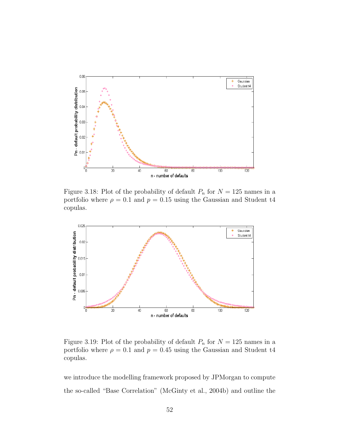

Figure 3.18: Plot of the probability of default  $P_n$  for  $N = 125$  names in a portfolio where  $\rho = 0.1$  and  $p = 0.15$  using the Gaussian and Student t4 copulas.



Figure 3.19: Plot of the probability of default  $P_n$  for  $N = 125$  names in a portfolio where  $\rho = 0.1$  and  $p = 0.45$  using the Gaussian and Student t4 copulas.

we introduce the modelling framework proposed by JPMorgan to compute the so-called "Base Correlation" (McGinty et al., 2004b) and outline the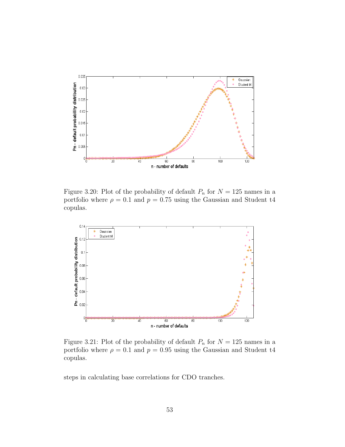

Figure 3.20: Plot of the probability of default  $P_n$  for  $N = 125$  names in a portfolio where  $\rho = 0.1$  and  $p = 0.75$  using the Gaussian and Student t4 copulas.



Figure 3.21: Plot of the probability of default  $P_n$  for  $N = 125$  names in a portfolio where  $\rho = 0.1$  and  $p = 0.95$  using the Gaussian and Student t4 copulas.

steps in calculating base correlations for CDO tranches.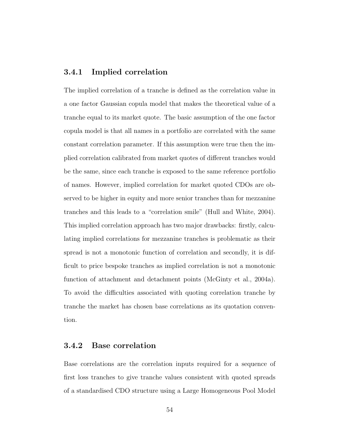#### 3.4.1 Implied correlation

The implied correlation of a tranche is defined as the correlation value in a one factor Gaussian copula model that makes the theoretical value of a tranche equal to its market quote. The basic assumption of the one factor copula model is that all names in a portfolio are correlated with the same constant correlation parameter. If this assumption were true then the implied correlation calibrated from market quotes of different tranches would be the same, since each tranche is exposed to the same reference portfolio of names. However, implied correlation for market quoted CDOs are observed to be higher in equity and more senior tranches than for mezzanine tranches and this leads to a "correlation smile" (Hull and White, 2004). This implied correlation approach has two major drawbacks: firstly, calculating implied correlations for mezzanine tranches is problematic as their spread is not a monotonic function of correlation and secondly, it is difficult to price bespoke tranches as implied correlation is not a monotonic function of attachment and detachment points (McGinty et al., 2004a). To avoid the difficulties associated with quoting correlation tranche by tranche the market has chosen base correlations as its quotation convention.

#### 3.4.2 Base correlation

Base correlations are the correlation inputs required for a sequence of first loss tranches to give tranche values consistent with quoted spreads of a standardised CDO structure using a Large Homogeneous Pool Model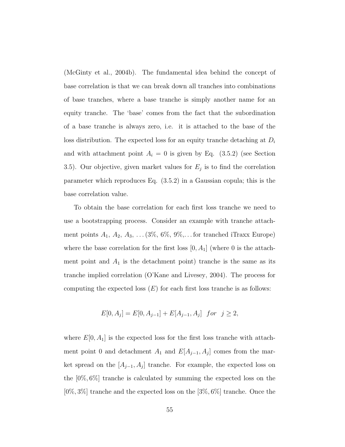(McGinty et al., 2004b). The fundamental idea behind the concept of base correlation is that we can break down all tranches into combinations of base tranches, where a base tranche is simply another name for an equity tranche. The 'base' comes from the fact that the subordination of a base tranche is always zero, i.e. it is attached to the base of the loss distribution. The expected loss for an equity tranche detaching at  $D_i$ and with attachment point  $A_i = 0$  is given by Eq. (3.5.2) (see Section 3.5). Our objective, given market values for  $E_j$  is to find the correlation parameter which reproduces Eq. (3.5.2) in a Gaussian copula; this is the base correlation value.

To obtain the base correlation for each first loss tranche we need to use a bootstrapping process. Consider an example with tranche attachment points  $A_1$ ,  $A_2$ ,  $A_3$ , ... (3%, 6%, 9%,... for tranched iTraxx Europe) where the base correlation for the first loss  $[0, A_1]$  (where 0 is the attachment point and  $A_1$  is the detachment point) tranche is the same as its tranche implied correlation (O'Kane and Livesey, 2004). The process for computing the expected loss  $(E)$  for each first loss tranche is as follows:

$$
E[0, A_j] = E[0, A_{j-1}] + E[A_{j-1}, A_j] \text{ for } j \ge 2,
$$

where  $E[0, A_1]$  is the expected loss for the first loss tranche with attachment point 0 and detachment  $A_1$  and  $E[A_{j-1}, A_j]$  comes from the market spread on the  $[A_{j-1}, A_j]$  tranche. For example, the expected loss on the [0%, 6%] tranche is calculated by summing the expected loss on the  $[0\%, 3\%]$  tranche and the expected loss on the  $[3\%, 6\%]$  tranche. Once the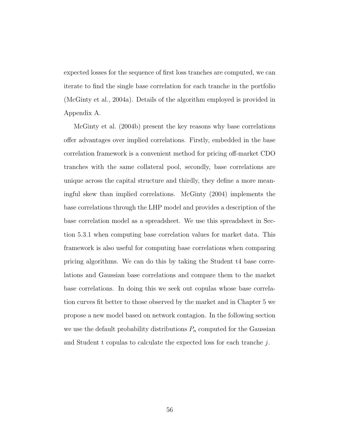expected losses for the sequence of first loss tranches are computed, we can iterate to find the single base correlation for each tranche in the portfolio (McGinty et al., 2004a). Details of the algorithm employed is provided in Appendix A.

McGinty et al. (2004b) present the key reasons why base correlations offer advantages over implied correlations. Firstly, embedded in the base correlation framework is a convenient method for pricing off-market CDO tranches with the same collateral pool, secondly, base correlations are unique across the capital structure and thirdly, they define a more meaningful skew than implied correlations. McGinty (2004) implements the base correlations through the LHP model and provides a description of the base correlation model as a spreadsheet. We use this spreadsheet in Section 5.3.1 when computing base correlation values for market data. This framework is also useful for computing base correlations when comparing pricing algorithms. We can do this by taking the Student t4 base correlations and Gaussian base correlations and compare them to the market base correlations. In doing this we seek out copulas whose base correlation curves fit better to those observed by the market and in Chapter 5 we propose a new model based on network contagion. In the following section we use the default probability distributions  $P_n$  computed for the Gaussian and Student t copulas to calculate the expected loss for each tranche  $i$ .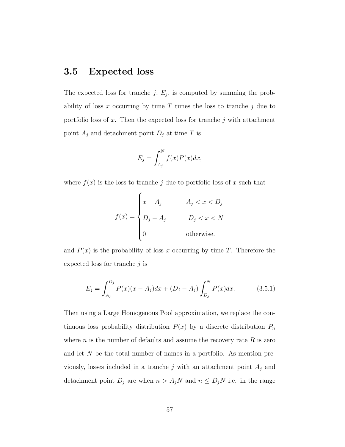# 3.5 Expected loss

The expected loss for tranche  $j, E_j$ , is computed by summing the probability of loss x occurring by time T times the loss to tranche  $j$  due to portfolio loss of x. Then the expected loss for tranche  $j$  with attachment point  $A_j$  and detachment point  $D_j$  at time T is

$$
E_j = \int_{A_j}^N f(x)P(x)dx,
$$

where  $f(x)$  is the loss to tranche j due to portfolio loss of x such that

$$
f(x) = \begin{cases} x - A_j & A_j < x < D_j \\ D_j - A_j & D_j < x < N \\ 0 & \text{otherwise.} \end{cases}
$$

and  $P(x)$  is the probability of loss x occurring by time T. Therefore the expected loss for tranche  $j$  is

$$
E_j = \int_{A_j}^{D_j} P(x)(x - A_j)dx + (D_j - A_j) \int_{D_j}^{N} P(x)dx.
$$
 (3.5.1)

Then using a Large Homogenous Pool approximation, we replace the continuous loss probability distribution  $P(x)$  by a discrete distribution  $P_n$ where  $n$  is the number of defaults and assume the recovery rate  $R$  is zero and let N be the total number of names in a portfolio. As mention previously, losses included in a tranche  $j$  with an attachment point  $A_j$  and detachment point  $D_j$  are when  $n > A_j N$  and  $n \le D_j N$  i.e. in the range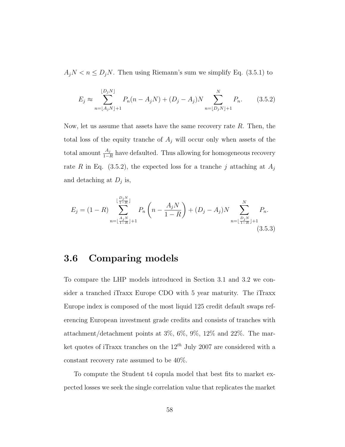$A_jN < n \le D_jN$ . Then using Riemann's sum we simplify Eq. (3.5.1) to

$$
E_j \approx \sum_{n=\lfloor A_j N \rfloor+1}^{\lfloor D_j N \rfloor} P_n(n - A_j N) + (D_j - A_j) N \sum_{n=\lfloor D_j N \rfloor+1}^N P_n.
$$
 (3.5.2)

Now, let us assume that assets have the same recovery rate  $R$ . Then, the total loss of the equity tranche of  $A_j$  will occur only when assets of the total amount  $\frac{A_j}{1-R}$  have defaulted. Thus allowing for homogeneous recovery rate R in Eq. (3.5.2), the expected loss for a tranche j attaching at  $A_j$ and detaching at  $D_j$  is,

$$
E_j = (1 - R) \sum_{n = \lfloor \frac{A_j N}{1 - R} \rfloor + 1}^{\lfloor \frac{D_j N}{1 - R} \rfloor} P_n \left( n - \frac{A_j N}{1 - R} \right) + (D_j - A_j) N \sum_{n = \lfloor \frac{D_j N}{1 - R} \rfloor + 1}^N P_n.
$$
\n(3.5.3)

## 3.6 Comparing models

To compare the LHP models introduced in Section 3.1 and 3.2 we consider a tranched iTraxx Europe CDO with 5 year maturity. The iTraxx Europe index is composed of the most liquid 125 credit default swaps referencing European investment grade credits and consists of tranches with attachment/detachment points at 3%, 6%, 9%, 12% and 22%. The market quotes of iTraxx tranches on the  $12^{th}$  July 2007 are considered with a constant recovery rate assumed to be 40%.

To compute the Student t4 copula model that best fits to market expected losses we seek the single correlation value that replicates the market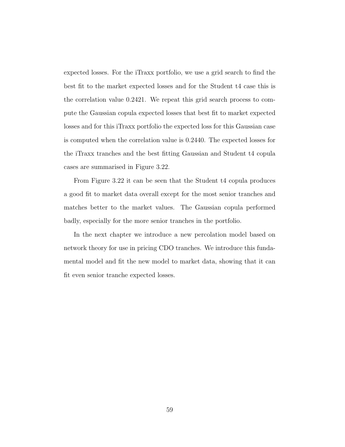expected losses. For the iTraxx portfolio, we use a grid search to find the best fit to the market expected losses and for the Student t4 case this is the correlation value 0.2421. We repeat this grid search process to compute the Gaussian copula expected losses that best fit to market expected losses and for this iTraxx portfolio the expected loss for this Gaussian case is computed when the correlation value is 0.2440. The expected losses for the iTraxx tranches and the best fitting Gaussian and Student t4 copula cases are summarised in Figure 3.22.

From Figure 3.22 it can be seen that the Student t4 copula produces a good fit to market data overall except for the most senior tranches and matches better to the market values. The Gaussian copula performed badly, especially for the more senior tranches in the portfolio.

In the next chapter we introduce a new percolation model based on network theory for use in pricing CDO tranches. We introduce this fundamental model and fit the new model to market data, showing that it can fit even senior tranche expected losses.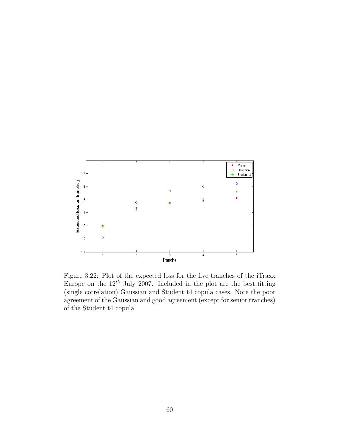

Figure 3.22: Plot of the expected loss for the five tranches of the iTraxx Europe on the  $12^{th}$  July 2007. Included in the plot are the best fitting (single correlation) Gaussian and Student t4 copula cases. Note the poor agreement of the Gaussian and good agreement (except for senior tranches) of the Student t4 copula.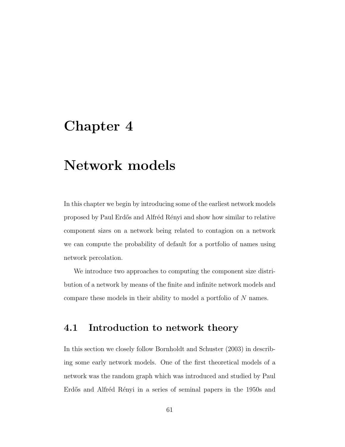## Chapter 4

## Network models

In this chapter we begin by introducing some of the earliest network models proposed by Paul Erd˝os and Alfr´ed R´enyi and show how similar to relative component sizes on a network being related to contagion on a network we can compute the probability of default for a portfolio of names using network percolation.

We introduce two approaches to computing the component size distribution of a network by means of the finite and infinite network models and compare these models in their ability to model a portfolio of N names.

## 4.1 Introduction to network theory

In this section we closely follow Bornholdt and Schuster (2003) in describing some early network models. One of the first theoretical models of a network was the random graph which was introduced and studied by Paul Erdős and Alfréd Rényi in a series of seminal papers in the 1950s and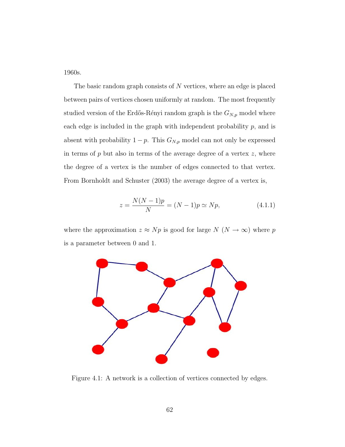1960s.

The basic random graph consists of  $N$  vertices, where an edge is placed between pairs of vertices chosen uniformly at random. The most frequently studied version of the Erdős-Rényi random graph is the  $G_{N,p}$  model where each edge is included in the graph with independent probability  $p$ , and is absent with probability  $1 - p$ . This  $G_{N,p}$  model can not only be expressed in terms of  $p$  but also in terms of the average degree of a vertex  $z$ , where the degree of a vertex is the number of edges connected to that vertex. From Bornholdt and Schuster (2003) the average degree of a vertex is,

$$
z = \frac{N(N-1)p}{N} = (N-1)p \simeq Np,
$$
\n(4.1.1)

where the approximation  $z \approx Np$  is good for large  $N$  ( $N \to \infty$ ) where  $p$ is a parameter between 0 and 1.



Figure 4.1: A network is a collection of vertices connected by edges.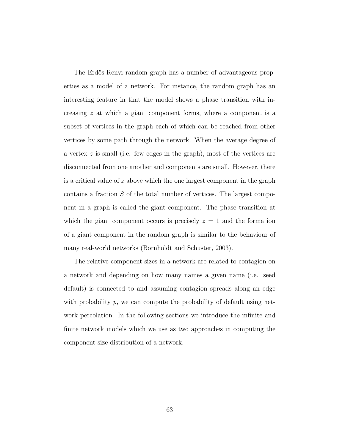The Erdős-Rényi random graph has a number of advantageous properties as a model of a network. For instance, the random graph has an interesting feature in that the model shows a phase transition with increasing z at which a giant component forms, where a component is a subset of vertices in the graph each of which can be reached from other vertices by some path through the network. When the average degree of a vertex  $z$  is small (i.e. few edges in the graph), most of the vertices are disconnected from one another and components are small. However, there is a critical value of z above which the one largest component in the graph contains a fraction S of the total number of vertices. The largest component in a graph is called the giant component. The phase transition at which the giant component occurs is precisely  $z = 1$  and the formation of a giant component in the random graph is similar to the behaviour of many real-world networks (Bornholdt and Schuster, 2003).

The relative component sizes in a network are related to contagion on a network and depending on how many names a given name (i.e. seed default) is connected to and assuming contagion spreads along an edge with probability  $p$ , we can compute the probability of default using network percolation. In the following sections we introduce the infinite and finite network models which we use as two approaches in computing the component size distribution of a network.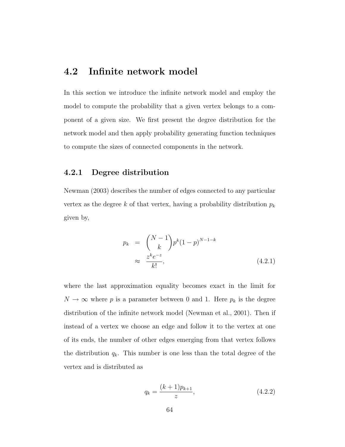### 4.2 Infinite network model

In this section we introduce the infinite network model and employ the model to compute the probability that a given vertex belongs to a component of a given size. We first present the degree distribution for the network model and then apply probability generating function techniques to compute the sizes of connected components in the network.

#### 4.2.1 Degree distribution

Newman (2003) describes the number of edges connected to any particular vertex as the degree k of that vertex, having a probability distribution  $p_k$ given by,

$$
p_k = {N-1 \choose k} p^k (1-p)^{N-1-k}
$$
  

$$
\approx \frac{z^k e^{-z}}{k!}, \qquad (4.2.1)
$$

where the last approximation equality becomes exact in the limit for  $N \to \infty$  where p is a parameter between 0 and 1. Here  $p_k$  is the degree distribution of the infinite network model (Newman et al., 2001). Then if instead of a vertex we choose an edge and follow it to the vertex at one of its ends, the number of other edges emerging from that vertex follows the distribution  $q_k$ . This number is one less than the total degree of the vertex and is distributed as

$$
q_k = \frac{(k+1)p_{k+1}}{z},\tag{4.2.2}
$$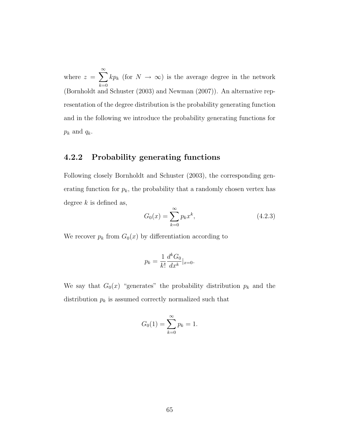where  $z = \sum_{n=1}^{\infty}$  $_{k=0}$  $kp_k$  (for  $N \to \infty$ ) is the average degree in the network (Bornholdt and Schuster (2003) and Newman (2007)). An alternative representation of the degree distribution is the probability generating function and in the following we introduce the probability generating functions for  $p_k$  and  $q_k$ .

#### 4.2.2 Probability generating functions

Following closely Bornholdt and Schuster (2003), the corresponding generating function for  $p_k$ , the probability that a randomly chosen vertex has degree  $k$  is defined as,

$$
G_0(x) = \sum_{k=0}^{\infty} p_k x^k,
$$
\n(4.2.3)

We recover  $p_k$  from  $G_0(x)$  by differentiation according to

$$
p_k = \frac{1}{k!} \frac{d^k G_0}{dx^k} |_{x=0}.
$$

We say that  $G_0(x)$  "generates" the probability distribution  $p_k$  and the distribution  $p_k$  is assumed correctly normalized such that

$$
G_0(1) = \sum_{k=0}^{\infty} p_k = 1.
$$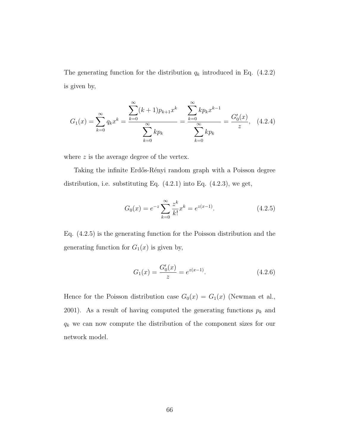The generating function for the distribution  $q_k$  introduced in Eq. (4.2.2) is given by,

$$
G_1(x) = \sum_{k=0}^{\infty} q_k x^k = \frac{\sum_{k=0}^{\infty} (k+1)p_{k+1}x^k}{\sum_{k=0}^{\infty} kp_k} = \frac{\sum_{k=0}^{\infty} kp_k x^{k-1}}{\sum_{k=0}^{\infty} kp_k} = \frac{G'_0(x)}{z},
$$
 (4.2.4)

where  $z$  is the average degree of the vertex.

Taking the infinite Erdős-Rényi random graph with a Poisson degree distribution, i.e. substituting Eq. (4.2.1) into Eq. (4.2.3), we get,

$$
G_0(x) = e^{-z} \sum_{k=0}^{\infty} \frac{z^k}{k!} x^k = e^{z(x-1)}.
$$
 (4.2.5)

Eq. (4.2.5) is the generating function for the Poisson distribution and the generating function for  $G_1(x)$  is given by,

$$
G_1(x) = \frac{G_0'(x)}{z} = e^{z(x-1)}.
$$
\n(4.2.6)

Hence for the Poisson distribution case  $G_0(x) = G_1(x)$  (Newman et al., 2001). As a result of having computed the generating functions  $p_k$  and  $q_k$  we can now compute the distribution of the component sizes for our network model.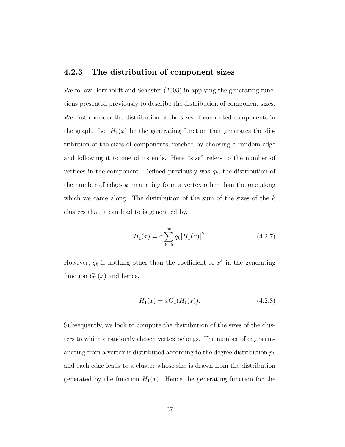#### 4.2.3 The distribution of component sizes

We follow Bornholdt and Schuster (2003) in applying the generating functions presented previously to describe the distribution of component sizes. We first consider the distribution of the sizes of connected components in the graph. Let  $H_1(x)$  be the generating function that generates the distribution of the sizes of components, reached by choosing a random edge and following it to one of its ends. Here "size" refers to the number of vertices in the component. Defined previously was  $q_k$ , the distribution of the number of edges  $k$  emanating form a vertex other than the one along which we came along. The distribution of the sum of the sizes of the  $k$ clusters that it can lead to is generated by,

$$
H_1(x) = x \sum_{k=0}^{\infty} q_k [H_1(x)]^k.
$$
 (4.2.7)

However,  $q_k$  is nothing other than the coefficient of  $x^k$  in the generating function  $G_1(x)$  and hence,

$$
H_1(x) = xG_1(H_1(x)).
$$
\n(4.2.8)

Subsequently, we look to compute the distribution of the sizes of the clusters to which a randomly chosen vertex belongs. The number of edges emanating from a vertex is distributed according to the degree distribution  $p_k$ and each edge leads to a cluster whose size is drawn from the distribution generated by the function  $H_1(x)$ . Hence the generating function for the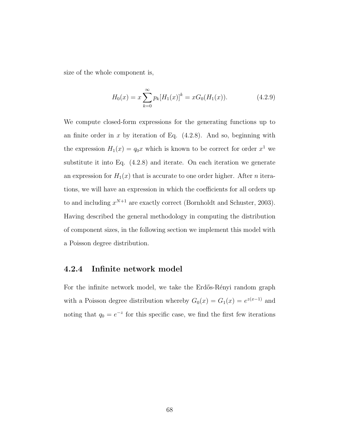size of the whole component is,

$$
H_0(x) = x \sum_{k=0}^{\infty} p_k [H_1(x)]^k = x G_0(H_1(x)).
$$
 (4.2.9)

We compute closed-form expressions for the generating functions up to an finite order in  $x$  by iteration of Eq.  $(4.2.8)$ . And so, beginning with the expression  $H_1(x) = q_0 x$  which is known to be correct for order  $x^1$  we substitute it into Eq. (4.2.8) and iterate. On each iteration we generate an expression for  $H_1(x)$  that is accurate to one order higher. After *n* iterations, we will have an expression in which the coefficients for all orders up to and including  $x^{N+1}$  are exactly correct (Bornholdt and Schuster, 2003). Having described the general methodology in computing the distribution of component sizes, in the following section we implement this model with a Poisson degree distribution.

#### 4.2.4 Infinite network model

For the infinite network model, we take the Erdős-Rényi random graph with a Poisson degree distribution whereby  $G_0(x) = G_1(x) = e^{x(x-1)}$  and noting that  $q_0 = e^{-z}$  for this specific case, we find the first few iterations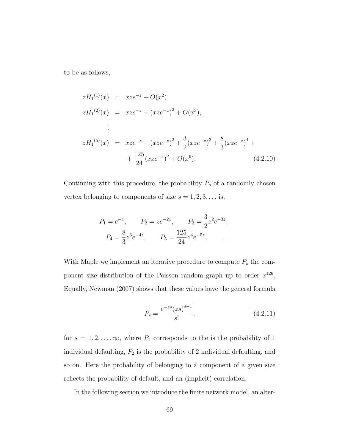to be as follows,

$$
zH_1^{(1)}(x) = xze^{-z} + O(x^2),
$$
  
\n
$$
zH_1^{(2)}(x) = xze^{-z} + (xze^{-z})^2 + O(x^3),
$$
  
\n
$$
\vdots
$$
  
\n
$$
zH_1^{(5)}(x) = xze^{-z} + (xze^{-z})^2 + \frac{3}{2}(xze^{-z})^3 + \frac{8}{3}(xze^{-z})^4 + \frac{125}{24}(xze^{-z})^5 + O(x^6).
$$
\n(4.2.10)

Continuing with this procedure, the probability  $P_s$  of a randomly chosen vertex belonging to components of size  $s = 1, 2, 3, \ldots$  is,

$$
P_1 = e^{-z}
$$
,  $P_2 = ze^{-2z}$ ,  $P_3 = \frac{3}{2}z^2e^{-3z}$ ,  
\n $P_4 = \frac{8}{3}z^3e^{-4z}$ ,  $P_5 = \frac{125}{24}z^4e^{-5z}$ , ...

With Maple we implement an iterative procedure to compute  $P_s$  the component size distribution of the Poisson random graph up to order  $x^{126}$ . Equally, Newman (2007) shows that these values have the general formula

$$
P_s = \frac{e^{-zs}(zs)^{s-1}}{s!},\tag{4.2.11}
$$

for  $s = 1, 2, \ldots, \infty$ , where  $P_1$  corresponds to the is the probability of 1 individual defaulting,  $P_2$  is the probability of 2 individual defaulting, and so on. Here the probability of belonging to a component of a given size reflects the probability of default, and an (implicit) correlation.

In the following section we introduce the finite network model, an alter-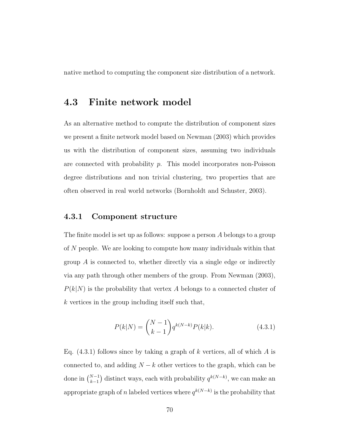native method to computing the component size distribution of a network.

### 4.3 Finite network model

As an alternative method to compute the distribution of component sizes we present a finite network model based on Newman (2003) which provides us with the distribution of component sizes, assuming two individuals are connected with probability  $p$ . This model incorporates non-Poisson degree distributions and non trivial clustering, two properties that are often observed in real world networks (Bornholdt and Schuster, 2003).

#### 4.3.1 Component structure

The finite model is set up as follows: suppose a person A belongs to a group of N people. We are looking to compute how many individuals within that group A is connected to, whether directly via a single edge or indirectly via any path through other members of the group. From Newman (2003),  $P(k|N)$  is the probability that vertex A belongs to a connected cluster of k vertices in the group including itself such that,

$$
P(k|N) = \binom{N-1}{k-1} q^{k(N-k)} P(k|k).
$$
 (4.3.1)

Eq.  $(4.3.1)$  follows since by taking a graph of k vertices, all of which A is connected to, and adding  $N - k$  other vertices to the graph, which can be done in  $\binom{N-1}{k-1}$  distinct ways, each with probability  $q^{k(N-k)}$ , we can make an appropriate graph of n labeled vertices where  $q^{k(N-k)}$  is the probability that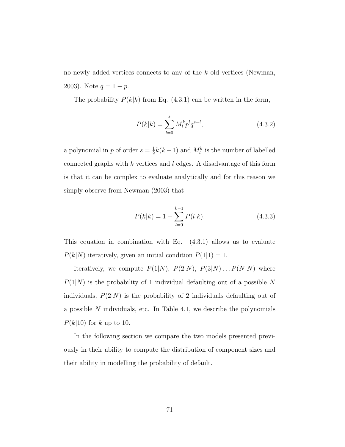no newly added vertices connects to any of the k old vertices (Newman, 2003). Note  $q = 1 - p$ .

The probability  $P(k|k)$  from Eq. (4.3.1) can be written in the form,

$$
P(k|k) = \sum_{l=0}^{s} M_l^k p^l q^{s-l},
$$
\n(4.3.2)

a polynomial in p of order  $s=\frac{1}{2}$  $\frac{1}{2}k(k-1)$  and  $M_l^k$  is the number of labelled connected graphs with  $k$  vertices and  $l$  edges. A disadvantage of this form is that it can be complex to evaluate analytically and for this reason we simply observe from Newman (2003) that

$$
P(k|k) = 1 - \sum_{l=0}^{k-1} P(l|k).
$$
 (4.3.3)

This equation in combination with Eq. (4.3.1) allows us to evaluate  $P(k|N)$  iteratively, given an initial condition  $P(1|1) = 1$ .

Iteratively, we compute  $P(1|N)$ ,  $P(2|N)$ ,  $P(3|N) \ldots P(N|N)$  where  $P(1|N)$  is the probability of 1 individual defaulting out of a possible N individuals,  $P(2|N)$  is the probability of 2 individuals defaulting out of a possible  $N$  individuals, etc. In Table 4.1, we describe the polynomials  $P(k|10)$  for k up to 10.

In the following section we compare the two models presented previously in their ability to compute the distribution of component sizes and their ability in modelling the probability of default.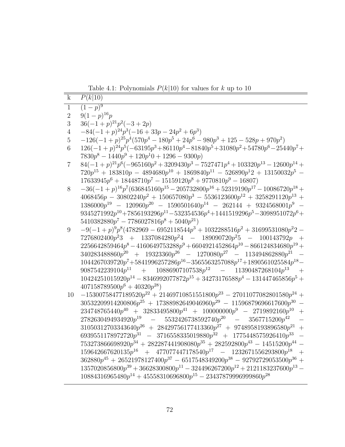Table 4.1: Polynomials  $P(k|10)$  for values for k up to 10

| $\overline{\mathbf{k}}$ | P(k 10)                                                                                                                                                           |
|-------------------------|-------------------------------------------------------------------------------------------------------------------------------------------------------------------|
| $\overline{1}$          | $\sqrt{(1-p)^9}$                                                                                                                                                  |
| $\overline{2}$          | $9(1-p)^{16}p$                                                                                                                                                    |
| 3                       | $36(-1+p)^{21}p^2(-3+2p)$                                                                                                                                         |
| $\,4\,$                 | $-84(-1+p)^{24}p^3(-16+33p-24p^2+6p^3)$                                                                                                                           |
| $\overline{5}$          | $-126(-1+p)^{25}p^4(570p^4-180p^5+24p^6-980p^3+125-528p+970p^2)$                                                                                                  |
| $\,6$                   | $126(-1+p)^{24}p^5(-63195p^3+86110p^4-81840p^5+31080p^2+54780p^6-25440p^7+$                                                                                       |
|                         | $7830p^8 - 1440p^9 + 120p^10 + 1296 - 9300p$                                                                                                                      |
| $\overline{7}$          | $84(-1+p)^{21}p^6(-965160p^2+3209430p^3-7527471p^4+103320p^{13}-12600p^{14}+$                                                                                     |
|                         | $720p^{15} + 183810p - 4894680p^{10} + 1869840p^{11} - 526890p^{12} + 13150032p^{5} -$                                                                            |
|                         | $17633945p^6 + 18448710p^7 - 15159120p^8 + 9770810p^9 - 16807$                                                                                                    |
| 8                       | $-36(-1+p)^{16}p^7(636845160p^{15} - 205732800p^{16} + 52319190p^{17} - 10086720p^{18} +$                                                                         |
|                         | $4068456p - 30802240p^2 + 150657080p^3 - 5536123600p^{12} + 3258291120p^{13} +$                                                                                   |
|                         | $1386000p^{19} - 120960p^{20} - 1590501640p^{14} - 262144 + 9324568001p^{9} -$                                                                                    |
|                         | $9345271992p^{10} + 7856193296p^{11} - 532354536p^4 + 1441519296p^5 - 3098951072p^6 +$                                                                            |
|                         | $5410382880p^7 - 7786027816p^8 + 5040p^{21}$                                                                                                                      |
| $9\phantom{.0}$         | $-9(-1+p)^9p^8(4782969-6952118544p^3+1032288516p^2+31699531080p^22-$                                                                                              |
|                         | $7276802400p^23 + 1337084280p^24 - 189090720p^25 - 100143792p +$                                                                                                  |
|                         | $2256642859464p^8 - 4160649753288p^9 + 6604921452864p^{10} - 866124834680p^{19} +$                                                                                |
|                         | $340283488860p^{20} + 19323360p^{26} - 1270080p^{27} - 113494862880p^{21}$                                                                                        |
|                         | $1044267039720p^7\!+\!5841996257286p^{16}\!-\!3565563257088p^{17}\!+\!1890561025584p^{18}\!-\!$                                                                   |
|                         | $9087542239104p^{11} + 10886907107538p^{12} - 11390487268104p^{13}$<br>$+$                                                                                        |
|                         | $10424251015920p^{14} - 8346992077872p^{15} + 34273176588p^4 - 131447465856p^5 +$                                                                                 |
|                         | $407158789500p^6 + 40320p^{28}$                                                                                                                                   |
| 10                      | $-15300758477189520p^{22} + 21469710851551800p^{23} - 27011077082801580p^{24} +$                                                                                  |
|                         | $30532209914200806p^{25} + 17388982649046960p^{29} - 11596879696617600p^{30} -$                                                                                   |
|                         | $234748765440p^{40} + 32833495800p^{41} + 100000000p^{9} - 2719892160p^{10}$<br>$+$                                                                               |
|                         | $2782630494934920p^{19} - 5532426738592740p^{20} - 3567715200p^{42}$<br>$\equiv$                                                                                  |
|                         | $31050312703343640p^{26} + 28429756177413360p^{27} + 9748958193896580p^{21} +$                                                                                    |
|                         | 6939551178972720 $p^{31}$ - 3716558335019880 $p^{32}$ + 1775448575926410 $p^{33}$<br>$\equiv$                                                                     |
|                         | $753273866698920p^{34} + 282287441908080p^{35} + 282592800p^{43} - 14515200p^{44} -$                                                                              |
|                         | $159642667620135p^{16} + 477077447178540p^{17} - 1232671556293800p^{18}$<br>$\overline{+}$                                                                        |
|                         | $362880p^{45} + 26521978127400p^{37} - 6517548349200p^{38} - 92792729053500p^{36} +$                                                                              |
|                         | $1357020856800p^{39} + 36628300800p^{11} - 324496267200p^{12} + 2121183237600p^{13} -$<br>$10884316965480p^{14} + 45558310696800p^{15} - 23437879996999860p^{28}$ |
|                         |                                                                                                                                                                   |
|                         |                                                                                                                                                                   |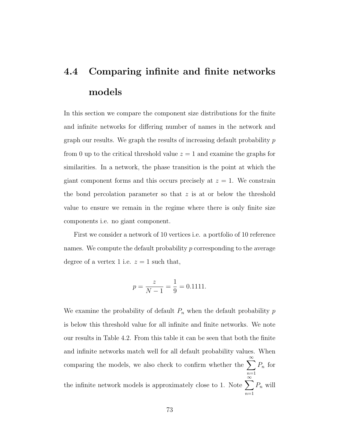# 4.4 Comparing infinite and finite networks models

In this section we compare the component size distributions for the finite and infinite networks for differing number of names in the network and graph our results. We graph the results of increasing default probability  $p$ from 0 up to the critical threshold value  $z = 1$  and examine the graphs for similarities. In a network, the phase transition is the point at which the giant component forms and this occurs precisely at  $z = 1$ . We constrain the bond percolation parameter so that  $z$  is at or below the threshold value to ensure we remain in the regime where there is only finite size components i.e. no giant component.

First we consider a network of 10 vertices i.e. a portfolio of 10 reference names. We compute the default probability  $p$  corresponding to the average degree of a vertex 1 i.e.  $z = 1$  such that,

$$
p = \frac{z}{N-1} = \frac{1}{9} = 0.1111.
$$

We examine the probability of default  $P_n$  when the default probability  $p$ is below this threshold value for all infinite and finite networks. We note our results in Table 4.2. From this table it can be seen that both the finite and infinite networks match well for all default probability values. When comparing the models, we also check to confirm whether the  $\sum_{n=1}^{\infty}$  $n=1$  $P_n$  for the infinite network models is approximately close to 1. Note  $\sum_{n=1}^{\infty}$  $n=1$  $P_n$  will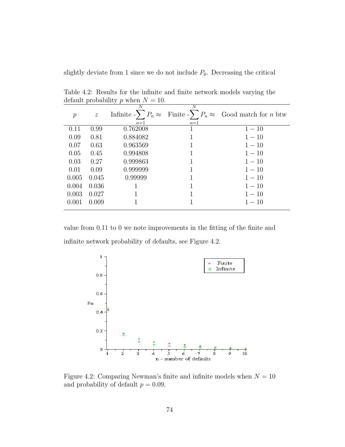slightly deviate from 1 since we do not include  $P_0$ . Decreasing the critical

|       |                | default probability $p$ when $N = 10$ . |                           |                                                                                     |
|-------|----------------|-----------------------------------------|---------------------------|-------------------------------------------------------------------------------------|
| $\,p$ | $\overline{z}$ | Ν<br>$n=1$                              | $\boldsymbol{N}$<br>$n=1$ | Infinite $-\sum P_n \approx$ Finite $-\sum P_n \approx$ Good match for <i>n</i> btw |
| 0.11  | 0.99           | 0.762008                                | 1                         | $1 - 10$                                                                            |
| 0.09  | 0.81           | 0.884082                                |                           | $1 - 10$                                                                            |
| 0.07  | 0.63           | 0.963569                                |                           | $1 - 10$                                                                            |
| 0.05  | 0.45           | 0.994808                                |                           | $1 - 10$                                                                            |
| 0.03  | 0.27           | 0.999863                                |                           | $1 - 10$                                                                            |
| 0.01  | 0.09           | 0.999999                                |                           | $1 - 10$                                                                            |
| 0.005 | 0.045          | 0.99999                                 |                           | $1 - 10$                                                                            |
| 0.004 | 0.036          |                                         |                           | $1 - 10$                                                                            |
| 0.003 | 0.027          |                                         |                           | $1 - 10$                                                                            |
| 0.001 | 0.009          |                                         |                           | $1 - 10$                                                                            |
|       |                |                                         |                           |                                                                                     |

Table 4.2: Results for the infinite and finite network models varying the default probability a when  $N = 10$  $d$ ged and the probability  $p$  when  $N$ 

value from 0.11 to 0 we note improvements in the fitting of the finite and infinite network probability of defaults, see Figure 4.2.



Figure 4.2: Comparing Newman's finite and infinite models when  $N = 10$ and probability of default  $p = 0.09$ .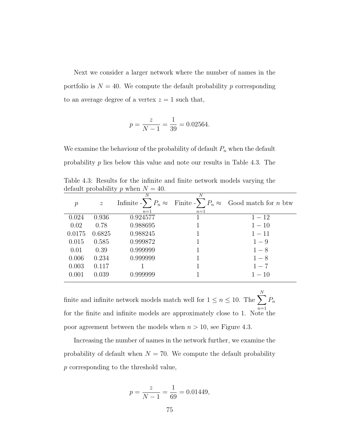Next we consider a larger network where the number of names in the portfolio is  $N = 40$ . We compute the default probability p corresponding to an average degree of a vertex  $z = 1$  such that,

$$
p = \frac{z}{N - 1} = \frac{1}{39} = 0.02564.
$$

We examine the behaviour of the probability of default  $P_n$  when the default probability  $p$  lies below this value and note our results in Table 4.3. The

| Table 4.3: Results for the infinite and finite network models varying the |  |  |  |  |  |
|---------------------------------------------------------------------------|--|--|--|--|--|
| default probability p when $N = 40$ .                                     |  |  |  |  |  |
|                                                                           |  |  |  |  |  |

| $\mathcal{p}$ | $\overline{z}$ | N<br>$n=1$ | N<br>$n=1$ | Infinite $-\sum P_n \approx$ Finite $-\sum P_n \approx$ Good match for <i>n</i> btw |
|---------------|----------------|------------|------------|-------------------------------------------------------------------------------------|
| 0.024         | 0.936          | 0.924577   |            | $1 - 12$                                                                            |
| 0.02          | 0.78           | 0.988695   |            | $1 - 10$                                                                            |
| 0.0175        | 0.6825         | 0.988245   |            | $1 - 11$                                                                            |
| 0.015         | 0.585          | 0.999872   |            | $1-9$                                                                               |
| 0.01          | 0.39           | 0.999999   |            | $1 - 8$                                                                             |
| 0.006         | 0.234          | 0.999999   |            | $1 - 8$                                                                             |
| 0.003         | 0.117          |            |            | $1 - 7$                                                                             |
| 0.001         | 0.039          | 0.999999   |            | $1 - 10$                                                                            |
|               |                |            |            |                                                                                     |

finite and infinite network models match well for  $1 \le n \le 10$ . The  $\sum$ N for the finite and infinite models are approximately close to 1. Note the  $P_n$ poor agreement between the models when  $n > 10$ , see Figure 4.3.

Increasing the number of names in the network further, we examine the probability of default when  $N = 70$ . We compute the default probability p corresponding to the threshold value,

$$
p = \frac{z}{N - 1} = \frac{1}{69} = 0.01449,
$$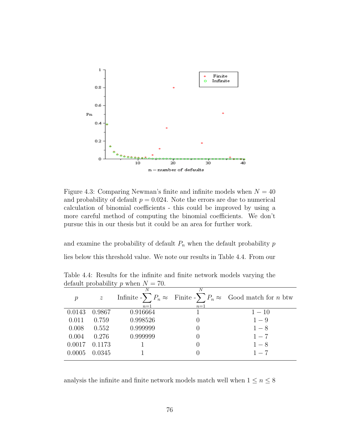

Figure 4.3: Comparing Newman's finite and infinite models when  $N = 40$ and probability of default  $p = 0.024$ . Note the errors are due to numerical calculation of binomial coefficients - this could be improved by using a more careful method of computing the binomial coefficients. We don't pursue this in our thesis but it could be an area for further work.

and examine the probability of default  $P_n$  when the default probability  $p$ lies below this threshold value. We note our results in Table 4.4. From our

| $\mathcal{p}$   | $\boldsymbol{z}$ | $n=1$    | N<br>$n=1$ | Infinite $-\sum P_n \approx$ Finite $-\sum P_n \approx$ Good match for <i>n</i> btw |
|-----------------|------------------|----------|------------|-------------------------------------------------------------------------------------|
| 0.0143          | 0.9867           | 0.916664 |            | $1 - 10$                                                                            |
| 0.011           | 0.759            | 0.998526 |            | $1-9$                                                                               |
| 0.008           | 0.552            | 0.999999 |            | $1 - 8$                                                                             |
| 0.004           | 0.276            | 0.999999 |            | $1 - 7$                                                                             |
| 0.0017          | 0.1173           |          |            | $1 - 8$                                                                             |
| $0.0005$ 0.0345 |                  |          |            | $1 - 7$                                                                             |
|                 |                  |          |            |                                                                                     |

Table 4.4: Results for the infinite and finite network models varying the default probability p when  $N = 70$ .

analysis the infinite and finite network models match well when  $1\leq n\leq 8$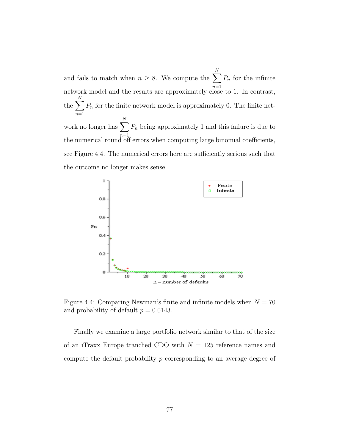and fails to match when  $n \geq 8$ . We compute the  $\sum$ N network model and the results are approximately close to 1. In contrast,  $P_n$  for the infinite the  $\sum$ N  $n=1$  $P_n$  for the finite network model is approximately 0. The finite network no longer has  $\sum$ N  $n=1$  $P_n$  being approximately 1 and this failure is due to the numerical round off errors when computing large binomial coefficients, see Figure 4.4. The numerical errors here are sufficiently serious such that the outcome no longer makes sense.



Figure 4.4: Comparing Newman's finite and infinite models when  $N = 70$ and probability of default  $p = 0.0143$ .

Finally we examine a large portfolio network similar to that of the size of an iTraxx Europe tranched CDO with  $N = 125$  reference names and compute the default probability p corresponding to an average degree of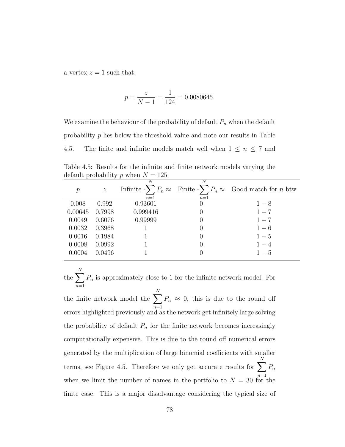a vertex  $z = 1$  such that,

$$
p = \frac{z}{N - 1} = \frac{1}{124} = 0.0080645.
$$

We examine the behaviour of the probability of default  $P_n$  when the default probability p lies below the threshold value and note our results in Table 4.5. The finite and infinite models match well when  $1 \leq n \leq 7$  and

Table 4.5: Results for the infinite and finite network models varying the default probability p when  $N = 125$ .

| $\mathcal{P}$ | $\mathcal{Z}$ | N        | N                | Infinite $-\sum P_n \approx$ Finite $-\sum P_n \approx$ Good match for <i>n</i> btw |
|---------------|---------------|----------|------------------|-------------------------------------------------------------------------------------|
|               |               | $n=1$    | $n=1$            |                                                                                     |
| 0.008         | 0.992         | 0.93601  | $\left( \right)$ | $1 - 8$                                                                             |
| 0.00645       | 0.7998        | 0.999416 |                  | $1 - 7$                                                                             |
| 0.0049        | 0.6076        | 0.99999  |                  | $1 - 7$                                                                             |
| 0.0032        | 0.3968        |          |                  | $1-6$                                                                               |
| 0.0016        | 0.1984        |          |                  | $1-5$                                                                               |
| 0.0008        | 0.0992        |          | $\left( \right)$ | $1 - 4$                                                                             |
| 0.0004        | 0.0496        |          |                  | $1-5$                                                                               |
|               |               |          |                  |                                                                                     |

the  $\sum$ N  $n=1$  $P_n$  is approximately close to 1 for the infinite network model. For

the finite network model the  $\sum$ N  $n=1$  $P_n \approx 0$ , this is due to the round off errors highlighted previously and as the network get infinitely large solving the probability of default  $P_n$  for the finite network becomes increasingly computationally expensive. This is due to the round off numerical errors generated by the multiplication of large binomial coefficients with smaller terms, see Figure 4.5. Therefore we only get accurate results for  $\sum$ N  $n=1$  $P_n$ when we limit the number of names in the portfolio to  $N = 30$  for the finite case. This is a major disadvantage considering the typical size of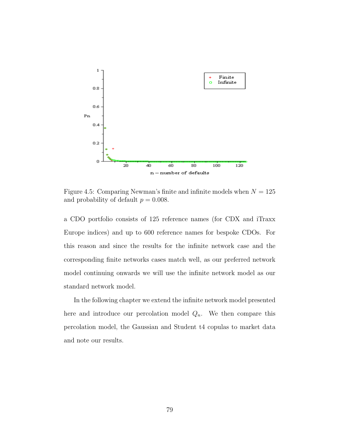

Figure 4.5: Comparing Newman's finite and infinite models when  $N = 125$ and probability of default  $p = 0.008$ .

a CDO portfolio consists of 125 reference names (for CDX and iTraxx Europe indices) and up to 600 reference names for bespoke CDOs. For this reason and since the results for the infinite network case and the corresponding finite networks cases match well, as our preferred network model continuing onwards we will use the infinite network model as our standard network model.

In the following chapter we extend the infinite network model presented here and introduce our percolation model  $Q_n$ . We then compare this percolation model, the Gaussian and Student t4 copulas to market data and note our results.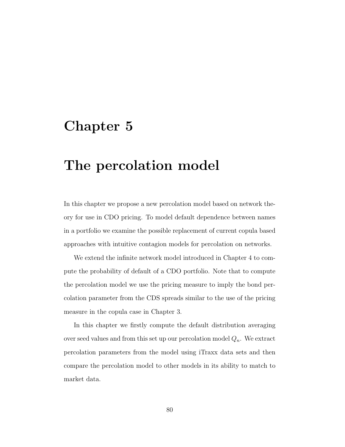## Chapter 5

## The percolation model

In this chapter we propose a new percolation model based on network theory for use in CDO pricing. To model default dependence between names in a portfolio we examine the possible replacement of current copula based approaches with intuitive contagion models for percolation on networks.

We extend the infinite network model introduced in Chapter 4 to compute the probability of default of a CDO portfolio. Note that to compute the percolation model we use the pricing measure to imply the bond percolation parameter from the CDS spreads similar to the use of the pricing measure in the copula case in Chapter 3.

In this chapter we firstly compute the default distribution averaging over seed values and from this set up our percolation model  $Q_n$ . We extract percolation parameters from the model using iTraxx data sets and then compare the percolation model to other models in its ability to match to market data.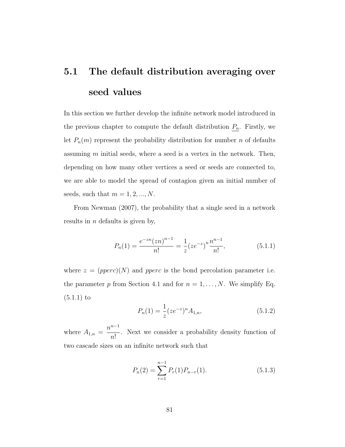# 5.1 The default distribution averaging over seed values

In this section we further develop the infinite network model introduced in the previous chapter to compute the default distribution  $P_n$ . Firstly, we let  $P_n(m)$  represent the probability distribution for number n of defaults assuming  $m$  initial seeds, where a seed is a vertex in the network. Then, depending on how many other vertices a seed or seeds are connected to, we are able to model the spread of contagion given an initial number of seeds, such that  $m = 1, 2, ..., N$ .

From Newman (2007), the probability that a single seed in a network results in  $n$  defaults is given by,

$$
P_n(1) = \frac{e^{-zn}(zn)^{n-1}}{n!} = \frac{1}{z}(ze^{-z})^n \frac{n^{n-1}}{n!},
$$
\n(5.1.1)

where  $z = (pperc)(N)$  and pperc is the bond percolation parameter i.e. the parameter p from Section 4.1 and for  $n = 1, \ldots, N$ . We simplify Eq. (5.1.1) to

$$
P_n(1) = \frac{1}{z} (ze^{-z})^n A_{1,n},
$$
\n(5.1.2)

where  $A_{1,n} =$  $n^{n-1}$ n! . Next we consider a probability density function of two cascade sizes on an infinite network such that

$$
P_n(2) = \sum_{r=1}^{n-1} P_r(1) P_{n-r}(1).
$$
 (5.1.3)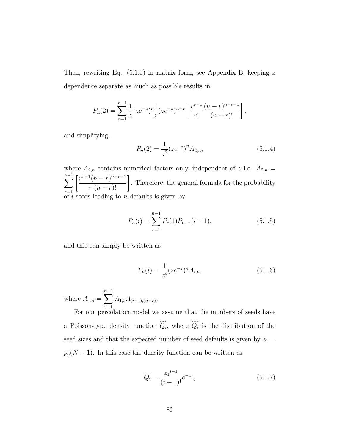Then, rewriting Eq.  $(5.1.3)$  in matrix form, see Appendix B, keeping z dependence separate as much as possible results in

$$
P_n(2) = \sum_{r=1}^{n-1} \frac{1}{z} (ze^{-z})^r \frac{1}{z} (ze^{-z})^{n-r} \left[ \frac{r^{r-1}}{r!} \frac{(n-r)^{n-r-1}}{(n-r)!} \right],
$$

and simplifying,

$$
P_n(2) = \frac{1}{z^2} (ze^{-z})^n A_{2,n},
$$
\n(5.1.4)

where  $A_{2,n}$  contains numerical factors only, independent of z i.e.  $A_{2,n}$  =  $\sum^{n-1}$  $r=1$  $\left[\frac{r^{r-1}(n-r)^{n-r-1}}{r!(n-r)!}\right]$ . Therefore, the general formula for the probability of  $i$  seeds leading to  $n$  defaults is given by

$$
P_n(i) = \sum_{r=1}^{n-1} P_r(1) P_{n-r}(i-1),
$$
\n(5.1.5)

and this can simply be written as

$$
P_n(i) = \frac{1}{z^i} (ze^{-z})^n A_{i,n},
$$
\n(5.1.6)

where  $A_{1,n} = \sum_{n=1}^{n-1}$  $r=1$  $A_{1,r}A_{(i-1),(n-r)}$ .

For our percolation model we assume that the numbers of seeds have a Poisson-type density function  $Q_i$ , where  $Q_i$  is the distribution of the seed sizes and that the expected number of seed defaults is given by  $z_1 =$  $\rho_0(N-1)$ . In this case the density function can be written as

$$
\widetilde{Q_i} = \frac{z_1^{i-1}}{(i-1)!} e^{-z_1},\tag{5.1.7}
$$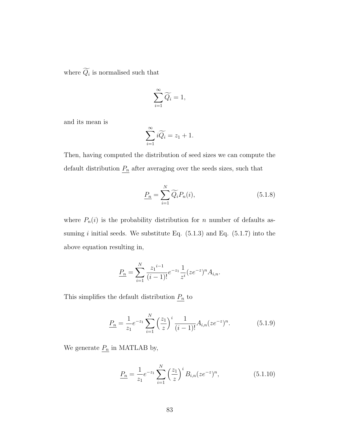where  $Q_i$  is normalised such that

$$
\sum_{i=1}^{\infty} \widetilde{Q_i} = 1,
$$

and its mean is

$$
\sum_{i=1}^{\infty} i \widetilde{Q_i} = z_1 + 1.
$$

Then, having computed the distribution of seed sizes we can compute the default distribution  $\underline{P_n}$  after averaging over the seeds sizes, such that

$$
\underline{P_n} = \sum_{i=1}^{N} \widetilde{Q_i} P_n(i),\tag{5.1.8}
$$

where  $P_n(i)$  is the probability distribution for n number of defaults assuming  $i$  initial seeds. We substitute Eq.  $(5.1.3)$  and Eq.  $(5.1.7)$  into the above equation resulting in,

$$
\underline{P_n} = \sum_{i=1}^N \frac{z_1^{i-1}}{(i-1)!} e^{-z_1} \frac{1}{z^i} (ze^{-z})^n A_{i,n}.
$$

This simplifies the default distribution  $\underline{P_n}$  to

$$
\underline{P_n} = \frac{1}{z_1} e^{-z_1} \sum_{i=1}^{N} \left(\frac{z_1}{z}\right)^i \frac{1}{(i-1)!} A_{i,n} (ze^{-z})^n.
$$
 (5.1.9)

We generate  $\underline{P_n}$  in MATLAB by,

$$
\underline{P_n} = \frac{1}{z_1} e^{-z_1} \sum_{i=1}^{N} \left(\frac{z_1}{z}\right)^i B_{i,n} (ze^{-z})^n, \tag{5.1.10}
$$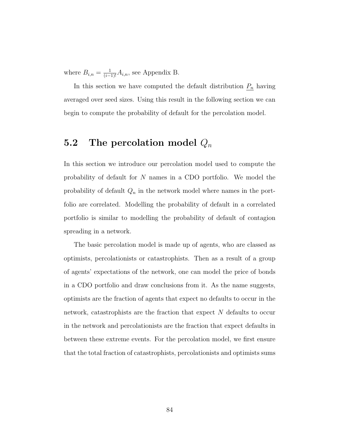where  $B_{i,n} = \frac{1}{(i-1)!} A_{i,n}$ , see Appendix B.

In this section we have computed the default distribution  $P_n$  having averaged over seed sizes. Using this result in the following section we can begin to compute the probability of default for the percolation model.

## 5.2 The percolation model  $Q_n$

In this section we introduce our percolation model used to compute the probability of default for N names in a CDO portfolio. We model the probability of default  $Q_n$  in the network model where names in the portfolio are correlated. Modelling the probability of default in a correlated portfolio is similar to modelling the probability of default of contagion spreading in a network.

The basic percolation model is made up of agents, who are classed as optimists, percolationists or catastrophists. Then as a result of a group of agents' expectations of the network, one can model the price of bonds in a CDO portfolio and draw conclusions from it. As the name suggests, optimists are the fraction of agents that expect no defaults to occur in the network, catastrophists are the fraction that expect N defaults to occur in the network and percolationists are the fraction that expect defaults in between these extreme events. For the percolation model, we first ensure that the total fraction of catastrophists, percolationists and optimists sums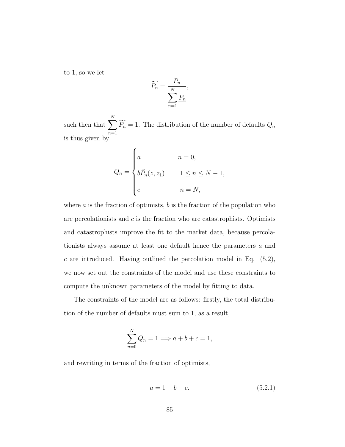to 1, so we let

$$
\widetilde{P_n} = \frac{\underline{P_n}}{\sum_{n=1}^{N} \underline{P_n}},
$$

such then that  $\sum$ N  $\sum_{n=1} P_n = 1$ . The distribution of the number of defaults  $Q_n$ is thus given by

$$
Q_n = \begin{cases} a & n = 0, \\ b\tilde{P}_n(z, z_1) & 1 \le n \le N - 1, \\ c & n = N, \end{cases}
$$

where  $\alpha$  is the fraction of optimists,  $\dot{\theta}$  is the fraction of the population who are percolationists and  $c$  is the fraction who are catastrophists. Optimists and catastrophists improve the fit to the market data, because percolationists always assume at least one default hence the parameters a and  $c$  are introduced. Having outlined the percolation model in Eq.  $(5.2)$ , we now set out the constraints of the model and use these constraints to compute the unknown parameters of the model by fitting to data.

The constraints of the model are as follows: firstly, the total distribution of the number of defaults must sum to 1, as a result,

$$
\sum_{n=0}^{N} Q_n = 1 \Longrightarrow a + b + c = 1,
$$

and rewriting in terms of the fraction of optimists,

$$
a = 1 - b - c.\t\t(5.2.1)
$$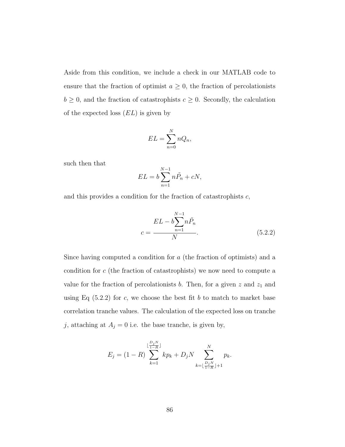Aside from this condition, we include a check in our MATLAB code to ensure that the fraction of optimist  $a \geq 0$ , the fraction of percolationists  $b \geq 0$ , and the fraction of catastrophists  $c \geq 0$ . Secondly, the calculation of the expected loss  $(EL)$  is given by

$$
EL = \sum_{n=0}^{N} nQ_n,
$$

such then that

$$
EL = b \sum_{n=1}^{N-1} n \tilde{P}_n + cN,
$$

and this provides a condition for the fraction of catastrophists  $c$ ,

$$
c = \frac{EL - b \sum_{n=1}^{N-1} n \tilde{P}_n}{N}.
$$
\n(5.2.2)

Since having computed a condition for a (the fraction of optimists) and a condition for c (the fraction of catastrophists) we now need to compute a value for the fraction of percolationists b. Then, for a given z and  $z_1$  and using Eq  $(5.2.2)$  for c, we choose the best fit b to match to market base correlation tranche values. The calculation of the expected loss on tranche j, attaching at  $A_j = 0$  i.e. the base tranche, is given by,

$$
E_j = (1 - R) \sum_{k=1}^{\lfloor \frac{D_j N}{1 - R} \rfloor} k p_k + D_j N \sum_{k=\lfloor \frac{D_j N}{1 - R} \rfloor + 1}^N p_k.
$$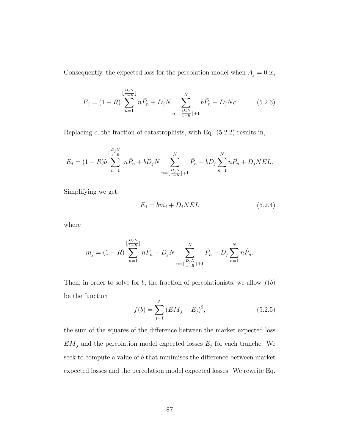Consequently, the expected loss for the percolation model when  $A_j = 0$  is,

$$
E_j = (1 - R) \sum_{n=1}^{\lfloor \frac{D_j N}{1 - R} \rfloor} n \tilde{P}_n + D_j N \sum_{n=\lfloor \frac{D_j N}{1 - R} \rfloor + 1}^N b \tilde{P}_n + D_j N c.
$$
 (5.2.3)

Replacing  $c$ , the fraction of catastrophists, with Eq.  $(5.2.2)$  results in,

$$
E_j = (1 - R)b \sum_{n=1}^{\lfloor \frac{D_j N}{1 - R} \rfloor} n\tilde{P}_n + bD_j N \sum_{n=\lfloor \frac{D_j N}{1 - R} \rfloor + 1}^N \tilde{P}_n - bD_j \sum_{n=1}^N n\tilde{P}_n + D_j NEL.
$$

Simplifying we get,

$$
E_j = bm_j + D_j NEL \tag{5.2.4}
$$

where

$$
m_j = (1 - R) \sum_{n=1}^{\lfloor \frac{D_j N}{1 - R} \rfloor} n \tilde{P}_n + D_j N \sum_{n=\lfloor \frac{D_j N}{1 - R} \rfloor + 1}^N \tilde{P}_n - D_j \sum_{n=1}^N n \tilde{P}_n.
$$

Then, in order to solve for b, the fraction of percolationists, we allow  $f(b)$ be the function

$$
f(b) = \sum_{j=1}^{5} (EM_j - E_j)^2,
$$
 (5.2.5)

the sum of the squares of the difference between the market expected loss  $EM_j$  and the percolation model expected losses  $E_j$  for each tranche. We seek to compute a value of b that minimises the difference between market expected losses and the percolation model expected losses. We rewrite Eq.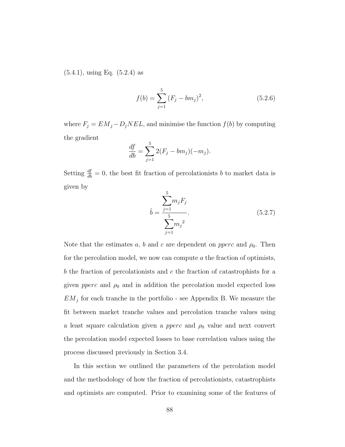(5.4.1), using Eq. (5.2.4) as

$$
f(b) = \sum_{j=1}^{5} (F_j - bm_j)^2,
$$
\n(5.2.6)

where  $F_j = EM_j - D_j NEL$ , and minimise the function  $f(b)$  by computing the gradient

$$
\frac{df}{db} = \sum_{j=1}^{5} 2(F_j - bm_j)(-m_j).
$$

Setting  $\frac{df}{db} = 0$ , the best fit fraction of percolationists b to market data is given by 5

$$
\hat{b} = \frac{\sum_{j=1}^{5} m_j F_j}{\sum_{j=1}^{5} m_j^2}.
$$
\n(5.2.7)

Note that the estimates a, b and c are dependent on *pperc* and  $\rho_0$ . Then for the percolation model, we now can compute  $\alpha$  the fraction of optimists, b the fraction of percolationists and c the fraction of catastrophists for a given *pperc* and  $\rho_0$  and in addition the percolation model expected loss  $EM_j$  for each tranche in the portfolio - see Appendix B. We measure the fit between market tranche values and percolation tranche values using a least square calculation given a *pperc* and  $\rho_0$  value and next convert the percolation model expected losses to base correlation values using the process discussed previously in Section 3.4.

In this section we outlined the parameters of the percolation model and the methodology of how the fraction of percolationists, catastrophists and optimists are computed. Prior to examining some of the features of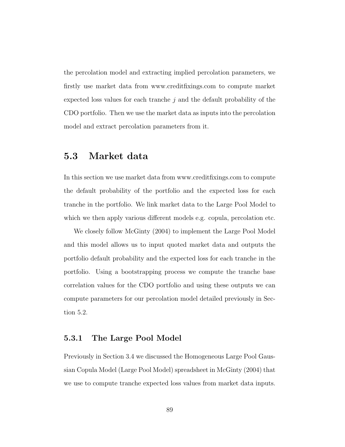the percolation model and extracting implied percolation parameters, we firstly use market data from www.creditfixings.com to compute market expected loss values for each tranche  $j$  and the default probability of the CDO portfolio. Then we use the market data as inputs into the percolation model and extract percolation parameters from it.

### 5.3 Market data

In this section we use market data from www.creditfixings.com to compute the default probability of the portfolio and the expected loss for each tranche in the portfolio. We link market data to the Large Pool Model to which we then apply various different models e.g. copula, percolation etc.

We closely follow McGinty (2004) to implement the Large Pool Model and this model allows us to input quoted market data and outputs the portfolio default probability and the expected loss for each tranche in the portfolio. Using a bootstrapping process we compute the tranche base correlation values for the CDO portfolio and using these outputs we can compute parameters for our percolation model detailed previously in Section 5.2.

#### 5.3.1 The Large Pool Model

Previously in Section 3.4 we discussed the Homogeneous Large Pool Gaussian Copula Model (Large Pool Model) spreadsheet in McGinty (2004) that we use to compute tranche expected loss values from market data inputs.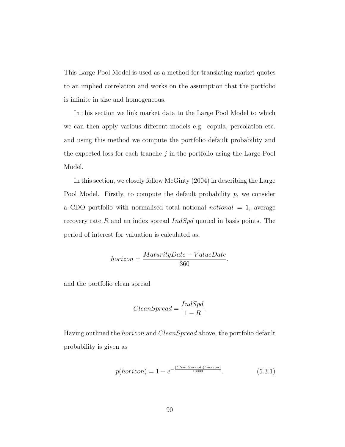This Large Pool Model is used as a method for translating market quotes to an implied correlation and works on the assumption that the portfolio is infinite in size and homogeneous.

In this section we link market data to the Large Pool Model to which we can then apply various different models e.g. copula, percolation etc. and using this method we compute the portfolio default probability and the expected loss for each tranche  $j$  in the portfolio using the Large Pool Model.

In this section, we closely follow McGinty (2004) in describing the Large Pool Model. Firstly, to compute the default probability  $p$ , we consider a CDO portfolio with normalised total notional *notional*  $= 1$ , average recovery rate R and an index spread  $IndSpd$  quoted in basis points. The period of interest for valuation is calculated as,

$$
horizon = \frac{MaturityDate - ValueDate}{360},
$$

and the portfolio clean spread

$$
ClearSpeed = \frac{IndSpd}{1 - R}.
$$

Having outlined the horizon and CleanSpread above, the portfolio default probability is given as

$$
p(horizon) = 1 - e^{-\frac{(ClearSpred)(horizon)}{10000}}.
$$
\n
$$
(5.3.1)
$$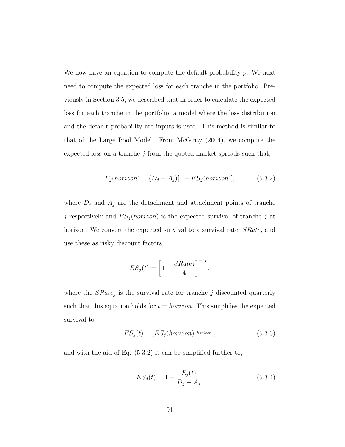We now have an equation to compute the default probability  $p$ . We next need to compute the expected loss for each tranche in the portfolio. Previously in Section 3.5, we described that in order to calculate the expected loss for each tranche in the portfolio, a model where the loss distribution and the default probability are inputs is used. This method is similar to that of the Large Pool Model. From McGinty (2004), we compute the expected loss on a tranche  $j$  from the quoted market spreads such that,

$$
E_j(horizon) = (D_j - A_j)[1 - ES_j(horizon)], \qquad (5.3.2)
$$

where  $D_j$  and  $A_j$  are the detachment and attachment points of tranche j respectively and  $ES_j(horizon)$  is the expected survival of tranche j at horizon. We convert the expected survival to a survival rate, *SRate*, and use these as risky discount factors,

$$
ES_j(t) = \left[1 + \frac{SRate_j}{4}\right]^{-4t},
$$

where the  $SRate_j$  is the survival rate for tranche j discounted quarterly such that this equation holds for  $t = horizon$ . This simplifies the expected survival to

$$
ES_j(t) = [ES_j(horizon)]^{\frac{t}{horizon}}, \qquad (5.3.3)
$$

and with the aid of Eq. (5.3.2) it can be simplified further to,

$$
ES_j(t) = 1 - \frac{E_j(t)}{D_j - A_j}.
$$
\n(5.3.4)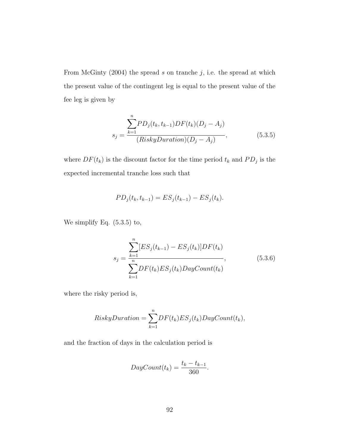From McGinty (2004) the spread  $s$  on tranche  $j$ , i.e. the spread at which the present value of the contingent leg is equal to the present value of the fee leg is given by

$$
s_j = \frac{\sum_{k=1}^{n} PD_j(t_k, t_{k-1})DF(t_k)(D_j - A_j)}{(RiskyDuration)(D_j - A_j)},
$$
\n(5.3.5)

where  $DF(t_k)$  is the discount factor for the time period  $t_k$  and  $PD_j$  is the expected incremental tranche loss such that

$$
PD_j(t_k, t_{k-1}) = ES_j(t_{k-1}) - ES_j(t_k).
$$

We simplify Eq. (5.3.5) to,

$$
s_j = \frac{\sum_{k=1}^{n} [ES_j(t_{k-1}) - ES_j(t_k)]DF(t_k)}{\sum_{k=1}^{n} DF(t_k)ES_j(t_k)DayCount(t_k)},
$$
\n(5.3.6)

where the risky period is,

$$
RiskyDuration = \sum_{k=1}^{n} DF(t_k) ES_j(t_k) DayCount(t_k),
$$

and the fraction of days in the calculation period is

$$
DayCount(t_k) = \frac{t_k - t_{k-1}}{360}.
$$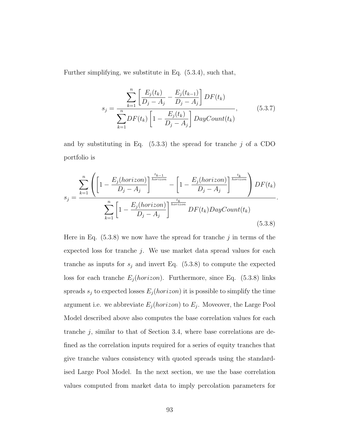Further simplifying, we substitute in Eq. (5.3.4), such that,

$$
s_j = \frac{\sum_{k=1}^{n} \left[ \frac{E_j(t_k)}{D_j - A_j} - \frac{E_j(t_{k-1})}{D_j - A_j} \right] DF(t_k)}{\sum_{k=1}^{n} DF(t_k) \left[ 1 - \frac{E_j(t_k)}{D_j - A_j} \right] DayCount(t_k)},
$$
(5.3.7)

and by substituting in Eq.  $(5.3.3)$  the spread for tranche j of a CDO portfolio is

$$
s_j = \frac{\sum_{k=1}^{n} \left( \left[ 1 - \frac{E_j(horizon)}{D_j - A_j} \right]^{\frac{t_{k-1}}{horizon}} - \left[ 1 - \frac{E_j(horizon)}{D_j - A_j} \right]^{\frac{t_k}{horizon}} \right) DF(t_k)}{\sum_{k=1}^{n} \left[ 1 - \frac{E_j(horizon)}{D_j - A_j} \right]^{\frac{t_k}{horizon}} DF(t_k) DayCount(t_k)}
$$
\n(5.3.8)

Here in Eq.  $(5.3.8)$  we now have the spread for tranche j in terms of the expected loss for tranche  $j$ . We use market data spread values for each tranche as inputs for  $s_j$  and invert Eq. (5.3.8) to compute the expected loss for each tranche  $E_j(horizon)$ . Furthermore, since Eq. (5.3.8) links spreads  $s_j$  to expected losses  $E_j(horizon)$  it is possible to simplify the time argument i.e. we abbreviate  $E_j(horizon)$  to  $E_j$ . Moveover, the Large Pool Model described above also computes the base correlation values for each tranche  $j$ , similar to that of Section 3.4, where base correlations are defined as the correlation inputs required for a series of equity tranches that give tranche values consistency with quoted spreads using the standardised Large Pool Model. In the next section, we use the base correlation values computed from market data to imply percolation parameters for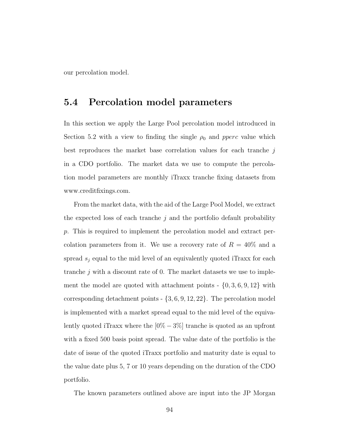our percolation model.

### 5.4 Percolation model parameters

In this section we apply the Large Pool percolation model introduced in Section 5.2 with a view to finding the single  $\rho_0$  and *pperc* value which best reproduces the market base correlation values for each tranche j in a CDO portfolio. The market data we use to compute the percolation model parameters are monthly iTraxx tranche fixing datasets from www.creditfixings.com.

From the market data, with the aid of the Large Pool Model, we extract the expected loss of each tranche  $j$  and the portfolio default probability p. This is required to implement the percolation model and extract percolation parameters from it. We use a recovery rate of  $R = 40\%$  and a spread  $s_j$  equal to the mid level of an equivalently quoted iTraxx for each tranche j with a discount rate of 0. The market datasets we use to implement the model are quoted with attachment points  $- \{0, 3, 6, 9, 12\}$  with corresponding detachment points  $- \{3, 6, 9, 12, 22\}$ . The percolation model is implemented with a market spread equal to the mid level of the equivalently quoted iTraxx where the  $[0\% - 3\%]$  tranche is quoted as an upfront with a fixed 500 basis point spread. The value date of the portfolio is the date of issue of the quoted iTraxx portfolio and maturity date is equal to the value date plus 5, 7 or 10 years depending on the duration of the CDO portfolio.

The known parameters outlined above are input into the JP Morgan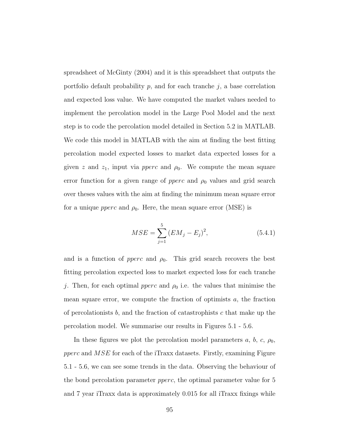spreadsheet of McGinty (2004) and it is this spreadsheet that outputs the portfolio default probability  $p$ , and for each tranche  $j$ , a base correlation and expected loss value. We have computed the market values needed to implement the percolation model in the Large Pool Model and the next step is to code the percolation model detailed in Section 5.2 in MATLAB. We code this model in MATLAB with the aim at finding the best fitting percolation model expected losses to market data expected losses for a given z and  $z_1$ , input via *pperc* and  $\rho_0$ . We compute the mean square error function for a given range of  $pperc$  and  $\rho_0$  values and grid search over theses values with the aim at finding the minimum mean square error for a unique *pperc* and  $\rho_0$ . Here, the mean square error (MSE) is

$$
MSE = \sum_{j=1}^{5} (EM_j - E_j)^2, \tag{5.4.1}
$$

and is a function of *pperc* and  $\rho_0$ . This grid search recovers the best fitting percolation expected loss to market expected loss for each tranche j. Then, for each optimal *pperc* and  $\rho_0$  i.e. the values that minimise the mean square error, we compute the fraction of optimists  $a$ , the fraction of percolationists  $b$ , and the fraction of catastrophists  $c$  that make up the percolation model. We summarise our results in Figures 5.1 - 5.6.

In these figures we plot the percolation model parameters  $a, b, c, \rho_0$ , pperc and MSE for each of the iTraxx datasets. Firstly, examining Figure 5.1 - 5.6, we can see some trends in the data. Observing the behaviour of the bond percolation parameter pperc, the optimal parameter value for 5 and 7 year iTraxx data is approximately 0.015 for all iTraxx fixings while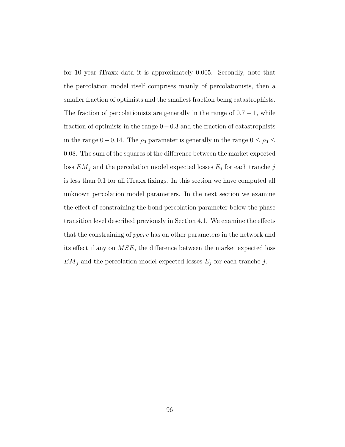for 10 year iTraxx data it is approximately 0.005. Secondly, note that the percolation model itself comprises mainly of percolationists, then a smaller fraction of optimists and the smallest fraction being catastrophists. The fraction of percolationists are generally in the range of  $0.7 - 1$ , while fraction of optimists in the range 0−0.3 and the fraction of catastrophists in the range 0 − 0.14. The  $\rho_0$  parameter is generally in the range  $0 \le \rho_0 \le$ 0.08. The sum of the squares of the difference between the market expected loss  $EM_j$  and the percolation model expected losses  $E_j$  for each tranche j is less than 0.1 for all iTraxx fixings. In this section we have computed all unknown percolation model parameters. In the next section we examine the effect of constraining the bond percolation parameter below the phase transition level described previously in Section 4.1. We examine the effects that the constraining of pperc has on other parameters in the network and its effect if any on MSE, the difference between the market expected loss  $EM_j$  and the percolation model expected losses  $E_j$  for each tranche j.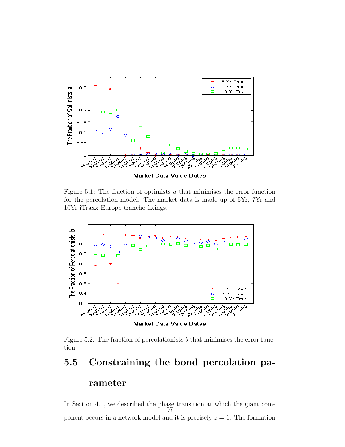

Figure 5.1: The fraction of optimists  $a$  that minimises the error function for the percolation model. The market data is made up of 5Yr, 7Yr and 10Yr iTraxx Europe tranche fixings.



Figure 5.2: The fraction of percolationists b that minimises the error function.

#### 5.5 Constraining the bond percolation pa-

#### rameter

In Section 4.1, we described the phase transition at which the giant component occurs in a network model and it is precisely  $z = 1$ . The formation 97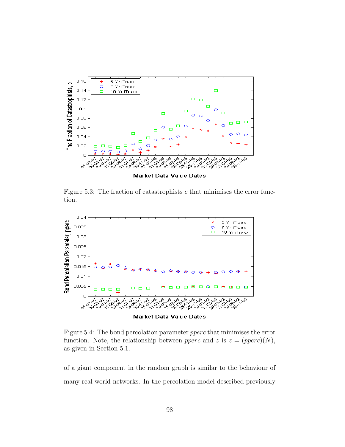

Figure 5.3: The fraction of catastrophists c that minimises the error function.



Figure 5.4: The bond percolation parameter pperc that minimises the error function. Note, the relationship between *pperc* and z is  $z = (pperc)(N)$ , as given in Section 5.1.

of a giant component in the random graph is similar to the behaviour of many real world networks. In the percolation model described previously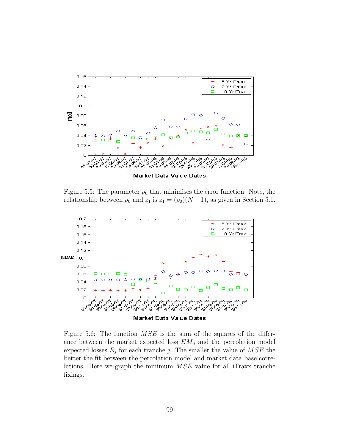

Figure 5.5: The parameter  $\rho_0$  that minimises the error function. Note, the relationship between  $\rho_0$  and  $z_1$  is  $z_1 = (\rho_0)(N-1)$ , as given in Section 5.1.



Figure 5.6: The function  $MSE$  is the sum of the squares of the difference between the market expected loss  $EM_j$  and the percolation model expected losses  $E_j$  for each tranche j. The smaller the value of  $MSE$  the better the fit between the percolation model and market data base correlations. Here we graph the minimum MSE value for all iTraxx tranche fixings.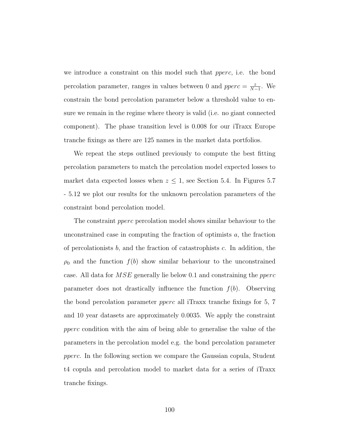we introduce a constraint on this model such that pperc, i.e. the bond percolation parameter, ranges in values between 0 and  $pperc = \frac{z}{N}$  $\frac{z}{N-1}$ . We constrain the bond percolation parameter below a threshold value to ensure we remain in the regime where theory is valid (i.e. no giant connected component). The phase transition level is 0.008 for our iTraxx Europe tranche fixings as there are 125 names in the market data portfolios.

We repeat the steps outlined previously to compute the best fitting percolation parameters to match the percolation model expected losses to market data expected losses when  $z \leq 1$ , see Section 5.4. In Figures 5.7 - 5.12 we plot our results for the unknown percolation parameters of the constraint bond percolation model.

The constraint *pperc* percolation model shows similar behaviour to the unconstrained case in computing the fraction of optimists a, the fraction of percolationists  $b$ , and the fraction of catastrophists  $c$ . In addition, the  $\rho_0$  and the function  $f(b)$  show similar behaviour to the unconstrained case. All data for MSE generally lie below 0.1 and constraining the pperc parameter does not drastically influence the function  $f(b)$ . Observing the bond percolation parameter pperc all iTraxx tranche fixings for 5, 7 and 10 year datasets are approximately 0.0035. We apply the constraint pperc condition with the aim of being able to generalise the value of the parameters in the percolation model e.g. the bond percolation parameter pperc. In the following section we compare the Gaussian copula, Student t4 copula and percolation model to market data for a series of iTraxx tranche fixings.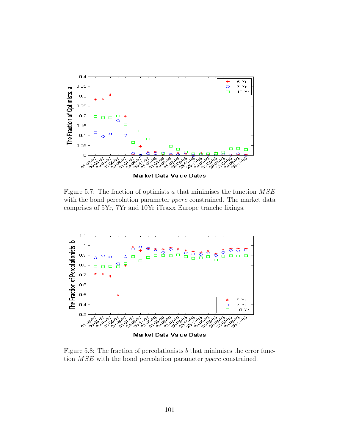

Figure 5.7: The fraction of optimists  $a$  that minimises the function  $MSE$ with the bond percolation parameter *pperc* constrained. The market data comprises of 5Yr, 7Yr and 10Yr iTraxx Europe tranche fixings.



Figure 5.8: The fraction of percolationists b that minimises the error function MSE with the bond percolation parameter pperc constrained.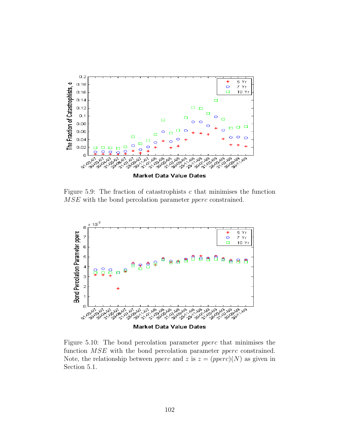

Figure 5.9: The fraction of catastrophists  $c$  that minimises the function MSE with the bond percolation parameter *pperc* constrained.



Figure 5.10: The bond percolation parameter pperc that minimises the function *MSE* with the bond percolation parameter *pperc* constrained. Note, the relationship between *pperc* and z is  $z = (pperc)(N)$  as given in Section 5.1.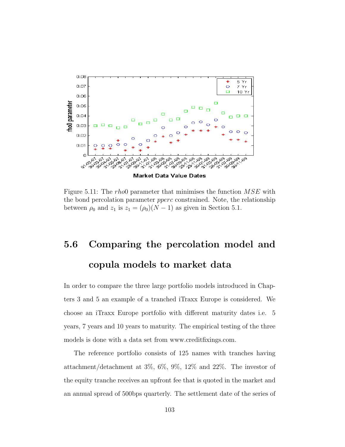

Figure 5.11: The rhoop parameter that minimises the function  $MSE$  with the bond percolation parameter pperc constrained. Note, the relationship between  $\rho_0$  and  $z_1$  is  $z_1 = (\rho_0)(N-1)$  as given in Section 5.1.

# 5.6 Comparing the percolation model and copula models to market data

In order to compare the three large portfolio models introduced in Chapters 3 and 5 an example of a tranched iTraxx Europe is considered. We choose an iTraxx Europe portfolio with different maturity dates i.e. 5 years, 7 years and 10 years to maturity. The empirical testing of the three models is done with a data set from www.creditfixings.com.

The reference portfolio consists of 125 names with tranches having attachment/detachment at 3%, 6%, 9%, 12% and 22%. The investor of the equity tranche receives an upfront fee that is quoted in the market and an annual spread of 500bps quarterly. The settlement date of the series of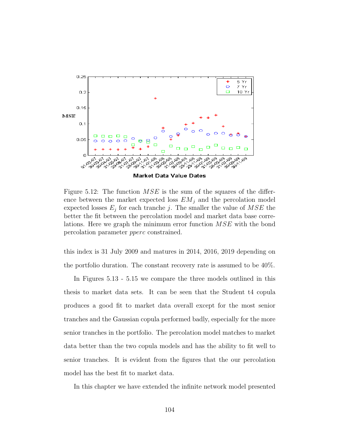

Figure 5.12: The function  $MSE$  is the sum of the squares of the difference between the market expected loss  $EM_i$  and the percolation model expected losses  $E_j$  for each tranche j. The smaller the value of  $MSE$  the better the fit between the percolation model and market data base correlations. Here we graph the minimum error function MSE with the bond percolation parameter pperc constrained.

this index is 31 July 2009 and matures in 2014, 2016, 2019 depending on the portfolio duration. The constant recovery rate is assumed to be 40%.

In Figures 5.13 - 5.15 we compare the three models outlined in this thesis to market data sets. It can be seen that the Student t4 copula produces a good fit to market data overall except for the most senior tranches and the Gaussian copula performed badly, especially for the more senior tranches in the portfolio. The percolation model matches to market data better than the two copula models and has the ability to fit well to senior tranches. It is evident from the figures that the our percolation model has the best fit to market data.

In this chapter we have extended the infinite network model presented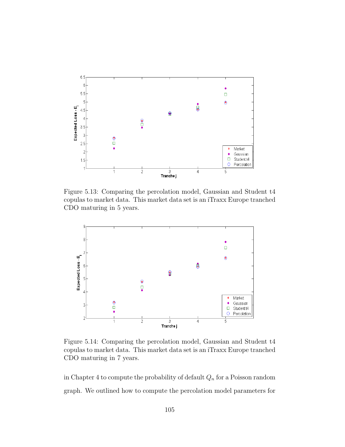

Figure 5.13: Comparing the percolation model, Gaussian and Student t4 copulas to market data. This market data set is an iTraxx Europe tranched CDO maturing in 5 years.



Figure 5.14: Comparing the percolation model, Gaussian and Student t4 copulas to market data. This market data set is an iTraxx Europe tranched CDO maturing in 7 years.

in Chapter 4 to compute the probability of default  $Q_n$  for a Poisson random graph. We outlined how to compute the percolation model parameters for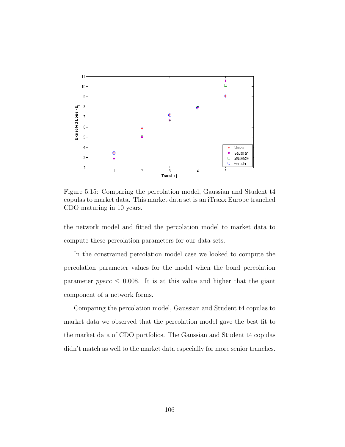

Figure 5.15: Comparing the percolation model, Gaussian and Student t4 copulas to market data. This market data set is an iTraxx Europe tranched CDO maturing in 10 years.

the network model and fitted the percolation model to market data to compute these percolation parameters for our data sets.

In the constrained percolation model case we looked to compute the percolation parameter values for the model when the bond percolation parameter  $pperc \leq 0.008$ . It is at this value and higher that the giant component of a network forms.

Comparing the percolation model, Gaussian and Student t4 copulas to market data we observed that the percolation model gave the best fit to the market data of CDO portfolios. The Gaussian and Student t4 copulas didn't match as well to the market data especially for more senior tranches.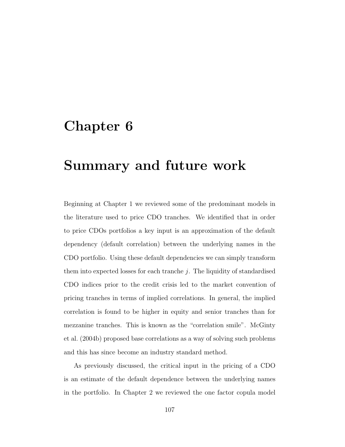#### Chapter 6

## Summary and future work

Beginning at Chapter 1 we reviewed some of the predominant models in the literature used to price CDO tranches. We identified that in order to price CDOs portfolios a key input is an approximation of the default dependency (default correlation) between the underlying names in the CDO portfolio. Using these default dependencies we can simply transform them into expected losses for each tranche  $j$ . The liquidity of standardised CDO indices prior to the credit crisis led to the market convention of pricing tranches in terms of implied correlations. In general, the implied correlation is found to be higher in equity and senior tranches than for mezzanine tranches. This is known as the "correlation smile". McGinty et al. (2004b) proposed base correlations as a way of solving such problems and this has since become an industry standard method.

As previously discussed, the critical input in the pricing of a CDO is an estimate of the default dependence between the underlying names in the portfolio. In Chapter 2 we reviewed the one factor copula model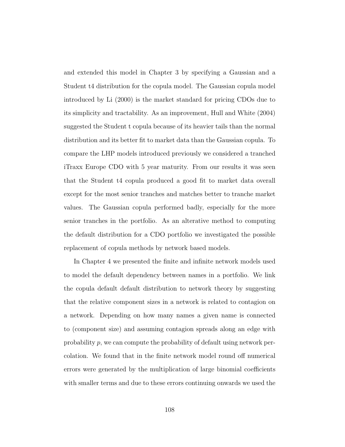and extended this model in Chapter 3 by specifying a Gaussian and a Student t4 distribution for the copula model. The Gaussian copula model introduced by Li (2000) is the market standard for pricing CDOs due to its simplicity and tractability. As an improvement, Hull and White (2004) suggested the Student t copula because of its heavier tails than the normal distribution and its better fit to market data than the Gaussian copula. To compare the LHP models introduced previously we considered a tranched iTraxx Europe CDO with 5 year maturity. From our results it was seen that the Student t4 copula produced a good fit to market data overall except for the most senior tranches and matches better to tranche market values. The Gaussian copula performed badly, especially for the more senior tranches in the portfolio. As an alterative method to computing the default distribution for a CDO portfolio we investigated the possible replacement of copula methods by network based models.

In Chapter 4 we presented the finite and infinite network models used to model the default dependency between names in a portfolio. We link the copula default default distribution to network theory by suggesting that the relative component sizes in a network is related to contagion on a network. Depending on how many names a given name is connected to (component size) and assuming contagion spreads along an edge with probability p, we can compute the probability of default using network percolation. We found that in the finite network model round off numerical errors were generated by the multiplication of large binomial coefficients with smaller terms and due to these errors continuing onwards we used the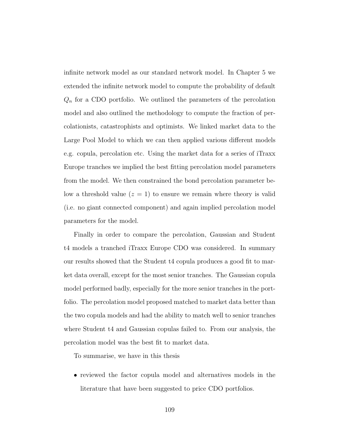infinite network model as our standard network model. In Chapter 5 we extended the infinite network model to compute the probability of default  $Q_n$  for a CDO portfolio. We outlined the parameters of the percolation model and also outlined the methodology to compute the fraction of percolationists, catastrophists and optimists. We linked market data to the Large Pool Model to which we can then applied various different models e.g. copula, percolation etc. Using the market data for a series of iTraxx Europe tranches we implied the best fitting percolation model parameters from the model. We then constrained the bond percolation parameter below a threshold value  $(z = 1)$  to ensure we remain where theory is valid (i.e. no giant connected component) and again implied percolation model parameters for the model.

Finally in order to compare the percolation, Gaussian and Student t4 models a tranched iTraxx Europe CDO was considered. In summary our results showed that the Student t4 copula produces a good fit to market data overall, except for the most senior tranches. The Gaussian copula model performed badly, especially for the more senior tranches in the portfolio. The percolation model proposed matched to market data better than the two copula models and had the ability to match well to senior tranches where Student t4 and Gaussian copulas failed to. From our analysis, the percolation model was the best fit to market data.

To summarise, we have in this thesis

• reviewed the factor copula model and alternatives models in the literature that have been suggested to price CDO portfolios.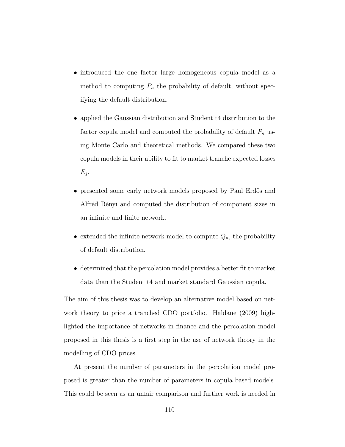- introduced the one factor large homogeneous copula model as a method to computing  $P_n$  the probability of default, without specifying the default distribution.
- applied the Gaussian distribution and Student t4 distribution to the factor copula model and computed the probability of default  $P_n$  using Monte Carlo and theoretical methods. We compared these two copula models in their ability to fit to market tranche expected losses  $E_j$ .
- presented some early network models proposed by Paul Erdős and Alfréd Rényi and computed the distribution of component sizes in an infinite and finite network.
- extended the infinite network model to compute  $Q_n$ , the probability of default distribution.
- determined that the percolation model provides a better fit to market data than the Student t4 and market standard Gaussian copula.

The aim of this thesis was to develop an alternative model based on network theory to price a tranched CDO portfolio. Haldane (2009) highlighted the importance of networks in finance and the percolation model proposed in this thesis is a first step in the use of network theory in the modelling of CDO prices.

At present the number of parameters in the percolation model proposed is greater than the number of parameters in copula based models. This could be seen as an unfair comparison and further work is needed in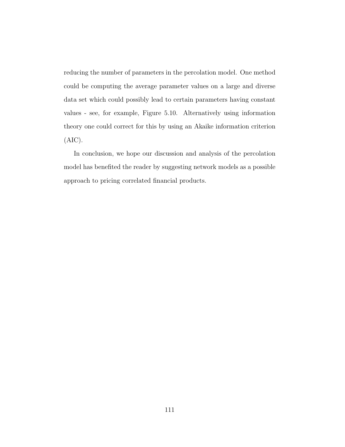reducing the number of parameters in the percolation model. One method could be computing the average parameter values on a large and diverse data set which could possibly lead to certain parameters having constant values - see, for example, Figure 5.10. Alternatively using information theory one could correct for this by using an Akaike information criterion (AIC).

In conclusion, we hope our discussion and analysis of the percolation model has benefited the reader by suggesting network models as a possible approach to pricing correlated financial products.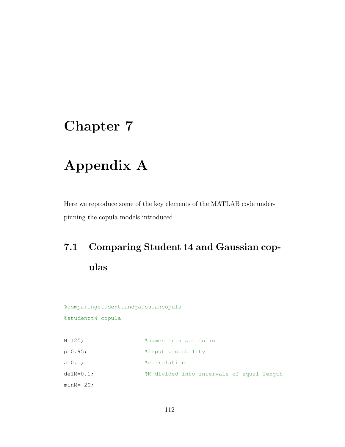### Chapter 7

# Appendix A

Here we reproduce some of the key elements of the MATLAB code underpinning the copula models introduced.

# 7.1 Comparing Student t4 and Gaussian copulas

%comparingstudenttandgaussiancopula

%studentt4 copula

| $N = 125$ ;  | %names in a portfolio                     |
|--------------|-------------------------------------------|
| $p=0.95;$    | %input probability                        |
| $a=0.1$ ;    | <i><b>&amp;correlation</b></i>            |
| $delM=0.1$ ; | %M divided into intervals of equal length |
| $minM=-20$ ; |                                           |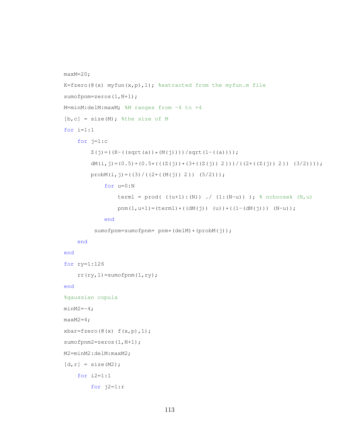```
maxM=20;
K=fzero((\mathcal{C}(x)) myfun(x,p),1); %extracted from the myfun.m file
sumofpnm=zeros(1,N+1);
M=minM:delM:maxM; %M ranges from -4 to +4
[b, c] = size(M); %the size of M
for i=1:1
    for j=1:c
        Z(j) = ((K-((sqrt(a)) * (M(j))))/sqrt(1-((a))));
        dM(i,j)=(0.5)+(0.5*(((Z(j)) * (3+((Z(j)) 2)))/((2+((Z(j)) 2)) (3/2))));
        probM(i, j) = ((3)/( (2+((M(j)) 2)) (5/2)));for u=0:N
                 term1 = prod( ((u+1):(N)) ./ (1:(N-u)) ); % nchoosek (N,u)pnm(1, u+1) = (term1) * ((dM(j)) (u)) * ((1 - (dM(j))) (N-u));end
         sumofpnm=sumofpnm+ pnm*(delM)*(probM(j));
    end
end
for ry=1:126
    rr(ry,1)=sumofpnm(1,ry);end
%gaussian copula
minM2=-4;maxM2=4;xbar=fzero(\&(x) f(x,p),1);sumofpnm2=zeros(1,N+1);
M2=minM2:delM:maxM2;
[d, r] = size(M2);for i2=1:1
        for j2=1:r
```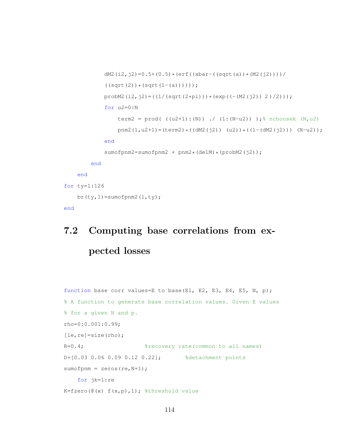```
dM2(i2,j2)=0.5+(0.5)*(erf((xbar-((sqrt(a))*(M2(j2))))/
            ((sqrt(2))*(sqrt(1-(a)))));probM2(i2,j2)=((1/(sqrt(2*pi)))*(exp((-(M2(j2)) 2)/2)));
            for u2=0:N
                term2 = prod( ((u2+1):(N)) ./ (1:(N-u2)) );% nchoosek (N, u2)pnm2(1,u2+1)=(term2)*((dM2(j2)) (u2))*((1-(dM2(j2))) (N-u2));
            end
            sumofpnm2=sumofpnm2 + pnm2*(delM)*(probM2(j2));
        end
   end
for ty=1:126
   br(ty, 1) = sumofpnm2(1, ty);
end
```
## 7.2 Computing base correlations from expected losses

```
function base corr values=E to base(E1, E2, E3, E4, E5, N, p);
% A function to generate base correlation values. Given E values
% for a given N and p.
rho=0:0.001:0.99;
[le,re]=size(rho);
R=0.4; \frac{1}{2} \frac{1}{2} \frac{1}{2} \frac{1}{2} \frac{1}{2} \frac{1}{2} \frac{1}{2} \frac{1}{2} \frac{1}{2} \frac{1}{2} \frac{1}{2} \frac{1}{2} \frac{1}{2} \frac{1}{2} \frac{1}{2} \frac{1}{2} \frac{1}{2} \frac{1}{2} \frac{1}{2} \frac{1}{2} \frac{1}{2} \D=[0.03 0.06 0.09 0.12 0.22]; %detachment points
sumofpnm = zeros(re, N+1);for jk=1:re
K = fzero(@(x) f(x,p),1); %threshold value
```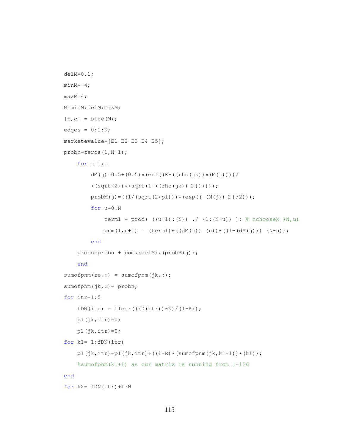```
delM=0.1;
minM=-4;maxM=4;
M=minM:delM:maxM;
[b, c] = size(M);edges = 0:1:N;marketevalue=[E1 E2 E3 E4 E5];
probn=zeros(1,N+1);
    for j=1:c
        dM(j)=0.5+(0.5)*(erf((K-((rho(jk))*(M(j))))((sqrt(2))*(sqrt(1-((rho(jk)) 2))))));prob(M(j) = ((1 / (sqrt(2*pi))) * (exp((- (M(j)) 2) / 2))));
        for u=0:N
            term1 = prod( ((u+1):(N)) ./ (1:(N-u)) ); % nchoosek (N,u)pnm(1,u+1) = (term1)*((dM(j)) (u))*((1-(dM(j))) (N-u));
        end
    probn=probn + pnm*(delM)*(probM(j));
    end
sumofpm(r,:) = sumofpm(jk, :);sumofpnm(jk,:)= probn;
for itr=1:5
    fDN(itr) = floor(((D(itr)) * N)/(1-R));
    p1(jk,itr)=0;p2(jk,itr)=0;for k1= 1:fDN(itr)
    p1(jk,itr) = p1(jk,itr) + ((1-R)*(sumofpnm(jk,k1+1))*(k1));%sumofpnm(k1+1) as our matrix is running from 1-126
end
for k2 = fDN(itr) + 1:N
```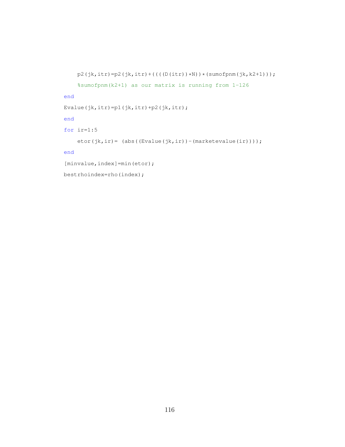```
p2(jk,itr) = p2(jk,itr) + (((D(itr)) * N) * (sumofpm(jk, k2+1)));
    %sumofpnm(k2+1) as our matrix is running from 1-126
end
Evalue(jk,itr)=p1(jk,itr)+p2(jk,itr);
end
for ir=1:5
    etor(jk,ir)= (abs((Evalue(jk,ir))-(marketevalue(ir))));
end
[minvalue, index]=min(etor);
bestrhoindex=rho(index);
```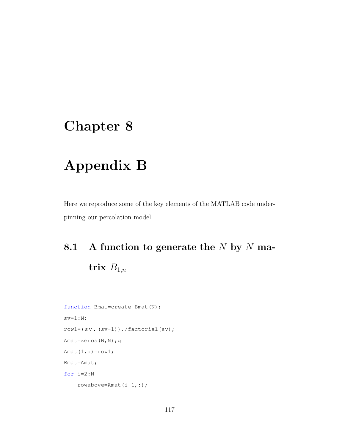### Chapter 8

## Appendix B

Here we reproduce some of the key elements of the MATLAB code underpinning our percolation model.

# 8.1 A function to generate the  $N$  by  $N$  matrix  $B_{1,n}$

```
function Bmat=create Bmat(N);
sv=1:N;rowl=(sv. (sv-1))./factorial(sv);
Amat=zeros(N,N);g
Amat(1,:)=row1;
Bmat=Amat;
for i=2:N
    rowabove=Amat(i-1,:);
```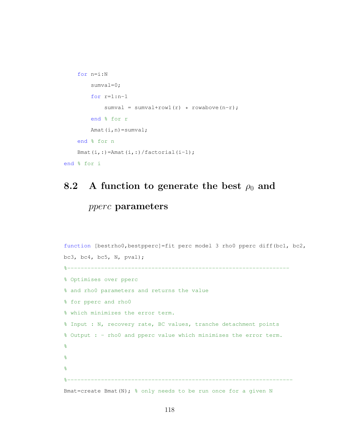```
for n=i:N
        sumval=0;
        for r=1:n-1
            sumval = sumval+row1(r) * rowabove(n-r);
        end % for r
        Amat(i,n)=sumval;
    end % for n
    Bmat(i,:)=Amat(i,:)/factorial(i-1);
end % for i
```
#### 8.2 A function to generate the best  $\rho_0$  and

#### pperc parameters

```
function [bestrho0, bestpperc]=fit perc model 3 rho0 pperc diff(bc1, bc2,
bc3, bc4, bc5, N, pval);
%------------------------------------------------------------------
% Optimises over pperc
% and rho0 parameters and returns the value
% for pperc and rho0
% which minimizes the error term.
% Input : N, recovery rate, BC values, tranche detachment points
% Output : - rho0 and pperc value which minimises the error term.
\approx\frac{8}{\pi}\approx%-------------------------------------------------------------------
Bmat=create Bmat (N); % only needs to be run once for a given N
```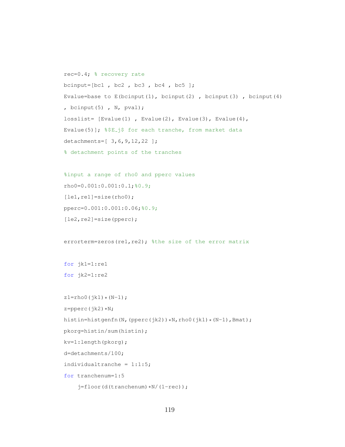```
rec=0.4; % recovery rate
bcinput=[bc1, bc2, bc3, bc4, bc5];
Evalue=base to E(bcinput(1), bcinput(2), bcinput(3), bcinput(4)
, bcinput(5) , N, pval);
losslist= [Evalue(1) , Evalue(2), Evalue(3), Evalue(4),
Evalue(5)]; %$E_j$ for each tranche, from market data
detachments=[ 3,6,9,12,22 ];
% detachment points of the tranches
%input a range of rho0 and pperc values
rho0=0.001:0.001:0.1;%0.9;
[let, rel] = size(rho0);pperc=0.001:0.001:0.06;%0.9;
[le2,re2]=size(pperc);
errorterm=zeros(re1, re2); %the size of the error matrix
for jk1=1:re1
for jk2=1:re2
z1 =rho0(jk1)*(N-1);
z = p<sub>perc</sub>(jk2)*N;histin=histgenfn(N,(pperc(jk2))*N,rho0(jk1)*(N-1),Bmat);
pkorg=histin/sum(histin);
kv=1:length(pkorg);
d=detachments/100;
individualtranche = 1:1:5;
for tranchenum=1:5
```

```
j=floor(d(tranchenum)*N/(1-rec));
```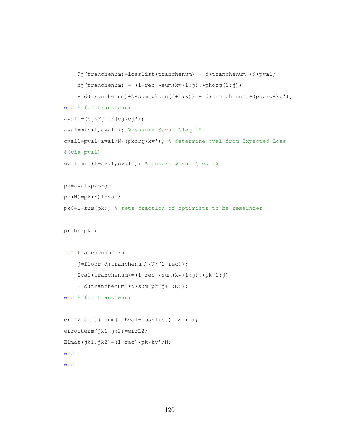```
Fj(tranchemum)=losslist(tranchemum) - d(tranchemum)*N*pval;cj(tranchenum) = (1-rec) * sum(kv(1:j).*)korg(1:j))+ d(tranchenum)*N*sum(pkorg(j+1:N)) - d(tranchenum)*(pkorg*kv');
end % for tranchenum
aval1=(cj*Fj')/(cj*cj');aval=min(1,aval1); % ensure $aval \leq 1$
cval1=pval-aval/N*(pkorg*kv'); % determine cval from Expected Loss
%(via pval)
cval=min(1-aval, cval1); % ensure $cval \leq 1$
pk=aval*pkorg;
pk(N)=pk(N)+cval;
pk0=1-sum(pk); % sets fraction of optimists to be remainder
probn=pk ;
for tranchenum=1:5
    j=floor(d(tranchemum)*N/(1-rec));Eval(tranchenum)=(1-rec) * sum(kv(1:j).*pk(1:j))+ d(tranchenum) *N*sum(pk(j+1:N));
end % for tranchenum
errL2=sqrt( sum( (Eval-losslist) . 2 ) );
errorterm(jk1,jk2)=errL2;
ELmat(jk1,jk2)=(1-rec)*pk*kv'/N;
end
```

```
end
```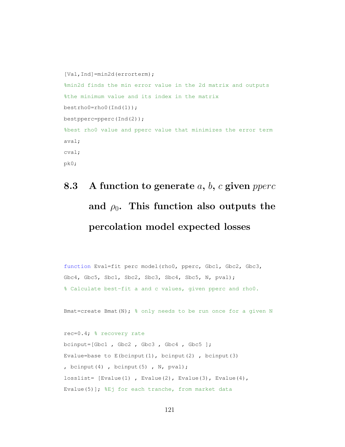```
[Val, Ind]=min2d(errorterm);
%min2d finds the min error value in the 2d matrix and outputs
%the minimum value and its index in the matrix
bestrho0=rho0(Ind(1));
bestpperc=pperc(Ind(2));
%best rho0 value and pperc value that minimizes the error term
aval;
cval;
pk0;
```
# 8.3 A function to generate  $a, b, c$  given pperc and  $\rho_0$ . This function also outputs the percolation model expected losses

function Eval=fit perc model(rho0, pperc, Gbc1, Gbc2, Gbc3, Gbc4, Gbc5, Sbc1, Sbc2, Sbc3, Sbc4, Sbc5, N, pval); % Calculate best-fit a and c values, given pperc and rho0.

Bmat=create Bmat(N);  $\frac{1}{6}$  only needs to be run once for a given N

rec=0.4; % recovery rate bcinput=[Gbc1 , Gbc2 , Gbc3 , Gbc4 , Gbc5 ]; Evalue=base to  $E$ (bcinput(1), bcinput(2), bcinput(3) , bcinput(4), bcinput(5),  $N$ , pval); losslist= [Evalue(1) , Evalue(2), Evalue(3), Evalue(4), Evalue(5)]; %Ej for each tranche, from market data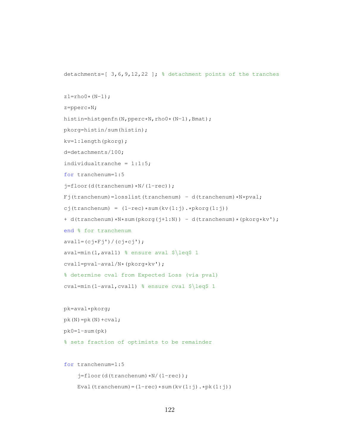detachments=[ 3,6,9,12,22 ]; % detachment points of the tranches

```
z1=rho0*(N-1);z=pperc*N;
histin=histgenfn(N,pperc*N,rho0*(N-1),Bmat);
pkorg=histin/sum(histin);
kv=1:length(pkorg);
d=detachments/100;
individualtranche = 1:1:5;
for tranchenum=1:5
j=floor(d(tranchenum)*N/(1-rec));
Fj(tranchenum)=losslist(tranchenum) - d(tranchenum)*N*pval;
cj(tranchenum) = (1-rec) * sum(kv(1:j).*)korg(1:j))+ d(tranchenum)*N*sum(pkorg(j+1:N)) - d(tranchenum)*(pkorg*kv');
end % for tranchenum
aval1=(cj*Fj')/(cj*cj');aval=min(1, aval1) % ensure aval \ell \leq 1cval1=pval-aval/N*(pkorg*kv');
% determine cval from Expected Loss (via pval)
cval=min(1-aval,cval1) % ensure cval $\leq$ 1
pk=aval*pkorg;
pk(N)=pk(N)+cval;
pk0=1-sum(pk)
% sets fraction of optimists to be remainder
for tranchenum=1:5
```

```
Eval(tranchenum) = (1 - rec) * sum(kv(1:j). *pk(1:j))
```
j=floor(d(tranchenum)\*N/(1-rec));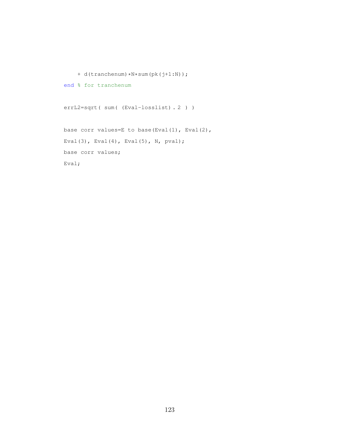```
+ d(tranchenum)*N*sum(pk(j+1:N));
end % for tranchenum
errL2=sqrt( sum( (Eval-losslist) . 2 ) )
base corr values=E to base(Eval(1), Eval(2),
Eval(3), Eval(4), Eval(5), N, pval);
base corr values;
Eval;
```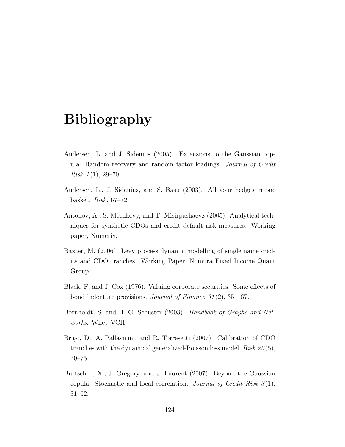### Bibliography

- Andersen, L. and J. Sidenius (2005). Extensions to the Gaussian copula: Random recovery and random factor loadings. Journal of Credit Risk  $1(1)$ , 29–70.
- Andersen, L., J. Sidenius, and S. Basu (2003). All your hedges in one basket. Risk, 67–72.
- Antonov, A., S. Mechkovy, and T. Misirpashaevz (2005). Analytical techniques for synthetic CDOs and credit default risk measures. Working paper, Numerix.
- Baxter, M. (2006). Levy process dynamic modelling of single name credits and CDO tranches. Working Paper, Nomura Fixed Income Quant Group.
- Black, F. and J. Cox (1976). Valuing corporate securities: Some effects of bond indenture provisions. *Journal of Finance* 31(2), 351–67.
- Bornholdt, S. and H. G. Schuster (2003). Handbook of Graphs and Networks. Wiley-VCH.
- Brigo, D., A. Pallavicini, and R. Torresetti (2007). Calibration of CDO tranches with the dynamical generalized-Poisson loss model. Risk  $20(5)$ , 70–75.
- Burtschell, X., J. Gregory, and J. Laurent (2007). Beyond the Gaussian copula: Stochastic and local correlation. Journal of Credit Risk  $3(1)$ , 31–62.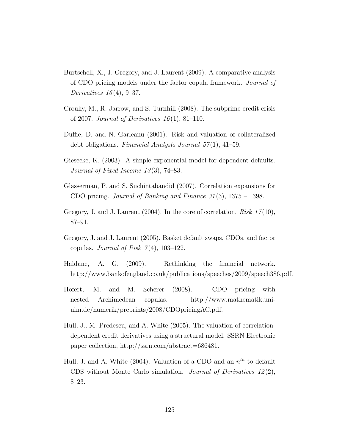- Burtschell, X., J. Gregory, and J. Laurent (2009). A comparative analysis of CDO pricing models under the factor copula framework. Journal of Derivatives  $16(4)$ , 9-37.
- Crouhy, M., R. Jarrow, and S. Turnhill (2008). The subprime credit crisis of 2007. Journal of Derivatives  $16(1)$ , 81-110.
- Duffie, D. and N. Garleanu (2001). Risk and valuation of collateralized debt obligations. Financial Analysts Journal  $57(1)$ , 41–59.
- Giesecke, K. (2003). A simple exponential model for dependent defaults. Journal of Fixed Income 13 (3), 74–83.
- Glasserman, P. and S. Suchintabandid (2007). Correlation expansions for CDO pricing. Journal of Banking and Finance  $31(3)$ ,  $1375 - 1398$ .
- Gregory, J. and J. Laurent  $(2004)$ . In the core of correlation. *Risk 17*(10), 87–91.
- Gregory, J. and J. Laurent (2005). Basket default swaps, CDOs, and factor copulas. Journal of Risk  $7(4)$ , 103-122.
- Haldane, A. G. (2009). Rethinking the financial network. http://www.bankofengland.co.uk/publications/speeches/2009/speech386.pdf.
- Hofert, M. and M. Scherer (2008). CDO pricing with nested Archimedean copulas. http://www.mathematik.uniulm.de/numerik/preprints/2008/CDOpricingAC.pdf.
- Hull, J., M. Predescu, and A. White (2005). The valuation of correlationdependent credit derivatives using a structural model. SSRN Electronic paper collection, http://ssrn.com/abstract=686481.
- Hull, J. and A. White (2004). Valuation of a CDO and an  $n^{th}$  to default CDS without Monte Carlo simulation. Journal of Derivatives  $12(2)$ , 8–23.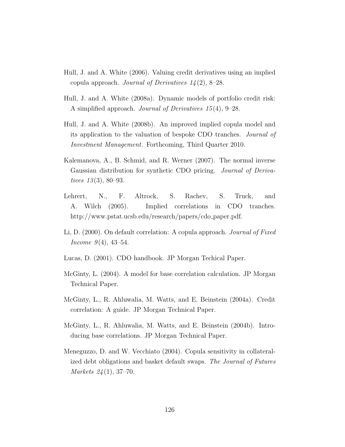- Hull, J. and A. White (2006). Valuing credit derivatives using an implied copula approach. Journal of Derivatives  $14(2)$ , 8-28.
- Hull, J. and A. White (2008a). Dynamic models of portfolio credit risk: A simplified approach. Journal of Derivatives 15 (4), 9–28.
- Hull, J. and A. White (2008b). An improved implied copula model and its application to the valuation of bespoke CDO tranches. Journal of Investment Management. Forthcoming, Third Quarter 2010.
- Kalemanova, A., B. Schmid, and R. Werner (2007). The normal inverse Gaussian distribution for synthetic CDO pricing. Journal of Derivatives  $13(3)$ , 80–93.
- Lehrert, N., F. Altrock, S. Rachev, S. Truck, and A. Wilch (2005). Implied correlations in CDO tranches. http://www.pstat.ucsb.edu/research/papers/cdo\_paper.pdf.
- Li, D. (2000). On default correlation: A copula approach. *Journal of Fixed* Income  $9(4)$ , 43-54.
- Lucas, D. (2001). CDO handbook. JP Morgan Techical Paper.
- McGinty, L. (2004). A model for base correlation calculation. JP Morgan Technical Paper.
- McGinty, L., R. Ahluwalia, M. Watts, and E. Beinstein (2004a). Credit correlation: A guide. JP Morgan Technical Paper.
- McGinty, L., R. Ahluwalia, M. Watts, and E. Beinstein (2004b). Introducing base correlations. JP Morgan Technical Paper.
- Meneguzzo, D. and W. Vecchiato (2004). Copula sensitivity in collateralized debt obligations and basket default swaps. The Journal of Futures Markets 24 (1), 37–70.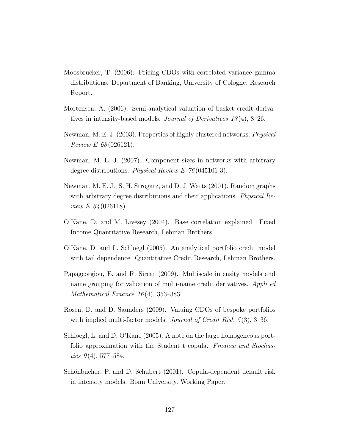- Moosbrucker, T. (2006). Pricing CDOs with correlated variance gamma distributions. Department of Banking, University of Cologne. Research Report.
- Mortensen, A. (2006). Semi-analytical valuation of basket credit derivatives in intensity-based models. Journal of Derivatives 13 (4), 8–26.
- Newman, M. E. J. (2003). Properties of highly clustered networks. Physical Review E 68 (026121).
- Newman, M. E. J. (2007). Component sizes in networks with arbitrary degree distributions. Physical Review E 76 (045101-3).
- Newman, M. E. J., S. H. Strogatz, and D. J. Watts (2001). Random graphs with arbitrary degree distributions and their applications. *Physical Re*view *E* 64 (026118).
- O'Kane, D. and M. Livesey (2004). Base correlation explained. Fixed Income Quantitative Research, Lehman Brothers.
- O'Kane, D. and L. Schloegl (2005). An analytical portfolio credit model with tail dependence. Quantitative Credit Research, Lehman Brothers.
- Papageorgiou, E. and R. Sircar (2009). Multiscale intensity models and name grouping for valuation of multi-name credit derivatives. Appli ed Mathematical Finance  $16(4)$ , 353–383.
- Rosen, D. and D. Saunders (2009). Valuing CDOs of bespoke portfolios with implied multi-factor models. *Journal of Credit Risk 5* (3), 3–36.
- Schloegl, L. and D. O'Kane (2005). A note on the large homogeneous portfolio approximation with the Student t copula. Finance and Stochastics  $9(4)$ , 577–584.
- Schönbucher, P. and D. Schubert (2001). Copula-dependent default risk in intensity models. Bonn University. Working Paper.